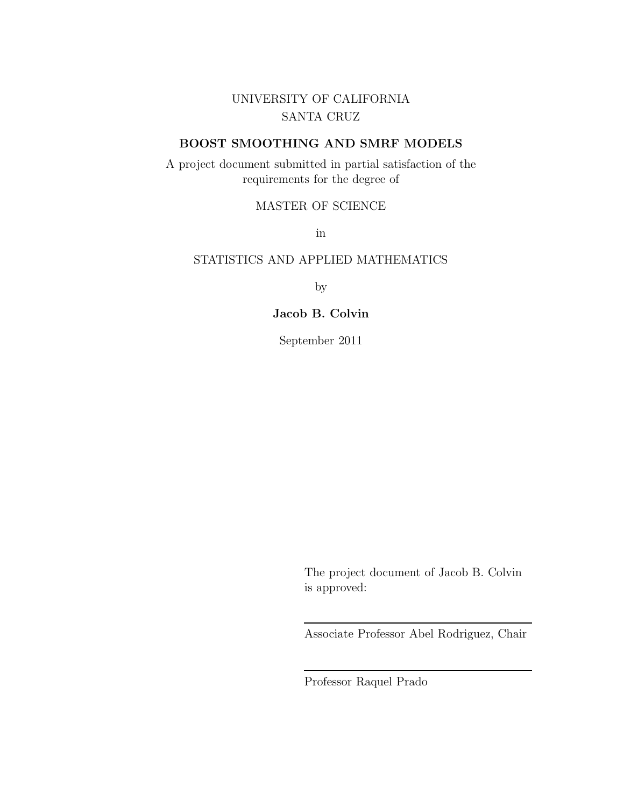UNIVERSITY OF CALIFORNIA SANTA CRUZ

#### BOOST SMOOTHING AND SMRF MODELS

A project document submitted in partial satisfaction of the requirements for the degree of

#### MASTER OF SCIENCE

in

#### STATISTICS AND APPLIED MATHEMATICS

by

#### Jacob B. Colvin

September 2011

The project document of Jacob B. Colvin is approved:

Associate Professor Abel Rodriguez, Chair

Professor Raquel Prado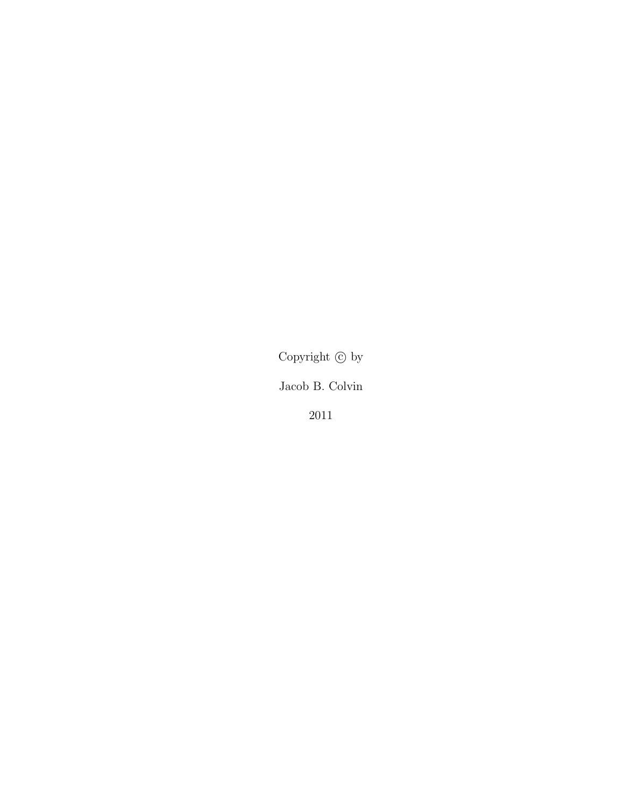Copyright  $\copyright$  by

Jacob B. Colvin

2011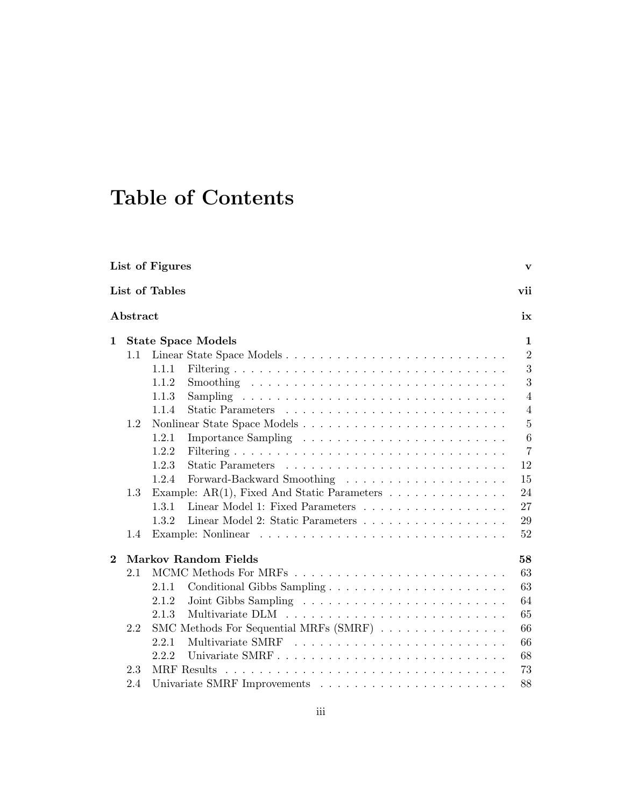# Table of Contents

| List of Figures<br>v |          |                |                                                                           |                |
|----------------------|----------|----------------|---------------------------------------------------------------------------|----------------|
|                      |          | List of Tables |                                                                           | vii            |
|                      | Abstract |                |                                                                           | ix             |
| 1                    |          |                | <b>State Space Models</b>                                                 | 1              |
|                      | 1.1      |                | Linear State Space Models                                                 | $\overline{2}$ |
|                      |          | 1.1.1          |                                                                           | 3              |
|                      |          | 1.1.2          |                                                                           | 3              |
|                      |          | 1.1.3          |                                                                           | $\overline{4}$ |
|                      |          | 1.1.4          |                                                                           | $\overline{4}$ |
|                      | 1.2      |                | Nonlinear State Space Models                                              | $\overline{5}$ |
|                      |          | 1.2.1          |                                                                           | $\,6$          |
|                      |          | 1.2.2          |                                                                           | $\overline{7}$ |
|                      |          | 1.2.3          |                                                                           | 12             |
|                      |          | 1.2.4          |                                                                           | 15             |
|                      | 1.3      |                | Example: AR(1), Fixed And Static Parameters $\ldots \ldots \ldots \ldots$ | 24             |
|                      |          | 1.3.1          | Linear Model 1: Fixed Parameters                                          | 27             |
|                      |          | 1.3.2          | Linear Model 2: Static Parameters                                         | 29             |
|                      | 1.4      |                |                                                                           | 52             |
| $\bf{2}$             |          |                | <b>Markov Random Fields</b>                                               | 58             |
|                      | 2.1      |                |                                                                           | 63             |
|                      |          | 2.1.1          |                                                                           | 63             |
|                      |          | 2.1.2          |                                                                           | 64             |
|                      |          | 2.1.3          |                                                                           | 65             |
|                      | 2.2      |                | SMC Methods For Sequential MRFs (SMRF)                                    | 66             |
|                      |          | 2.2.1          |                                                                           | 66             |
|                      |          | 2.2.2          |                                                                           | 68             |
|                      | 2.3      |                | MRF Results                                                               | 73             |
|                      | 2.4      |                |                                                                           | 88             |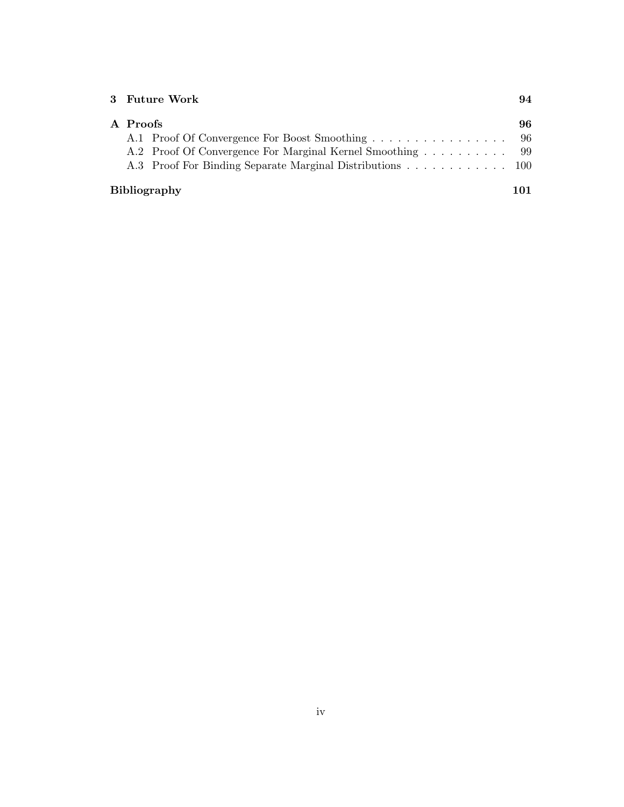|                            | 3 Future Work                                              | 94  |  |
|----------------------------|------------------------------------------------------------|-----|--|
| A Proofs                   |                                                            | 96. |  |
|                            | A.1 Proof Of Convergence For Boost Smoothing 96            |     |  |
|                            | A.2 Proof Of Convergence For Marginal Kernel Smoothing  99 |     |  |
|                            | A.3 Proof For Binding Separate Marginal Distributions 100  |     |  |
| <b>Bibliography</b><br>101 |                                                            |     |  |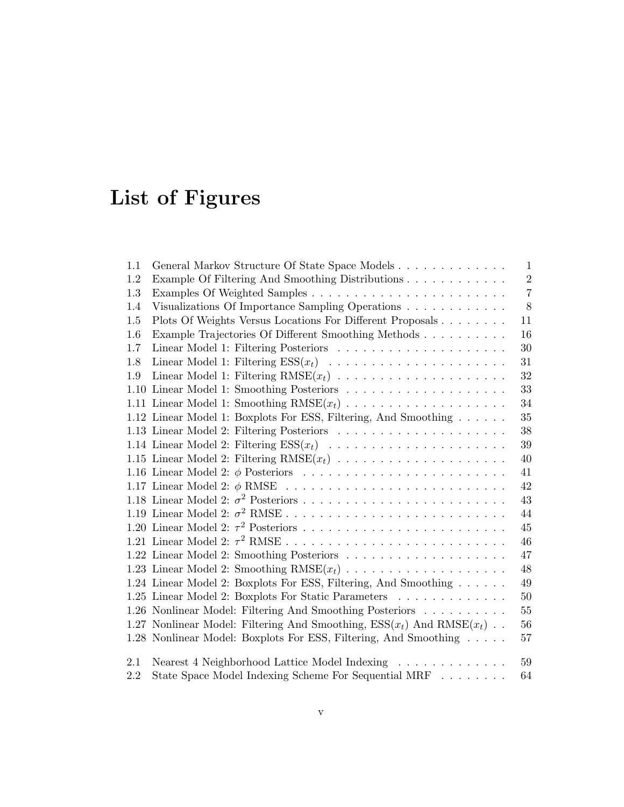# List of Figures

| 1.1  | General Markov Structure Of State Space Models<br>$\mathbf{1}$                            |    |  |  |  |
|------|-------------------------------------------------------------------------------------------|----|--|--|--|
| 1.2  | $\sqrt{2}$<br>Example Of Filtering And Smoothing Distributions                            |    |  |  |  |
| 1.3  | $\overline{7}$                                                                            |    |  |  |  |
| 1.4  | 8<br>Visualizations Of Importance Sampling Operations                                     |    |  |  |  |
| 1.5  | Plots Of Weights Versus Locations For Different Proposals                                 | 11 |  |  |  |
| 1.6  | Example Trajectories Of Different Smoothing Methods                                       | 16 |  |  |  |
| 1.7  |                                                                                           | 30 |  |  |  |
| 1.8  |                                                                                           | 31 |  |  |  |
| 1.9  | Linear Model 1: Filtering $RMSE(x_t) \dots \dots \dots \dots \dots \dots \dots$           | 32 |  |  |  |
| 1.10 | Linear Model 1: Smoothing Posteriors $\ldots \ldots \ldots \ldots \ldots \ldots \ldots$   | 33 |  |  |  |
|      | 1.11 Linear Model 1: Smoothing $RMSE(x_t) \dots \dots \dots \dots \dots \dots \dots$      | 34 |  |  |  |
|      | 1.12 Linear Model 1: Boxplots For ESS, Filtering, And Smoothing                           | 35 |  |  |  |
|      |                                                                                           | 38 |  |  |  |
|      | 1.14 Linear Model 2: Filtering $ESS(x_t) \dots \dots \dots \dots \dots \dots \dots \dots$ | 39 |  |  |  |
|      |                                                                                           | 40 |  |  |  |
|      |                                                                                           | 41 |  |  |  |
|      | 1.17 Linear Model 2: $\phi$ RMSE                                                          | 42 |  |  |  |
|      |                                                                                           | 43 |  |  |  |
|      |                                                                                           | 44 |  |  |  |
|      |                                                                                           | 45 |  |  |  |
|      |                                                                                           | 46 |  |  |  |
|      |                                                                                           | 47 |  |  |  |
|      |                                                                                           | 48 |  |  |  |
|      | 1.24 Linear Model 2: Boxplots For ESS, Filtering, And Smoothing                           | 49 |  |  |  |
|      | 1.25 Linear Model 2: Boxplots For Static Parameters                                       | 50 |  |  |  |
|      | 1.26 Nonlinear Model: Filtering And Smoothing Posteriors                                  | 55 |  |  |  |
|      | 1.27 Nonlinear Model: Filtering And Smoothing, $ESS(x_t)$ And $RMSE(x_t)$ .<br>56         |    |  |  |  |
|      | 1.28 Nonlinear Model: Boxplots For ESS, Filtering, And Smoothing<br>57                    |    |  |  |  |
| 2.1  | Nearest 4 Neighborhood Lattice Model Indexing                                             | 59 |  |  |  |
| 2.2  | State Space Model Indexing Scheme For Sequential MRF $\ldots \ldots \ldots$<br>64         |    |  |  |  |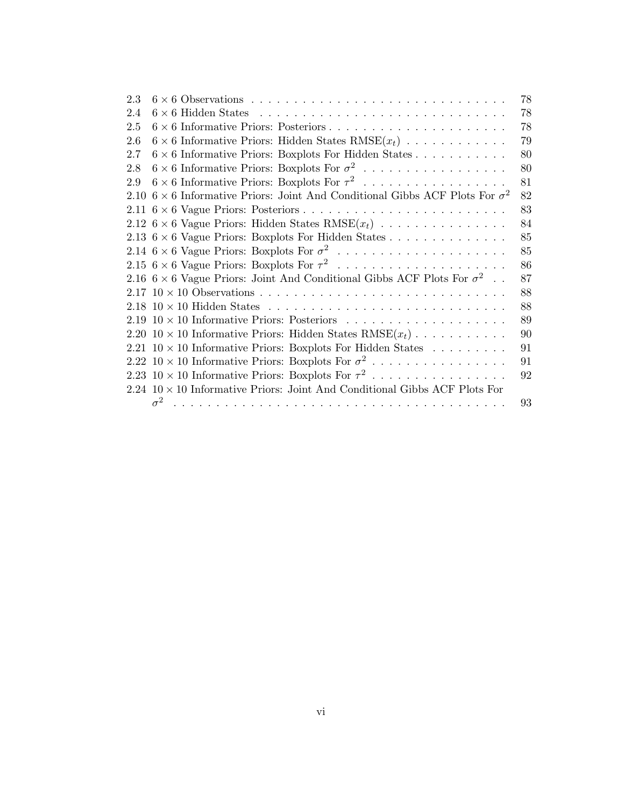| 2.3  | 78                                                                                         |
|------|--------------------------------------------------------------------------------------------|
| 2.4  | 78                                                                                         |
| 2.5  | 78                                                                                         |
| 2.6  | $6 \times 6$ Informative Priors: Hidden States RMSE $(x_t)$<br>79                          |
| 2.7  | 80<br>$6 \times 6$ Informative Priors: Boxplots For Hidden States                          |
| 2.8  | $6 \times 6$ Informative Priors: Boxplots For $\sigma^2$<br>80                             |
| 2.9  | $6 \times 6$ Informative Priors: Boxplots For $\tau^2$<br>81                               |
| 2.10 | $6\times 6$ Informative Priors: Joint And Conditional Gibbs ACF Plots For $\sigma^2$<br>82 |
|      | 83                                                                                         |
|      | 2.12 $6 \times 6$ Vague Priors: Hidden States RMSE $(x_t)$<br>84                           |
|      | 85<br>2.13 $6 \times 6$ Vague Priors: Boxplots For Hidden States                           |
|      | 85                                                                                         |
|      | 86                                                                                         |
|      | 2.16 $6 \times 6$ Vague Priors: Joint And Conditional Gibbs ACF Plots For $\sigma^2$<br>87 |
|      | 88                                                                                         |
|      | 88                                                                                         |
|      | 89                                                                                         |
|      | 2.20 $10 \times 10$ Informative Priors: Hidden States RMSE $(x_t)$<br>90                   |
|      | 91<br>2.21 $10 \times 10$ Informative Priors: Boxplots For Hidden States                   |
|      | 2.22 10 $\times$ 10 Informative Priors: Boxplots For $\sigma^2$<br>91                      |
|      | 2.23 10 $\times$ 10 Informative Priors: Boxplots For $\tau^2$<br>92                        |
|      | $2.24$ $10 \times 10$ Informative Priors: Joint And Conditional Gibbs ACF Plots For        |
|      | $\sigma^2$<br>93                                                                           |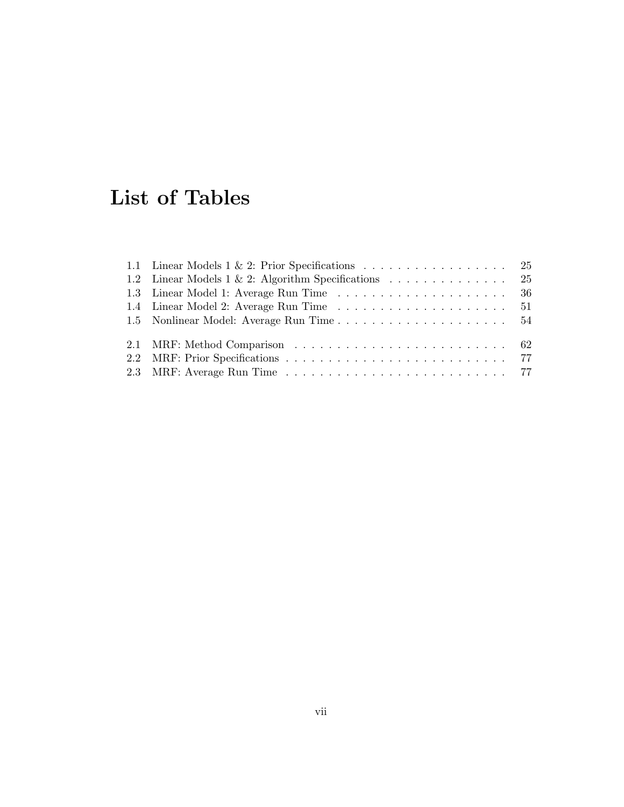## List of Tables

| 1.1 Linear Models $1 \& 2$ : Prior Specifications 25 |  |
|------------------------------------------------------|--|
| 1.2 Linear Models 1 & 2: Algorithm Specifications 25 |  |
|                                                      |  |
|                                                      |  |
|                                                      |  |
|                                                      |  |
|                                                      |  |
|                                                      |  |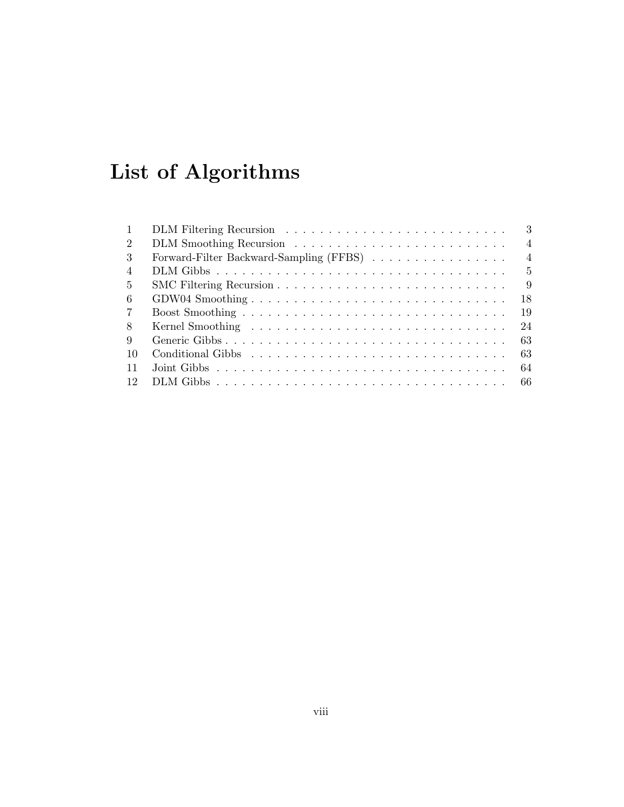# List of Algorithms

| $\mathbf{1}$   | 3<br>DLM Filtering Recursion                              |
|----------------|-----------------------------------------------------------|
| 2              | $\overline{4}$                                            |
| $\mathcal{R}$  | Forward-Filter Backward-Sampling (FFBS)<br>$\overline{4}$ |
| $\overline{4}$ | $\frac{5}{2}$                                             |
| $\frac{5}{2}$  | 9                                                         |
| -6             | 18                                                        |
| $\overline{7}$ | 19                                                        |
| 8              | 24                                                        |
| 9              | 63                                                        |
| -10            | 63                                                        |
| 11             | 64                                                        |
| 12             |                                                           |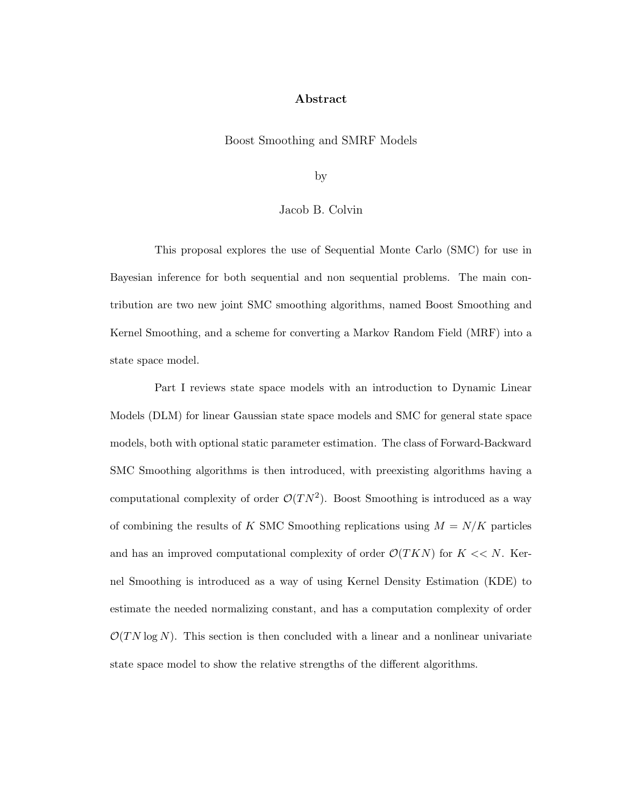#### Abstract

#### Boost Smoothing and SMRF Models

by

#### Jacob B. Colvin

This proposal explores the use of Sequential Monte Carlo (SMC) for use in Bayesian inference for both sequential and non sequential problems. The main contribution are two new joint SMC smoothing algorithms, named Boost Smoothing and Kernel Smoothing, and a scheme for converting a Markov Random Field (MRF) into a state space model.

Part I reviews state space models with an introduction to Dynamic Linear Models (DLM) for linear Gaussian state space models and SMC for general state space models, both with optional static parameter estimation. The class of Forward-Backward SMC Smoothing algorithms is then introduced, with preexisting algorithms having a computational complexity of order  $\mathcal{O}(TN^2)$ . Boost Smoothing is introduced as a way of combining the results of K SMC Smoothing replications using  $M = N/K$  particles and has an improved computational complexity of order  $\mathcal{O}(TKN)$  for  $K \ll N$ . Kernel Smoothing is introduced as a way of using Kernel Density Estimation (KDE) to estimate the needed normalizing constant, and has a computation complexity of order  $\mathcal{O}(TN \log N)$ . This section is then concluded with a linear and a nonlinear univariate state space model to show the relative strengths of the different algorithms.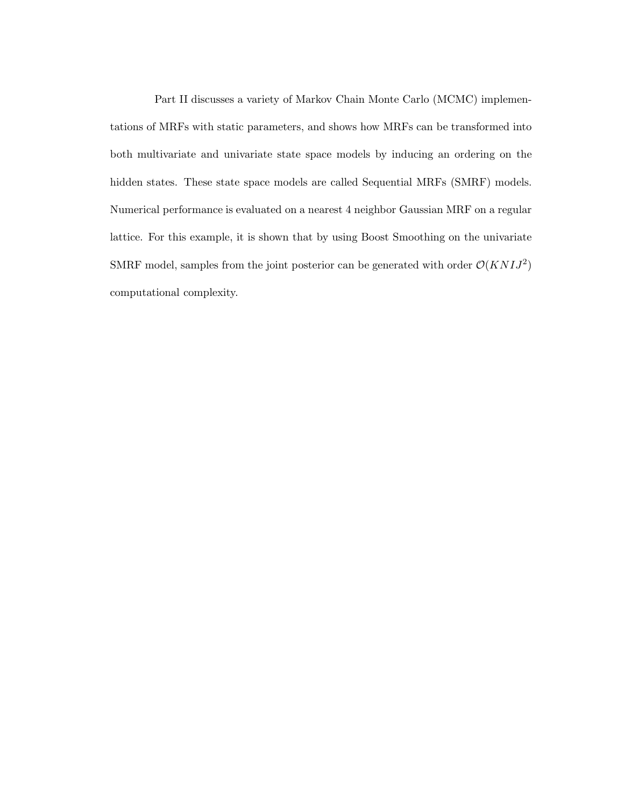Part II discusses a variety of Markov Chain Monte Carlo (MCMC) implementations of MRFs with static parameters, and shows how MRFs can be transformed into both multivariate and univariate state space models by inducing an ordering on the hidden states. These state space models are called Sequential MRFs (SMRF) models. Numerical performance is evaluated on a nearest 4 neighbor Gaussian MRF on a regular lattice. For this example, it is shown that by using Boost Smoothing on the univariate SMRF model, samples from the joint posterior can be generated with order  $\mathcal{O}(KNIJ^2)$ computational complexity.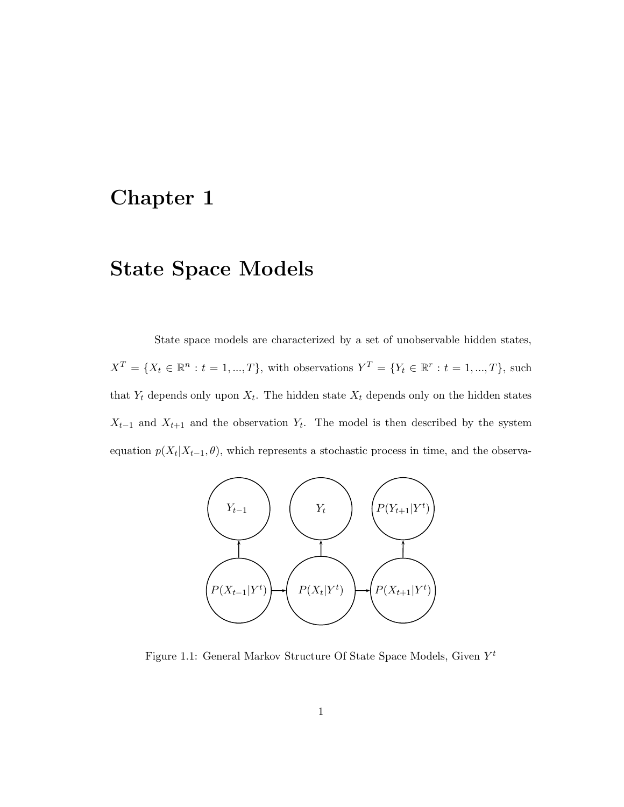### Chapter 1

### State Space Models

State space models are characterized by a set of unobservable hidden states,  $X^T = \{X_t \in \mathbb{R}^n : t = 1, ..., T\}$ , with observations  $Y^T = \{Y_t \in \mathbb{R}^r : t = 1, ..., T\}$ , such that  $Y_t$  depends only upon  $X_t$ . The hidden state  $X_t$  depends only on the hidden states  $X_{t-1}$  and  $X_{t+1}$  and the observation  $Y_t$ . The model is then described by the system equation  $p(X_t|X_{t-1}, \theta)$ , which represents a stochastic process in time, and the observa-



Figure 1.1: General Markov Structure Of State Space Models, Given  $Y^t$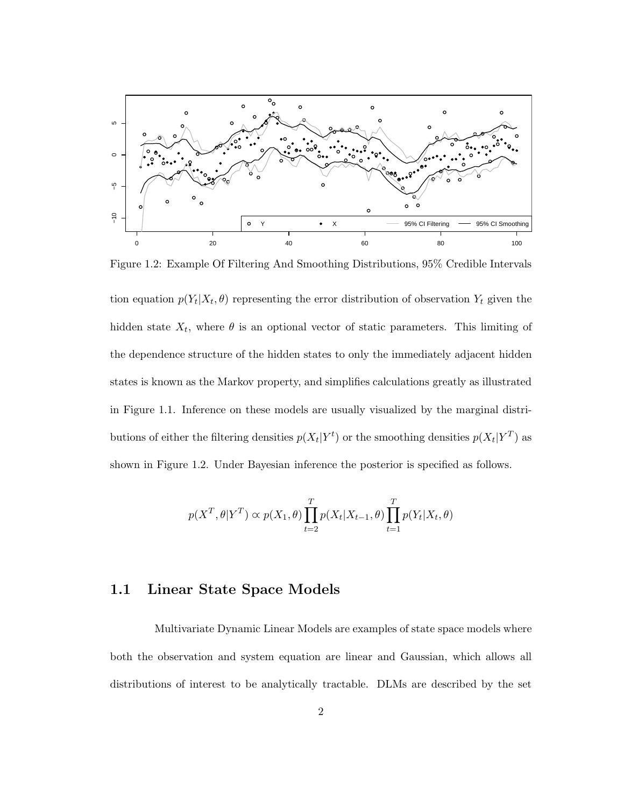

Figure 1.2: Example Of Filtering And Smoothing Distributions, 95% Credible Intervals

tion equation  $p(Y_t|X_t, \theta)$  representing the error distribution of observation  $Y_t$  given the hidden state  $X_t$ , where  $\theta$  is an optional vector of static parameters. This limiting of the dependence structure of the hidden states to only the immediately adjacent hidden states is known as the Markov property, and simplifies calculations greatly as illustrated in Figure 1.1. Inference on these models are usually visualized by the marginal distributions of either the filtering densities  $p(X_t|Y^t)$  or the smoothing densities  $p(X_t|Y^T)$  as shown in Figure 1.2. Under Bayesian inference the posterior is specified as follows.

$$
p(X^T, \theta | Y^T) \propto p(X_1, \theta) \prod_{t=2}^T p(X_t | X_{t-1}, \theta) \prod_{t=1}^T p(Y_t | X_t, \theta)
$$

#### 1.1 Linear State Space Models

Multivariate Dynamic Linear Models are examples of state space models where both the observation and system equation are linear and Gaussian, which allows all distributions of interest to be analytically tractable. DLMs are described by the set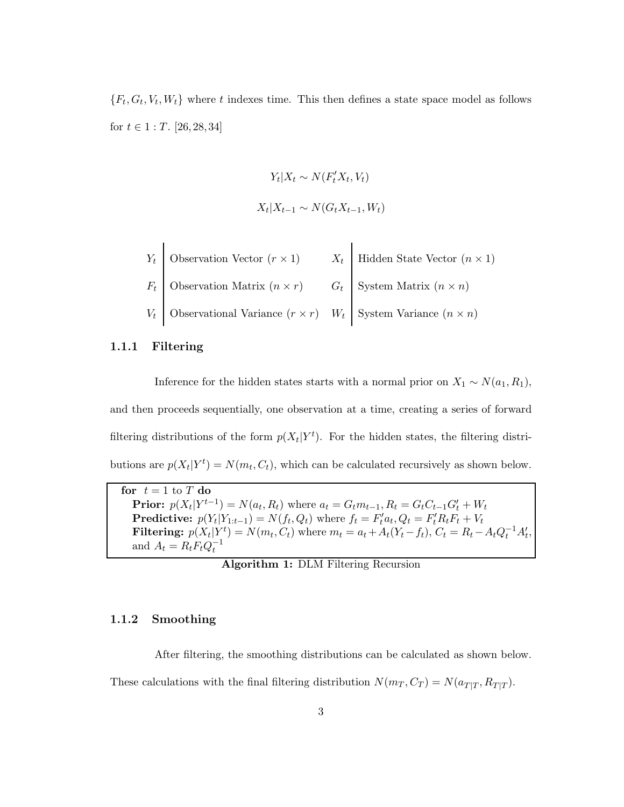${F_t, G_t, V_t, W_t}$  where t indexes time. This then defines a state space model as follows for  $t \in 1 : T$ . [26, 28, 34]

$$
Y_t | X_t \sim N(F_t' X_t, V_t)
$$
  

$$
X_t | X_{t-1} \sim N(G_t X_{t-1}, W_t)
$$

| $Y_t$ Observation Vector $(r \times 1)$                                          | $X_t$ Hidden State Vector $(n \times 1)$ |
|----------------------------------------------------------------------------------|------------------------------------------|
| $F_t$ Observation Matrix $(n \times r)$ $G_t$ System Matrix $(n \times n)$       |                                          |
| $V_t$ Observational Variance $(r \times r)$ $W_t$ System Variance $(n \times n)$ |                                          |

#### 1.1.1 Filtering

Inference for the hidden states starts with a normal prior on  $X_1 \sim N(a_1, R_1)$ , and then proceeds sequentially, one observation at a time, creating a series of forward filtering distributions of the form  $p(X_t|Y^t)$ . For the hidden states, the filtering distributions are  $p(X_t|Y^t) = N(m_t, C_t)$ , which can be calculated recursively as shown below.

for  $t = 1$  to  $T$  do **Prior:**  $p(X_t|Y^{t-1}) = N(a_t, R_t)$  where  $a_t = G_t m_{t-1}, R_t = G_t C_{t-1} G'_t + W_t$ **Predictive:**  $p(Y_t|Y_{1:t-1}) = N(f_t, Q_t)$  where  $f_t = F_t^{\prime} a_t, Q_t = F_t^{\prime} R_t F_t + V_t$ **Filtering:**  $p(X_t|Y_t^t) = N(m_t, C_t)$  where  $m_t = a_t + A_t(Y_t - f_t)$ ,  $C_t = R_t - A_t Q_t^{-1} A_t'$ , and  $A_t = R_t F_t Q_t^{-1}$ 

Algorithm 1: DLM Filtering Recursion

#### 1.1.2 Smoothing

After filtering, the smoothing distributions can be calculated as shown below. These calculations with the final filtering distribution  $N(m_T, C_T) = N(a_{T|T}, R_{T|T})$ .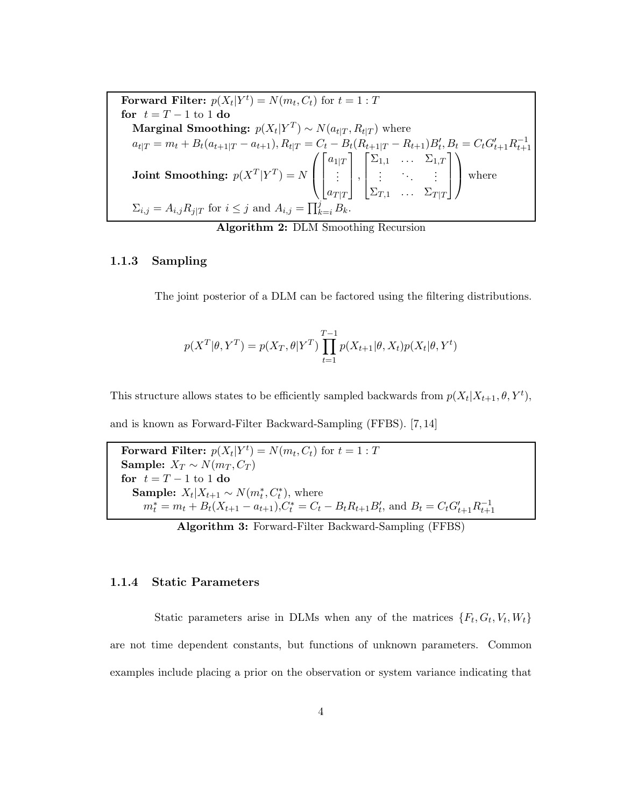Forward Filter:  $p(X_t|Y^t) = N(m_t, C_t)$  for  $t = 1 : T$ for  $t = T - 1$  to 1 do Marginal Smoothing:  $p(X_t|Y^T) \sim N(a_{t|T}, R_{t|T})$  where  $a_{t|T} = m_t + B_t(a_{t+1|T} - a_{t+1}), R_{t|T} = C_t - B_t(R_{t+1|T} - R_{t+1})B'_t, B_t = C_tG'_{t+1}R_{t+1}^{-1}$ **Joint Smoothing:**  $p(X^T|Y^T) = N$  $\sqrt{ }$  $\overline{ }$  $\sqrt{ }$  $\overline{\phantom{a}}$  $a_{1|T}$ . . .  $a_{T|T}$ 1  $\vert$ ,  $\sqrt{ }$  $\overline{\phantom{a}}$  $\Sigma_{1,1}$  ...  $\Sigma_{1,T}$ . . . . . . . . .  $\Sigma_{T,1}$  ...  $\Sigma_{T|T}$ 1  $\vert$  $\setminus$ | where  $\Sigma_{i,j} = A_{i,j} R_{j|T}$  for  $i \leq j$  and  $A_{i,j} = \prod_{k=i}^{j} B_k$ .

Algorithm 2: DLM Smoothing Recursion

#### 1.1.3 Sampling

The joint posterior of a DLM can be factored using the filtering distributions.

$$
p(X^T | \theta, Y^T) = p(X_T, \theta | Y^T) \prod_{t=1}^{T-1} p(X_{t+1} | \theta, X_t) p(X_t | \theta, Y^t)
$$

This structure allows states to be efficiently sampled backwards from  $p(X_t|X_{t+1}, \theta, Y^t)$ ,

and is known as Forward-Filter Backward-Sampling (FFBS). [7, 14]

Forward Filter:  $p(X_t|Y^t) = N(m_t, C_t)$  for  $t = 1 : T$ Sample:  $X_T \sim N(m_T, C_T)$ for  $t = T - 1$  to 1 do **Sample:**  $X_t | X_{t+1} \sim N(m_t^*, C_t^*)$ , where  $m_t^* = m_t + B_t(X_{t+1} - a_{t+1}), C_t^* = C_t - B_t R_{t+1} B_t',$  and  $B_t = C_t G_{t+1}' R_{t+1}^{-1}$ 

Algorithm 3: Forward-Filter Backward-Sampling (FFBS)

#### 1.1.4 Static Parameters

Static parameters arise in DLMs when any of the matrices  $\{F_t, G_t, V_t, W_t\}$ are not time dependent constants, but functions of unknown parameters. Common examples include placing a prior on the observation or system variance indicating that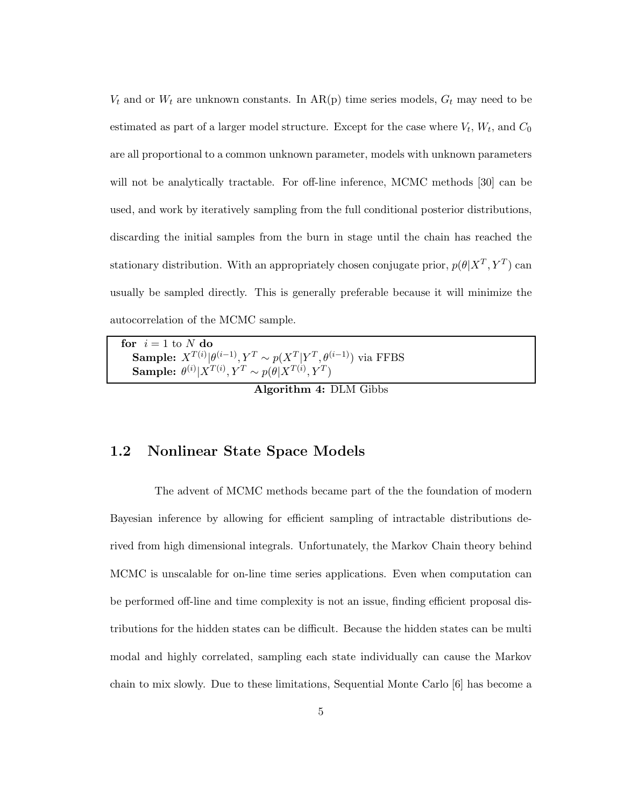$V_t$  and or  $W_t$  are unknown constants. In AR(p) time series models,  $G_t$  may need to be estimated as part of a larger model structure. Except for the case where  $V_t$ ,  $W_t$ , and  $C_0$ are all proportional to a common unknown parameter, models with unknown parameters will not be analytically tractable. For off-line inference, MCMC methods [30] can be used, and work by iteratively sampling from the full conditional posterior distributions, discarding the initial samples from the burn in stage until the chain has reached the stationary distribution. With an appropriately chosen conjugate prior,  $p(\theta|X^T, Y^T)$  can usually be sampled directly. This is generally preferable because it will minimize the autocorrelation of the MCMC sample.

| for $i = 1$ to N do                                                                                                                                                |  |
|--------------------------------------------------------------------------------------------------------------------------------------------------------------------|--|
| <b>Sample:</b> $X^{T(i)} \theta^{(i-1)}, Y^T \sim p(X^T Y^T, \theta^{(i-1)})$ via FFBS<br><b>Sample:</b> $\theta^{(i)} X^{T(i)}, Y^T \sim p(\theta X^{T(i)}, Y^T)$ |  |
|                                                                                                                                                                    |  |

Algorithm 4: DLM Gibbs

#### 1.2 Nonlinear State Space Models

The advent of MCMC methods became part of the the foundation of modern Bayesian inference by allowing for efficient sampling of intractable distributions derived from high dimensional integrals. Unfortunately, the Markov Chain theory behind MCMC is unscalable for on-line time series applications. Even when computation can be performed off-line and time complexity is not an issue, finding efficient proposal distributions for the hidden states can be difficult. Because the hidden states can be multi modal and highly correlated, sampling each state individually can cause the Markov chain to mix slowly. Due to these limitations, Sequential Monte Carlo [6] has become a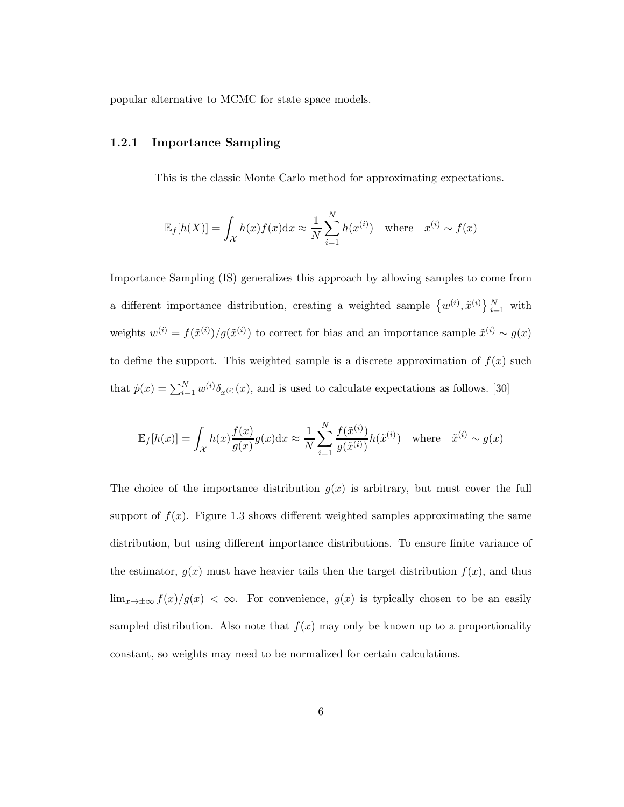popular alternative to MCMC for state space models.

#### 1.2.1 Importance Sampling

This is the classic Monte Carlo method for approximating expectations.

$$
\mathbb{E}_f[h(X)] = \int_{\mathcal{X}} h(x)f(x)dx \approx \frac{1}{N} \sum_{i=1}^N h(x^{(i)}) \text{ where } x^{(i)} \sim f(x)
$$

Importance Sampling (IS) generalizes this approach by allowing samples to come from a different importance distribution, creating a weighted sample  $\{w^{(i)}, \tilde{x}^{(i)}\}_{i=1}^N$  with weights  $w^{(i)} = f(\tilde{x}^{(i)})/g(\tilde{x}^{(i)})$  to correct for bias and an importance sample  $\tilde{x}^{(i)} \sim g(x)$ to define the support. This weighted sample is a discrete approximation of  $f(x)$  such that  $\dot{p}(x) = \sum_{i=1}^{N} w^{(i)} \delta_{x^{(i)}}(x)$ , and is used to calculate expectations as follows. [30]

$$
\mathbb{E}_f[h(x)] = \int_{\mathcal{X}} h(x) \frac{f(x)}{g(x)} g(x) dx \approx \frac{1}{N} \sum_{i=1}^N \frac{f(\tilde{x}^{(i)})}{g(\tilde{x}^{(i)})} h(\tilde{x}^{(i)}) \text{ where } \tilde{x}^{(i)} \sim g(x)
$$

The choice of the importance distribution  $g(x)$  is arbitrary, but must cover the full support of  $f(x)$ . Figure 1.3 shows different weighted samples approximating the same distribution, but using different importance distributions. To ensure finite variance of the estimator,  $g(x)$  must have heavier tails then the target distribution  $f(x)$ , and thus  $\lim_{x\to\pm\infty}f(x)/g(x) < \infty$ . For convenience,  $g(x)$  is typically chosen to be an easily sampled distribution. Also note that  $f(x)$  may only be known up to a proportionality constant, so weights may need to be normalized for certain calculations.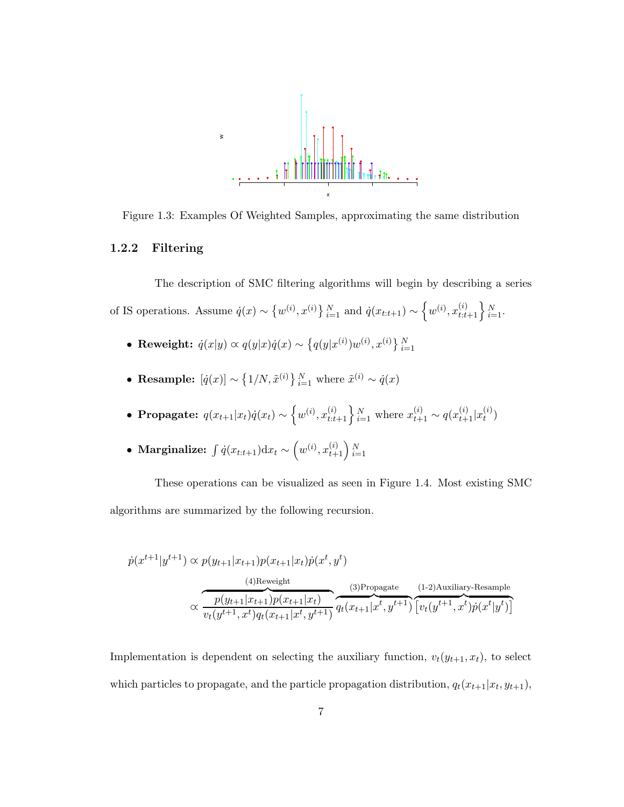

Figure 1.3: Examples Of Weighted Samples, approximating the same distribution

#### 1.2.2 Filtering

The description of SMC filtering algorithms will begin by describing a series of IS operations. Assume  $\dot{q}(x) \sim \{w^{(i)}, x^{(i)}\}_{i=1}^N$  and  $\dot{q}(x_{t:t+1}) \sim \left\{w^{(i)}, x_{t:t+1}^{(i)}\right\}_{i=1}^N$ .

- Reweight:  $\dot{q}(x|y) \propto q(y|x)\dot{q}(x) \sim \left\{q(y|x^{(i)})w^{(i)}, x^{(i)}\right\}_{i=1}^N$
- Resample:  $[\dot{q}(x)] \sim \{1/N, \tilde{x}^{(i)}\}_{i=1}^N$  where  $\tilde{x}^{(i)} \sim \dot{q}(x)$
- Propagate:  $q(x_{t+1}|x_t)q(x_t) \sim \left\{w^{(i)}, x_{t:t+1}^{(i)}\right\}_{i=1}^N$  where  $x_{t+1}^{(i)} \sim q(x_{t+1}^{(i)}|x_t^{(i)})$  $\binom{v}{t}$
- Marginalize:  $\int \dot{q}(x_{t:t+1}) \mathrm{d}x_t \sim \left(w^{(i)}, x_{t+1}^{(i)}\right)_{i=1}^N$

These operations can be visualized as seen in Figure 1.4. Most existing SMC algorithms are summarized by the following recursion.

$$
\dot{p}(x^{t+1}|y^{t+1}) \propto p(y_{t+1}|x_{t+1})p(x_{t+1}|x_t)\dot{p}(x^t, y^t)
$$
\n(4)Reweight\n(3)Propagate (1-2)Auxiliary-Resample\n
$$
\propto \overbrace{v_t(y^{t+1}, x^t)q_t(x_{t+1}|x^t, y^{t+1})}^{(4)Reweight} q_t(x_{t+1}|x^t, y^{t+1}) \overbrace{v_t(y^{t+1}, x^t)\dot{p}(x^t|y^t)}^{(1-2)Auxiliary-Resample}
$$

Implementation is dependent on selecting the auxiliary function,  $v_t(y_{t+1}, x_t)$ , to select which particles to propagate, and the particle propagation distribution,  $q_t(x_{t+1}|x_t, y_{t+1})$ ,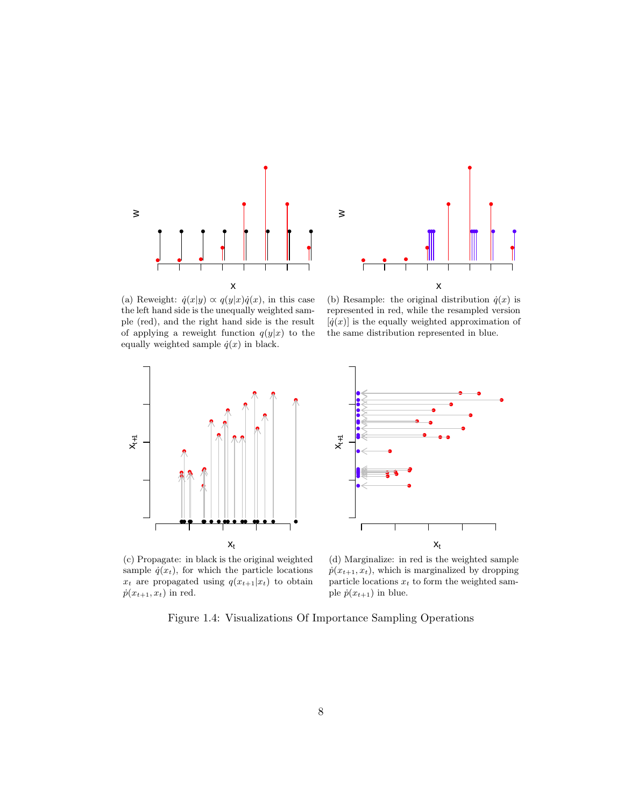

x w

(a) Reweight:  $\dot{q}(x|y) \propto q(y|x)\dot{q}(x)$ , in this case the left hand side is the unequally weighted sample (red), and the right hand side is the result of applying a reweight function  $q(y|x)$  to the equally weighted sample  $\dot{q}(x)$  in black.

(b) Resample: the original distribution  $\dot{q}(x)$  is represented in red, while the resampled version  $[ \dot{q}(x) ]$  is the equally weighted approximation of the same distribution represented in blue.



 $X_{t+1}$  $\Gamma$ ٦  $x_t$ 

(c) Propagate: in black is the original weighted sample  $\dot{q}(x_t)$ , for which the particle locations  $x_t$  are propagated using  $q(x_{t+1}|x_t)$  to obtain  $\dot{p}(x_{t+1}, x_t)$  in red.

(d) Marginalize: in red is the weighted sample  $\dot{p}(x_{t+1}, x_t)$ , which is marginalized by dropping particle locations  $x_t$  to form the weighted sample  $\dot{p}(x_{t+1})$  in blue.

Figure 1.4: Visualizations Of Importance Sampling Operations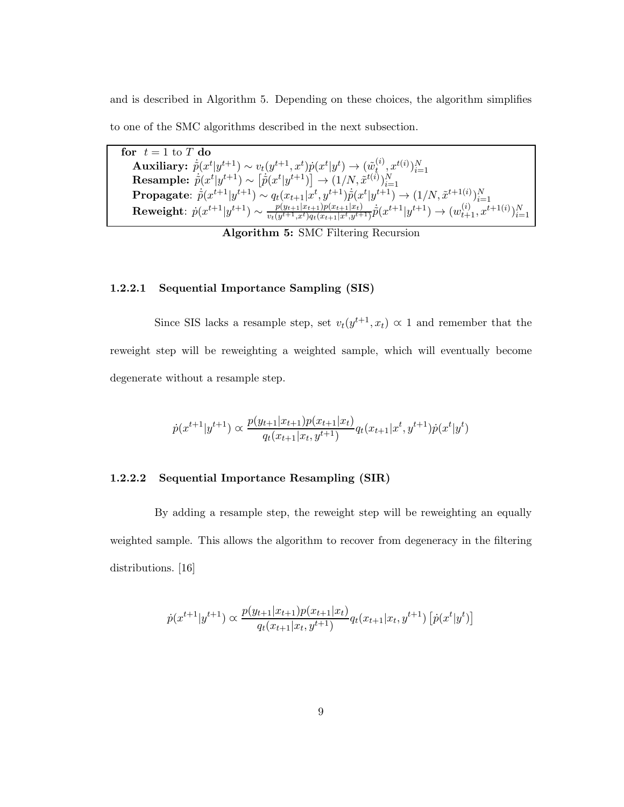and is described in Algorithm 5. Depending on these choices, the algorithm simplifies to one of the SMC algorithms described in the next subsection.

for  $t = 1$  to T do  $\textbf{Auxiliary:} \ \ \widetilde{p}(x^t|y^{t+1}) \sim v_t(y^{t+1},x^t) p(x^t|y^t) \rightarrow (\widetilde{w}_t^{(i)})$  $\begin{array}{ll} \textbf{Auxiliary:} \ \ \dot{\tilde{p}}(x^t|y^{t+1}) \sim v_t(y^{t+1},x^t) \dot{p}(x^t|y^t) \rightarrow (\tilde{w}_t^{(i)},x^{t(i)})_{i=1}^N \ \textbf{Resample:} \ \ \dot{\tilde{p}}(x^t|y^{t+1}) \sim \left[\dot{\tilde{p}}(x^t|y^{t+1})\right] \rightarrow (1/N,\tilde{x}^{t(i)})_{i=1}^N \ \textbf{Propagate:} \ \ \dot{\tilde{p}}(x^{t+1}|y^{t+1}) \sim q_t(x_{t+1}|x^t,y^{t+1}) \dot{\til$  ${\rm Reweight}\!\!: \dot{p}(x^{t+1}|y^{t+1}) \sim \frac{p(y_{t+1}|x_{t+1})p(x_{t+1}|x_t)}{v_t(y^{t+1},x^t)q_t(x_{t+1}|x^t,y^{t+1})}$  $\frac{p(y_{t+1}|x_{t+1})p(x_{t+1}|x_t)}{v_t(y^{t+1},x^t)q_t(x_{t+1}|x^t,y^{t+1})}\dot{p}(x^{t+1}|y^{t+1}) \rightarrow (w_{t+1}^{(i)},x^{t+1}(i))_{i=1}^N$ 

Algorithm 5: SMC Filtering Recursion

#### 1.2.2.1 Sequential Importance Sampling (SIS)

Since SIS lacks a resample step, set  $v_t(y^{t+1}, x_t) \propto 1$  and remember that the reweight step will be reweighting a weighted sample, which will eventually become degenerate without a resample step.

$$
\dot{p}(x^{t+1}|y^{t+1}) \propto \frac{p(y_{t+1}|x_{t+1})p(x_{t+1}|x_t)}{q_t(x_{t+1}|x_t, y^{t+1})} q_t(x_{t+1}|x^t, y^{t+1}) \dot{p}(x^t|y^t)
$$

#### 1.2.2.2 Sequential Importance Resampling (SIR)

By adding a resample step, the reweight step will be reweighting an equally weighted sample. This allows the algorithm to recover from degeneracy in the filtering distributions. [16]

$$
\dot{p}(x^{t+1}|y^{t+1}) \propto \frac{p(y_{t+1}|x_{t+1})p(x_{t+1}|x_t)}{q_t(x_{t+1}|x_t, y^{t+1})} q_t(x_{t+1}|x_t, y^{t+1}) \left[ \dot{p}(x^t|y^t) \right]
$$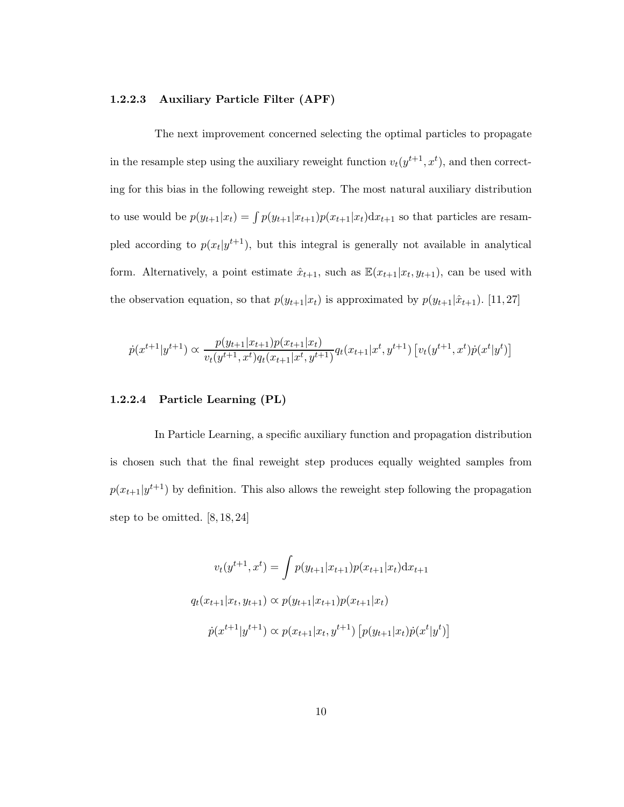#### 1.2.2.3 Auxiliary Particle Filter (APF)

The next improvement concerned selecting the optimal particles to propagate in the resample step using the auxiliary reweight function  $v_t(y^{t+1}, x^t)$ , and then correcting for this bias in the following reweight step. The most natural auxiliary distribution to use would be  $p(y_{t+1}|x_t) = \int p(y_{t+1}|x_{t+1})p(x_{t+1}|x_t)dx_{t+1}$  so that particles are resampled according to  $p(x_t|y^{t+1})$ , but this integral is generally not available in analytical form. Alternatively, a point estimate  $\hat{x}_{t+1}$ , such as  $\mathbb{E}(x_{t+1}|x_t, y_{t+1})$ , can be used with the observation equation, so that  $p(y_{t+1}|x_t)$  is approximated by  $p(y_{t+1}|\hat{x}_{t+1})$ . [11, 27]

$$
\dot{p}(x^{t+1}|y^{t+1}) \propto \frac{p(y_{t+1}|x_{t+1})p(x_{t+1}|x_t)}{v_t(y^{t+1},x^t)q_t(x_{t+1}|x^t,y^{t+1})} q_t(x_{t+1}|x^t,y^{t+1}) \left[ v_t(y^{t+1},x^t)\dot{p}(x^t|y^t) \right]
$$

#### 1.2.2.4 Particle Learning (PL)

In Particle Learning, a specific auxiliary function and propagation distribution is chosen such that the final reweight step produces equally weighted samples from  $p(x_{t+1}|y^{t+1})$  by definition. This also allows the reweight step following the propagation step to be omitted. [8, 18, 24]

$$
v_t(y^{t+1}, x^t) = \int p(y_{t+1}|x_{t+1})p(x_{t+1}|x_t)dx_{t+1}
$$

$$
q_t(x_{t+1}|x_t, y_{t+1}) \propto p(y_{t+1}|x_{t+1})p(x_{t+1}|x_t)
$$

$$
\dot{p}(x^{t+1}|y^{t+1}) \propto p(x_{t+1}|x_t, y^{t+1}) [p(y_{t+1}|x_t)\dot{p}(x^t|y^t)]
$$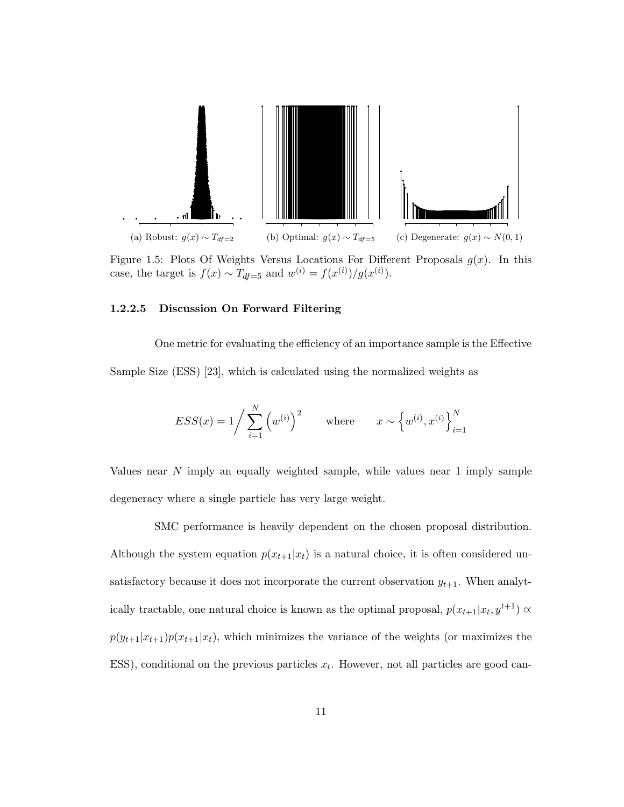

Figure 1.5: Plots Of Weights Versus Locations For Different Proposals  $g(x)$ . In this case, the target is  $f(x) \sim T_{df=5}$  and  $w^{(i)} = f(x^{(i)})/g(x^{(i)})$ .

#### 1.2.2.5 Discussion On Forward Filtering

One metric for evaluating the efficiency of an importance sample is the Effective Sample Size (ESS) [23], which is calculated using the normalized weights as

$$
ESS(x) = 1 / \sum_{i=1}^{N} (w^{(i)})^{2} \quad \text{where} \quad x \sim \{w^{(i)}, x^{(i)}\}_{i=1}^{N}
$$

Values near N imply an equally weighted sample, while values near 1 imply sample degeneracy where a single particle has very large weight.

SMC performance is heavily dependent on the chosen proposal distribution. Although the system equation  $p(x_{t+1}|x_t)$  is a natural choice, it is often considered unsatisfactory because it does not incorporate the current observation  $y_{t+1}$ . When analytically tractable, one natural choice is known as the optimal proposal,  $p(x_{t+1}|x_t, y^{t+1}) \propto$  $p(y_{t+1}|x_{t+1})p(x_{t+1}|x_t)$ , which minimizes the variance of the weights (or maximizes the ESS), conditional on the previous particles  $x_t$ . However, not all particles are good can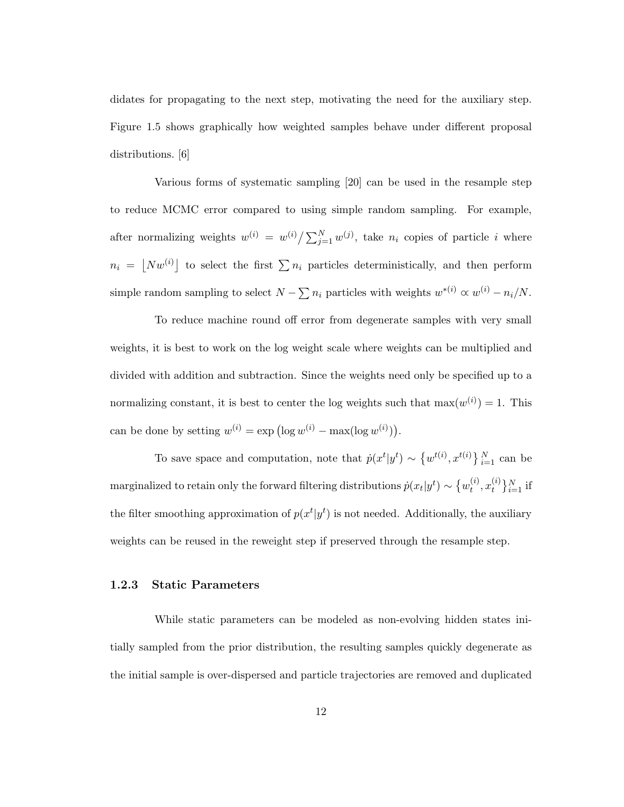didates for propagating to the next step, motivating the need for the auxiliary step. Figure 1.5 shows graphically how weighted samples behave under different proposal distributions. [6]

Various forms of systematic sampling [20] can be used in the resample step to reduce MCMC error compared to using simple random sampling. For example, after normalizing weights  $w^{(i)} = w^{(i)} / \sum_{j=1}^{N} w^{(j)}$ , take  $n_i$  copies of particle i where  $n_i = \lfloor N w^{(i)} \rfloor$  to select the first  $\sum n_i$  particles deterministically, and then perform simple random sampling to select  $N - \sum n_i$  particles with weights  $w^{*(i)} \propto w^{(i)} - n_i/N$ .

To reduce machine round off error from degenerate samples with very small weights, it is best to work on the log weight scale where weights can be multiplied and divided with addition and subtraction. Since the weights need only be specified up to a normalizing constant, it is best to center the log weights such that  $\max(w^{(i)}) = 1$ . This can be done by setting  $w^{(i)} = \exp\left(\log w^{(i)} - \max(\log w^{(i)})\right)$ .

To save space and computation, note that  $\dot{p}(x^t|y^t) \sim \{w^{t(i)}, x^{t(i)}\}_{i=1}^N$  can be marginalized to retain only the forward filtering distributions  $\dot{p}(x_t|y^t) \sim \{w_t^{(i)}\}$  $_{t}^{\left( i\right) },x_{t}^{\left( i\right) }$  $\{i \atop t}\}_{i=1}^{N}$  if the filter smoothing approximation of  $p(x^t|y^t)$  is not needed. Additionally, the auxiliary weights can be reused in the reweight step if preserved through the resample step.

#### 1.2.3 Static Parameters

While static parameters can be modeled as non-evolving hidden states initially sampled from the prior distribution, the resulting samples quickly degenerate as the initial sample is over-dispersed and particle trajectories are removed and duplicated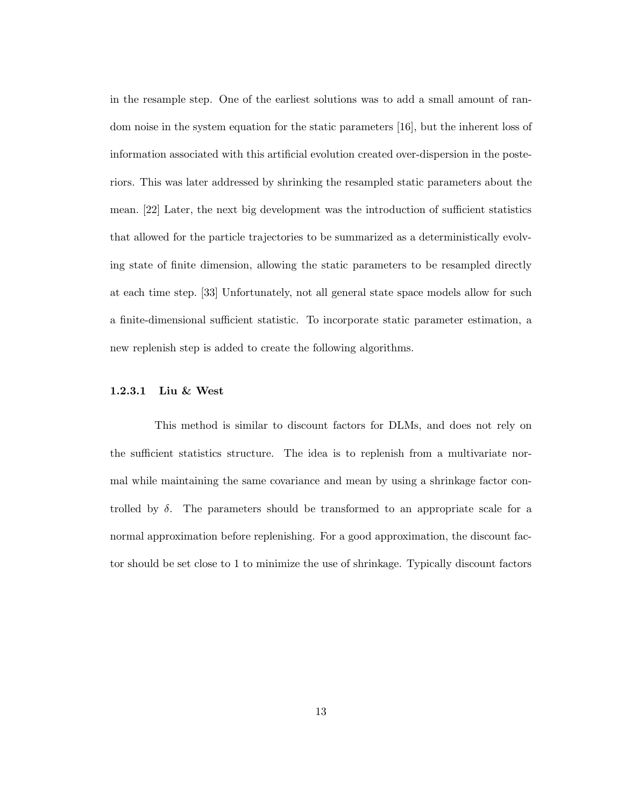in the resample step. One of the earliest solutions was to add a small amount of random noise in the system equation for the static parameters [16], but the inherent loss of information associated with this artificial evolution created over-dispersion in the posteriors. This was later addressed by shrinking the resampled static parameters about the mean. [22] Later, the next big development was the introduction of sufficient statistics that allowed for the particle trajectories to be summarized as a deterministically evolving state of finite dimension, allowing the static parameters to be resampled directly at each time step. [33] Unfortunately, not all general state space models allow for such a finite-dimensional sufficient statistic. To incorporate static parameter estimation, a new replenish step is added to create the following algorithms.

#### 1.2.3.1 Liu & West

This method is similar to discount factors for DLMs, and does not rely on the sufficient statistics structure. The idea is to replenish from a multivariate normal while maintaining the same covariance and mean by using a shrinkage factor controlled by  $\delta$ . The parameters should be transformed to an appropriate scale for a normal approximation before replenishing. For a good approximation, the discount factor should be set close to 1 to minimize the use of shrinkage. Typically discount factors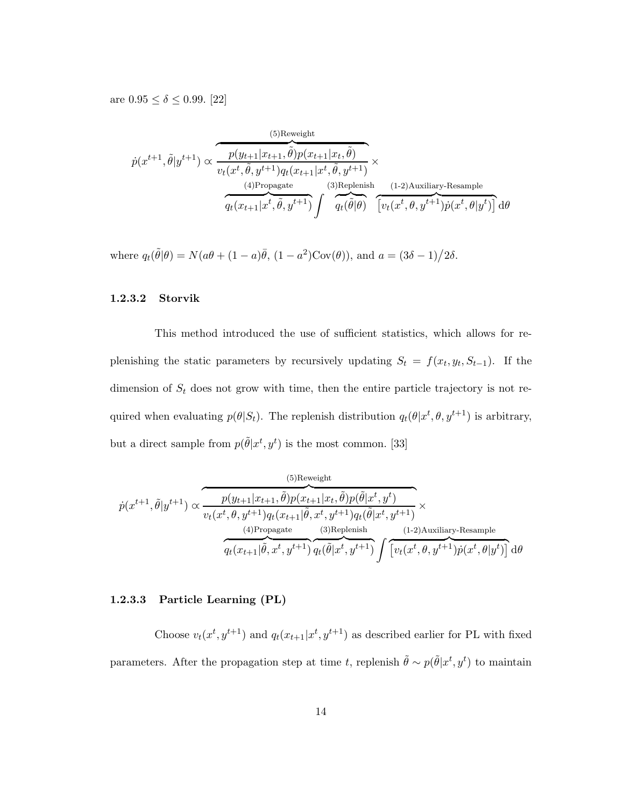are  $0.95 \le \delta \le 0.99$ . [22]

$$
\dot{p}(x^{t+1},\tilde{\theta}|y^{t+1}) \propto \frac{\overbrace{p(y_{t+1}|x_{t+1},\tilde{\theta})p(x_{t+1}|x_t,\tilde{\theta})}^{(5)\text{Reweight}}}{\overbrace{q_t(x_{t+1}|x^t,\tilde{\theta},y^{t+1})q_t(x_{t+1}|x^t,\tilde{\theta},y^{t+1})}^{(3)\text{Replenish}} \times \overbrace{q_t(x_{t+1}|x^t,\tilde{\theta},y^{t+1})}^{(4)\text{Propagate}} \int \overbrace{q_t(\tilde{\theta}|\theta)}^{(3)\text{Replenish}} \overbrace{[v_t(x^t,\theta,y^{t+1})\dot{p}(x^t,\theta|y^t)]}^{(1-2)\text{Auxiliary-Resample}}
$$

where  $q_t(\tilde{\theta}|\theta) = N(a\theta + (1-a)\bar{\theta}, (1-a^2) \text{Cov}(\theta)),$  and  $a = (3\delta - 1)/2\delta$ .

#### 1.2.3.2 Storvik

This method introduced the use of sufficient statistics, which allows for replenishing the static parameters by recursively updating  $S_t = f(x_t, y_t, S_{t-1})$ . If the dimension of  $S_t$  does not grow with time, then the entire particle trajectory is not required when evaluating  $p(\theta|S_t)$ . The replenish distribution  $q_t(\theta|x^t, \theta, y^{t+1})$  is arbitrary, but a direct sample from  $p(\tilde{\theta}|x^t, y^t)$  is the most common. [33]

(5)Reweight  
\n
$$
\hat{p}(x^{t+1},\tilde{\theta}|y^{t+1}) \propto \frac{p(y_{t+1}|x_{t+1},\tilde{\theta})p(x_{t+1}|x_t,\tilde{\theta})p(\tilde{\theta}|x^t,y^t)}{v_t(x^t,\theta,y^{t+1})q_t(x_{t+1}|\tilde{\theta},x^t,y^{t+1})q_t(\tilde{\theta}|x^t,y^{t+1})} \times \frac{\frac{(4) \text{Propagate}}{(3) \text{Replenish}}}{q_t(x_{t+1}|\tilde{\theta},x^t,y^{t+1})} \frac{\frac{(3) \text{Replenish}}{(1-2) \text{Auxiliary-Resample}}}{q_t(x_t,q,y^{t+1})q_t(\tilde{\theta}|x^t,y^{t+1})} \int \frac{\frac{(4) \text{Explenish}}{(1-2) \text{Auxiliary-Resample}}}{\frac{(4) \text{Explenish}}{(1-2) \text{Auxiliary-Resample}}} d\theta
$$

#### 1.2.3.3 Particle Learning (PL)

Choose  $v_t(x^t, y^{t+1})$  and  $q_t(x_{t+1}|x^t, y^{t+1})$  as described earlier for PL with fixed parameters. After the propagation step at time t, replenish  $\tilde{\theta} \sim p(\tilde{\theta}|x^t, y^t)$  to maintain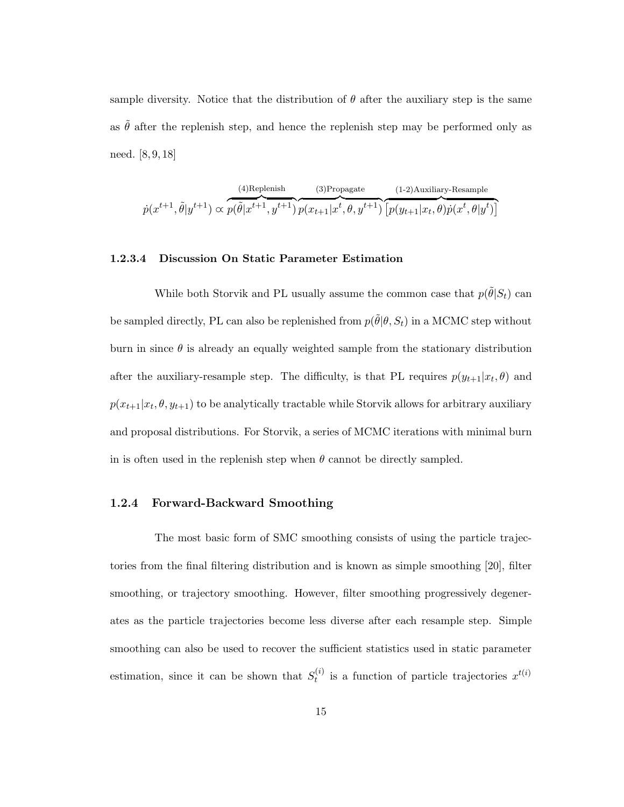sample diversity. Notice that the distribution of  $\theta$  after the auxiliary step is the same as  $\tilde{\theta}$  after the replenish step, and hence the replenish step may be performed only as need. [8, 9, 18]

 $\dot{p}(x^{t+1}, \tilde{\theta}|y^{t+1}) \propto$ (4)Replenish  $p(\tilde{\theta}|x^{t+1}, y^{t+1})$ (3)Propagate  $p(x_{t+1} | x^t, \theta, y^{t+1})$ (1-2)Auxiliary-Resample  $\left[ p(y_{t+1} | x_t, \theta) p(x^t, \theta | y^t) \right]$ 

#### 1.2.3.4 Discussion On Static Parameter Estimation

While both Storvik and PL usually assume the common case that  $p(\tilde{\theta}|S_t)$  can be sampled directly, PL can also be replenished from  $p(\tilde{\theta} | \theta, S_t)$  in a MCMC step without burn in since  $\theta$  is already an equally weighted sample from the stationary distribution after the auxiliary-resample step. The difficulty, is that PL requires  $p(y_{t+1}|x_t, \theta)$  and  $p(x_{t+1}|x_t, \theta, y_{t+1})$  to be analytically tractable while Storvik allows for arbitrary auxiliary and proposal distributions. For Storvik, a series of MCMC iterations with minimal burn in is often used in the replenish step when  $\theta$  cannot be directly sampled.

#### 1.2.4 Forward-Backward Smoothing

The most basic form of SMC smoothing consists of using the particle trajectories from the final filtering distribution and is known as simple smoothing [20], filter smoothing, or trajectory smoothing. However, filter smoothing progressively degenerates as the particle trajectories become less diverse after each resample step. Simple smoothing can also be used to recover the sufficient statistics used in static parameter estimation, since it can be shown that  $S_t^{(i)}$  $t_t^{(i)}$  is a function of particle trajectories  $x^{t(i)}$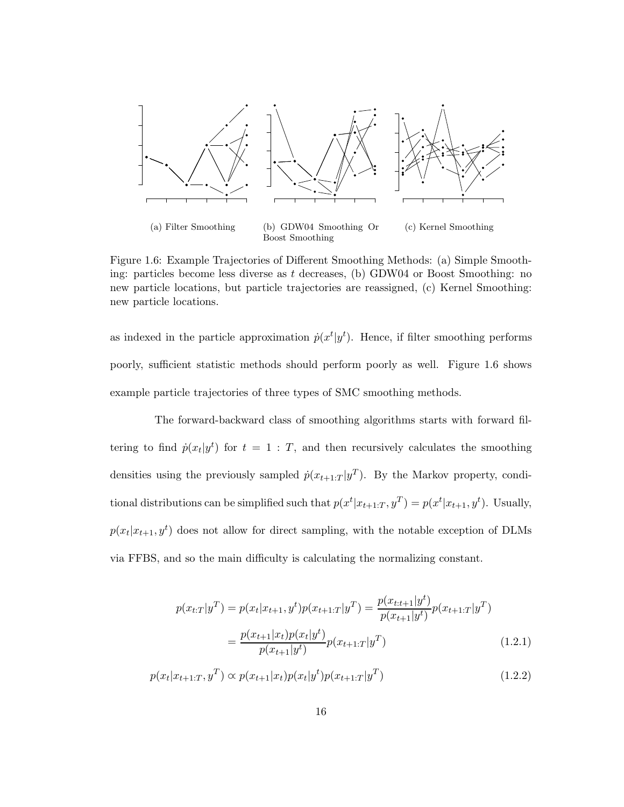

Figure 1.6: Example Trajectories of Different Smoothing Methods: (a) Simple Smoothing: particles become less diverse as  $t$  decreases, (b) GDW04 or Boost Smoothing: no new particle locations, but particle trajectories are reassigned, (c) Kernel Smoothing: new particle locations.

as indexed in the particle approximation  $\dot{p}(x^t|y^t)$ . Hence, if filter smoothing performs poorly, sufficient statistic methods should perform poorly as well. Figure 1.6 shows example particle trajectories of three types of SMC smoothing methods.

The forward-backward class of smoothing algorithms starts with forward filtering to find  $\dot{p}(x_t|y^t)$  for  $t = 1 : T$ , and then recursively calculates the smoothing densities using the previously sampled  $\dot{p}(x_{t+1:T} | y^T)$ . By the Markov property, conditional distributions can be simplified such that  $p(x^t | x_{t+1:T}, y^T) = p(x^t | x_{t+1}, y^t)$ . Usually,  $p(x_t|x_{t+1}, y^t)$  does not allow for direct sampling, with the notable exception of DLMs via FFBS, and so the main difficulty is calculating the normalizing constant.

$$
p(x_{t:T}|y^T) = p(x_t|x_{t+1}, y^t)p(x_{t+1:T}|y^T) = \frac{p(x_{t:t+1}|y^t)}{p(x_{t+1}|y^t)}p(x_{t+1:T}|y^T)
$$

$$
= \frac{p(x_{t+1}|x_t)p(x_t|y^t)}{p(x_{t+1}|y^t)}p(x_{t+1:T}|y^T)
$$
(1.2.1)

$$
p(x_t|x_{t+1:T}, y^T) \propto p(x_{t+1}|x_t)p(x_t|y^t)p(x_{t+1:T}|y^T)
$$
\n(1.2.2)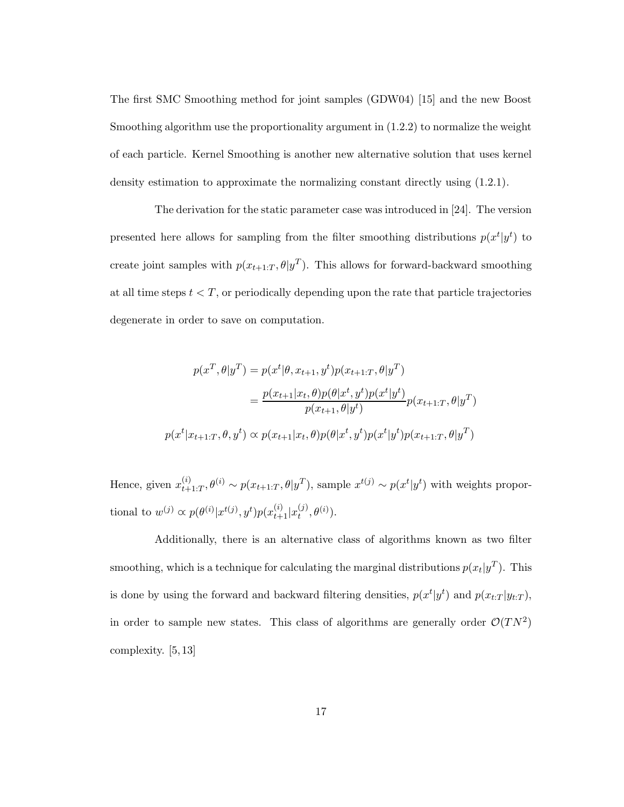The first SMC Smoothing method for joint samples (GDW04) [15] and the new Boost Smoothing algorithm use the proportionality argument in (1.2.2) to normalize the weight of each particle. Kernel Smoothing is another new alternative solution that uses kernel density estimation to approximate the normalizing constant directly using (1.2.1).

The derivation for the static parameter case was introduced in [24]. The version presented here allows for sampling from the filter smoothing distributions  $p(x^t|y^t)$  to create joint samples with  $p(x_{t+1:T}, \theta | y^T)$ . This allows for forward-backward smoothing at all time steps  $t < T$ , or periodically depending upon the rate that particle trajectories degenerate in order to save on computation.

$$
p(x^T, \theta | y^T) = p(x^t | \theta, x_{t+1}, y^t) p(x_{t+1:T}, \theta | y^T)
$$
  
= 
$$
\frac{p(x_{t+1} | x_t, \theta) p(\theta | x^t, y^t) p(x^t | y^t)}{p(x_{t+1}, \theta | y^t)} p(x_{t+1:T}, \theta | y^T)
$$
  

$$
p(x^t | x_{t+1:T}, \theta, y^t) \propto p(x_{t+1} | x_t, \theta) p(\theta | x^t, y^t) p(x^t | y^t) p(x_{t+1:T}, \theta | y^T)
$$

Hence, given  $x_{t+1}^{(i)}$  $t_{t+1:T}^{(i)}, \theta^{(i)} \sim p(x_{t+1:T}, \theta | y^T)$ , sample  $x^{t(j)} \sim p(x^t | y^t)$  with weights proportional to  $w^{(j)} \propto p(\theta^{(i)} | x^{t(j)}, y^t) p(x_{t+1}^{(i)} | x_t^{(j)})$  $_{t}^{(j)},\theta^{(i)}).$ 

Additionally, there is an alternative class of algorithms known as two filter smoothing, which is a technique for calculating the marginal distributions  $p(x_t|y^T)$ . This is done by using the forward and backward filtering densities,  $p(x^t | y^t)$  and  $p(x_{t:T} | y_{t:T})$ , in order to sample new states. This class of algorithms are generally order  $\mathcal{O}(TN^2)$ complexity. [5, 13]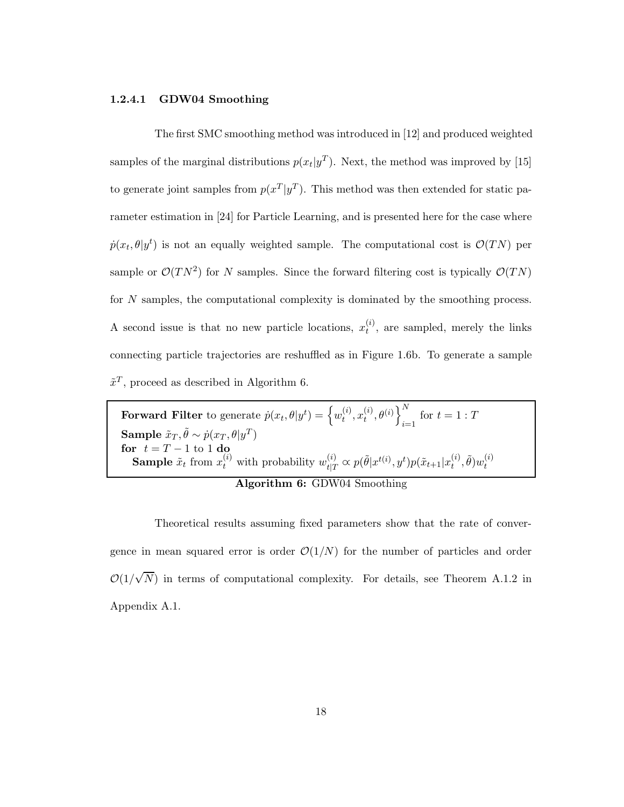#### 1.2.4.1 GDW04 Smoothing

The first SMC smoothing method was introduced in [12] and produced weighted samples of the marginal distributions  $p(x_t|y^T)$ . Next, the method was improved by [15] to generate joint samples from  $p(x^T|y^T)$ . This method was then extended for static parameter estimation in [24] for Particle Learning, and is presented here for the case where  $\dot{p}(x_t, \theta | y^t)$  is not an equally weighted sample. The computational cost is  $\mathcal{O}(TN)$  per sample or  $\mathcal{O}(TN^2)$  for N samples. Since the forward filtering cost is typically  $\mathcal{O}(TN)$ for N samples, the computational complexity is dominated by the smoothing process. A second issue is that no new particle locations,  $x_t^{(i)}$  $t^{(i)}$ , are sampled, merely the links connecting particle trajectories are reshuffled as in Figure 1.6b. To generate a sample  $\tilde{x}^T$ , proceed as described in Algorithm 6.

Forward Filter to generate  $\dot{p}(x_t, \theta | y^t) = \left\{w_t^{(i)}\right\}$  $_{t}^{\left( i\right) },x_{t}^{\left( i\right) }$  $\left\{ \begin{matrix} (i)\ t \end{matrix} \right\}^{N}_{i}$  $i=1$  if  $t = 1 : T$ Sample  $\tilde{x}_T, \tilde{\theta} \sim \dot{p}(x_T, \theta | y^T)$ for  $t = T - 1$  to 1 do **Sample**  $\tilde{x}_t$  from  $x_t^{(i)}$  with probability  $w_{t|T}^{(i)} \propto p(\tilde{\theta}|x^{t(i)}, y^t)p(\tilde{x}_{t+1}|x_t^{(i)})$  $_{t}^{\left( i\right) },\tilde{\theta})w_{t}^{\left( i\right) }$ t



Theoretical results assuming fixed parameters show that the rate of convergence in mean squared error is order  $\mathcal{O}(1/N)$  for the number of particles and order  $\mathcal{O}(1/\sqrt{N})$  in terms of computational complexity. For details, see Theorem A.1.2 in Appendix A.1.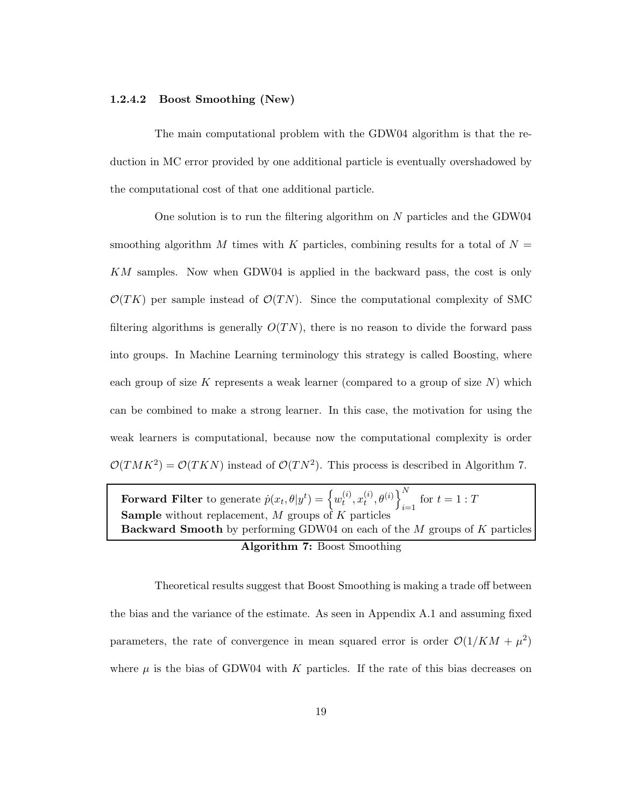#### 1.2.4.2 Boost Smoothing (New)

The main computational problem with the GDW04 algorithm is that the reduction in MC error provided by one additional particle is eventually overshadowed by the computational cost of that one additional particle.

One solution is to run the filtering algorithm on  $N$  particles and the GDW04 smoothing algorithm M times with K particles, combining results for a total of  $N =$ KM samples. Now when GDW04 is applied in the backward pass, the cost is only  $\mathcal{O}(TK)$  per sample instead of  $\mathcal{O}(TN)$ . Since the computational complexity of SMC filtering algorithms is generally  $O(TN)$ , there is no reason to divide the forward pass into groups. In Machine Learning terminology this strategy is called Boosting, where each group of size K represents a weak learner (compared to a group of size  $N$ ) which can be combined to make a strong learner. In this case, the motivation for using the weak learners is computational, because now the computational complexity is order  $\mathcal{O}(TMK^2) = \mathcal{O}(TKN)$  instead of  $\mathcal{O}(TN^2)$ . This process is described in Algorithm 7.

Forward Filter to generate  $\dot{p}(x_t, \theta | y^t) = \left\{w_t^{(i)}\right\}$  $_{t}^{\left( i\right) },x_{t}^{\left( i\right) }$  $\left\{ \begin{matrix} (i), \theta^{(i)} \end{matrix} \right\}_{i=1}^N$  $i=1$  if  $t = 1 : T$ **Sample** without replacement, M groups of K particles **Backward Smooth** by performing GDW04 on each of the  $M$  groups of  $K$  particles Algorithm 7: Boost Smoothing

Theoretical results suggest that Boost Smoothing is making a trade off between the bias and the variance of the estimate. As seen in Appendix A.1 and assuming fixed parameters, the rate of convergence in mean squared error is order  $\mathcal{O}(1/KM + \mu^2)$ where  $\mu$  is the bias of GDW04 with K particles. If the rate of this bias decreases on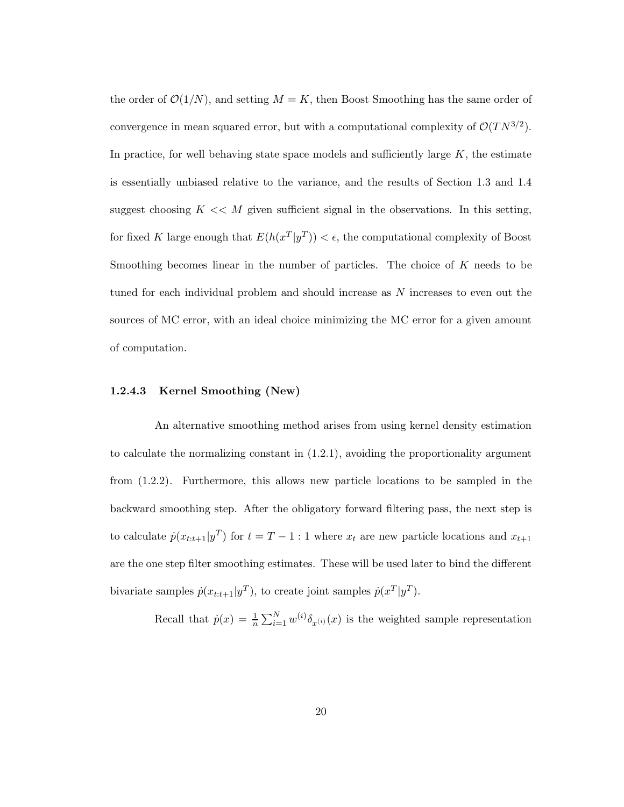the order of  $\mathcal{O}(1/N)$ , and setting  $M = K$ , then Boost Smoothing has the same order of convergence in mean squared error, but with a computational complexity of  $\mathcal{O}(TN^{3/2})$ . In practice, for well behaving state space models and sufficiently large  $K$ , the estimate is essentially unbiased relative to the variance, and the results of Section 1.3 and 1.4 suggest choosing  $K \ll M$  given sufficient signal in the observations. In this setting, for fixed K large enough that  $E(h(x^T|y^T)) < \epsilon$ , the computational complexity of Boost Smoothing becomes linear in the number of particles. The choice of  $K$  needs to be tuned for each individual problem and should increase as N increases to even out the sources of MC error, with an ideal choice minimizing the MC error for a given amount of computation.

#### 1.2.4.3 Kernel Smoothing (New)

An alternative smoothing method arises from using kernel density estimation to calculate the normalizing constant in (1.2.1), avoiding the proportionality argument from (1.2.2). Furthermore, this allows new particle locations to be sampled in the backward smoothing step. After the obligatory forward filtering pass, the next step is to calculate  $\dot{p}(x_{t:t+1}|y^T)$  for  $t = T - 1$ : 1 where  $x_t$  are new particle locations and  $x_{t+1}$ are the one step filter smoothing estimates. These will be used later to bind the different bivariate samples  $\dot{p}(x_{t:t+1}|y^T)$ , to create joint samples  $\dot{p}(x^T|y^T)$ .

Recall that  $\dot{p}(x) = \frac{1}{n} \sum_{i=1}^{N} w^{(i)} \delta_{x^{(i)}}(x)$  is the weighted sample representation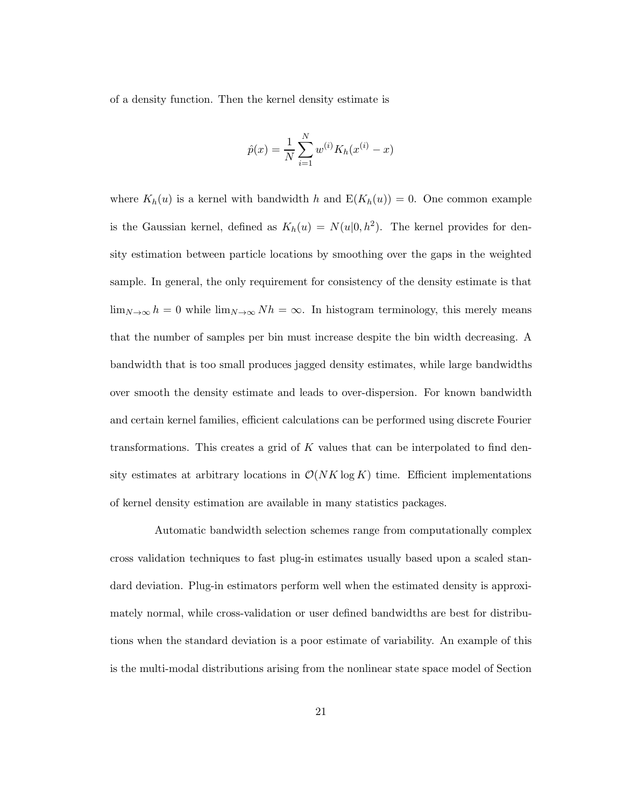of a density function. Then the kernel density estimate is

$$
\hat{p}(x) = \frac{1}{N} \sum_{i=1}^{N} w^{(i)} K_h(x^{(i)} - x)
$$

where  $K_h(u)$  is a kernel with bandwidth h and  $E(K_h(u)) = 0$ . One common example is the Gaussian kernel, defined as  $K_h(u) = N(u|0, h^2)$ . The kernel provides for density estimation between particle locations by smoothing over the gaps in the weighted sample. In general, the only requirement for consistency of the density estimate is that  $\lim_{N\to\infty} h = 0$  while  $\lim_{N\to\infty} Nh = \infty$ . In histogram terminology, this merely means that the number of samples per bin must increase despite the bin width decreasing. A bandwidth that is too small produces jagged density estimates, while large bandwidths over smooth the density estimate and leads to over-dispersion. For known bandwidth and certain kernel families, efficient calculations can be performed using discrete Fourier transformations. This creates a grid of K values that can be interpolated to find density estimates at arbitrary locations in  $\mathcal{O}(NK \log K)$  time. Efficient implementations of kernel density estimation are available in many statistics packages.

Automatic bandwidth selection schemes range from computationally complex cross validation techniques to fast plug-in estimates usually based upon a scaled standard deviation. Plug-in estimators perform well when the estimated density is approximately normal, while cross-validation or user defined bandwidths are best for distributions when the standard deviation is a poor estimate of variability. An example of this is the multi-modal distributions arising from the nonlinear state space model of Section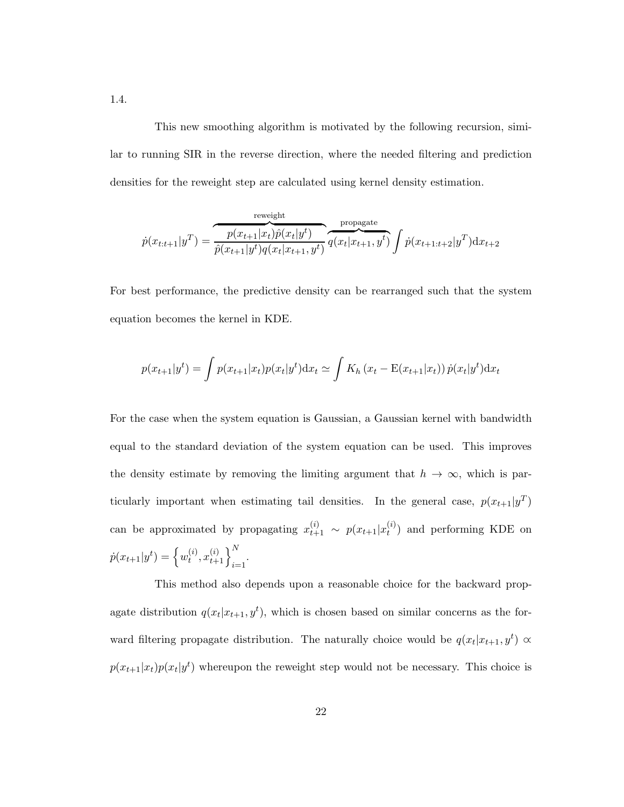This new smoothing algorithm is motivated by the following recursion, similar to running SIR in the reverse direction, where the needed filtering and prediction densities for the reweight step are calculated using kernel density estimation.

$$
\dot{p}(x_{t:t+1}|y^T) = \underbrace{\overbrace{\dot{p}(x_{t+1}|x_t)\hat{p}(x_t|y^t)}^{\text{reweight}}}_{\hat{p}(x_{t+1}|y^t)q(x_t|x_{t+1},y^t)}\overbrace{\dot{q}(x_t|x_{t+1},y^t)}^{\text{propagate}}\int \dot{p}(x_{t+1:t+2}|y^T)\mathrm{d}x_{t+2}
$$

For best performance, the predictive density can be rearranged such that the system equation becomes the kernel in KDE.

$$
p(x_{t+1}|y^t) = \int p(x_{t+1}|x_t)p(x_t|y^t)dx_t \simeq \int K_h(x_t - E(x_{t+1}|x_t))\,\dot{p}(x_t|y^t)dx_t
$$

For the case when the system equation is Gaussian, a Gaussian kernel with bandwidth equal to the standard deviation of the system equation can be used. This improves the density estimate by removing the limiting argument that  $h \to \infty$ , which is particularly important when estimating tail densities. In the general case,  $p(x_{t+1}|y^T)$ can be approximated by propagating  $x_{t+1}^{(i)} \sim p(x_{t+1}|x_t^{(i)})$  $t^{(i)}$  and performing KDE on  $\dot{p}(x_{t+1}|y^{t}) = \left\{w_t^{(i)}\right\}$  $\left\{ \begin{matrix} (i), x_{t+1}^{(i)} \end{matrix} \right\}_{i=1}^N$ .

This method also depends upon a reasonable choice for the backward propagate distribution  $q(x_t|x_{t+1}, y^t)$ , which is chosen based on similar concerns as the forward filtering propagate distribution. The naturally choice would be  $q(x_t|x_{t+1}, y^t) \propto$  $p(x_{t+1}|x_t)p(x_t|y^t)$  whereupon the reweight step would not be necessary. This choice is

1.4.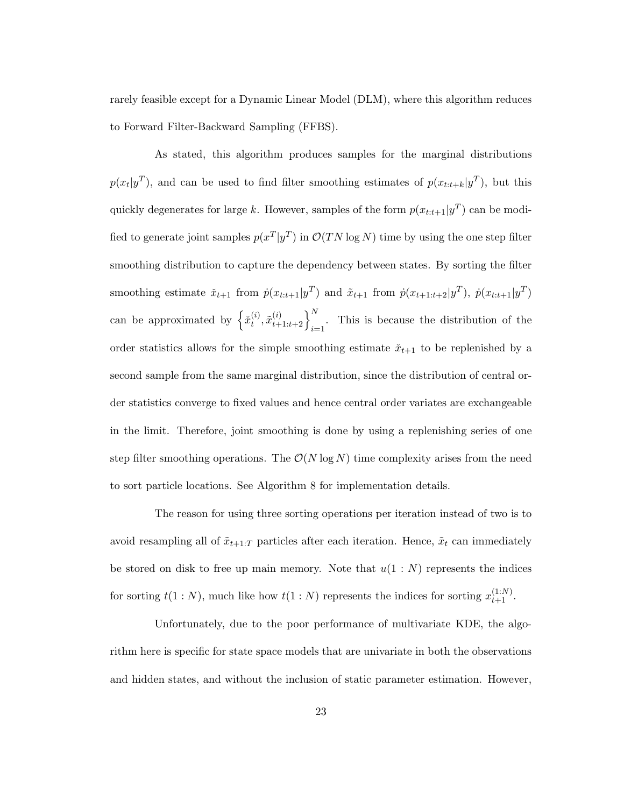rarely feasible except for a Dynamic Linear Model (DLM), where this algorithm reduces to Forward Filter-Backward Sampling (FFBS).

As stated, this algorithm produces samples for the marginal distributions  $p(x_t|y^T)$ , and can be used to find filter smoothing estimates of  $p(x_{t:t+k}|y^T)$ , but this quickly degenerates for large k. However, samples of the form  $p(x_{t:t+1}|y^T)$  can be modified to generate joint samples  $p(x^T|y^T)$  in  $\mathcal{O}(TN \log N)$  time by using the one step filter smoothing distribution to capture the dependency between states. By sorting the filter smoothing estimate  $\tilde{x}_{t+1}$  from  $\dot{p}(x_{t:t+1}|y^T)$  and  $\tilde{x}_{t+1}$  from  $\dot{p}(x_{t+1:t+2}|y^T)$ ,  $\dot{p}(x_{t:t+1}|y^T)$ can be approximated by  $\left\{\tilde{x}_t^{(i)}\right\}$  $\left\{\begin{matrix} (i), x_{t+1:t+2}^{(i)} \end{matrix}\right\}_{i=1}^N$ . This is because the distribution of the order statistics allows for the simple smoothing estimate  $\check{x}_{t+1}$  to be replenished by a second sample from the same marginal distribution, since the distribution of central order statistics converge to fixed values and hence central order variates are exchangeable in the limit. Therefore, joint smoothing is done by using a replenishing series of one step filter smoothing operations. The  $\mathcal{O}(N \log N)$  time complexity arises from the need to sort particle locations. See Algorithm 8 for implementation details.

The reason for using three sorting operations per iteration instead of two is to avoid resampling all of  $\tilde{x}_{t+1:T}$  particles after each iteration. Hence,  $\tilde{x}_t$  can immediately be stored on disk to free up main memory. Note that  $u(1:N)$  represents the indices for sorting  $t(1:N)$ , much like how  $t(1:N)$  represents the indices for sorting  $x_{t+1}^{(1:N)}$ .

Unfortunately, due to the poor performance of multivariate KDE, the algorithm here is specific for state space models that are univariate in both the observations and hidden states, and without the inclusion of static parameter estimation. However,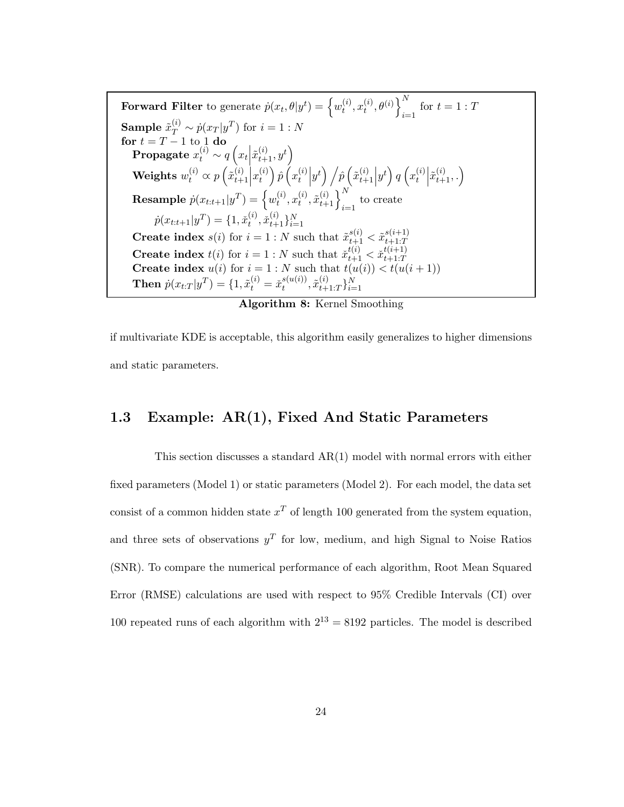Forward Filter to generate  $\dot{p}(x_t, \theta | y^t) = \left\{w_t^{(i)}\right\}$  $_{t}^{\left( i\right) },x_{t}^{\left( i\right) }$  $\left\{ \begin{matrix} (i)\ t \end{matrix} \right\}^{N}_{i}$  $i=1$  if  $t = 1 : T$ **Sample**  $\tilde{x}_T^{(i)} \sim \dot{p}(x_T | y^T)$  for  $i = 1:N$  $\mathbf{for}~t = T - 1~\mathrm{to}~\mathop{1}\limits_{\left(i\right)}\mathbf{do}$ Propagate  $x_t^{(i)} \sim q\left(x_t \middle| \tilde{x}_{t+1}^{(i)}, y^t\right)$ Weights  $w_t^{(i)} \varpropto p\left(\tilde{x}_{t+}^{(i)}\right)$  $\begin{cases} i \\ t+1 \end{cases} x_t^{(i)}$  $\left( \begin{matrix} i \ i \end{matrix} \right) \hat{p} \left( x_t^{(i)} \right)$  $\hat{p}_{t}^{(i)}\Big|y^{t}\Big)\Big/\hat{p}\Big(\tilde{x}_{t+1}^{(i)}$  $\begin{pmatrix} i \\ t+1 \end{pmatrix} y^t$   $q \left( x_t^{(i)} \right)$  $\begin{pmatrix} i \\ t \end{pmatrix} \tilde{x}_{t+1}^{(i)}, \cdot$  $\textbf{Resample} \; \dot{p}(x_{t:t+1} | y^T) = \Big\{w_t^{(i)}\Big\}$  $_{t}^{\left( i\right) },x_{t}^{\left( i\right) }$  $\left. \begin{array}{c} (i), \tilde{x}_{t+1}^{(i)} \end{array} \right\}_{i=1}^{N}$  to create  $\dot{p}(x_{t:t+1}|y^T) = \{1, \check{x}_t^{(i)}\}$  $\{e^{i}, \check{x}_{t+1}^{(i)}\}_{i=1}^{N}$ **Create index**  $s(i)$  for  $i = 1 : N$  such that  $\tilde{x}_{t+1}^{s(i)} < \tilde{x}_{t+1:T}^{s(i+1)}$  $t+1:T$ **Create index**  $t(i)$  for  $i = 1:N$  such that  $\tilde{x}_{t+1}^{t(i)} < \tilde{x}_{t+1:T}^{t(i+1)}$ Create index  $u(i)$  for  $i = 1:N$  such that  $t(u(i)) < t(u(i+1))$ <br>Create index  $u(i)$  for  $i = 1:N$  such that  $t(u(i)) < t(u(i+1))$ **Then**  $\dot{p}(x_{t:T} | y^T) = \{1, \tilde{x}_t^{(i)} = \tilde{x}_t^{s(u(i))}\}$  $_{t}^{s(u(i))},\tilde{x}_{t+}^{(i)}$  $_{t+1:T}^{(i)}\}_{i=1}^{N}$ 

Algorithm 8: Kernel Smoothing

if multivariate KDE is acceptable, this algorithm easily generalizes to higher dimensions and static parameters.

#### 1.3 Example: AR(1), Fixed And Static Parameters

This section discusses a standard AR(1) model with normal errors with either fixed parameters (Model 1) or static parameters (Model 2). For each model, the data set consist of a common hidden state  $x^T$  of length 100 generated from the system equation, and three sets of observations  $y<sup>T</sup>$  for low, medium, and high Signal to Noise Ratios (SNR). To compare the numerical performance of each algorithm, Root Mean Squared Error (RMSE) calculations are used with respect to 95% Credible Intervals (CI) over 100 repeated runs of each algorithm with  $2^{13} = 8192$  particles. The model is described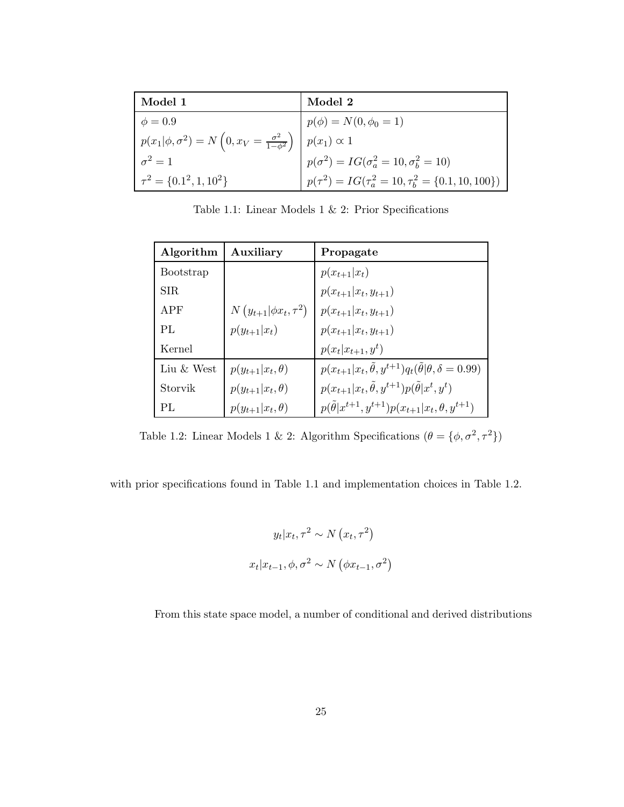| Model 1                                                                                       | Model 2                                                      |
|-----------------------------------------------------------------------------------------------|--------------------------------------------------------------|
| $\phi = 0.9$                                                                                  | $p(\phi) = N(0, \phi_0 = 1)$                                 |
| $p(x_1 \phi, \sigma^2) = N\left(0, x_V = \frac{\sigma^2}{1-\phi^2}\right)$ $p(x_1) \propto 1$ |                                                              |
| $\sigma^2=1$                                                                                  | $p(\sigma^2) = IG(\sigma_a^2 = 10, \sigma_b^2 = 10)$         |
| $\tau^2 = \{0.1^2, 1, 10^2\}$                                                                 | $p(\tau^2) = IG(\tau_a^2 = 10, \tau_b^2 = \{0.1, 10, 100\})$ |

Table 1.1: Linear Models 1 & 2: Prior Specifications

| Algorithm       | Auxiliary                     | Propagate                                                                          |
|-----------------|-------------------------------|------------------------------------------------------------------------------------|
| Bootstrap       |                               | $p(x_{t+1} x_t)$                                                                   |
| SIR.            |                               | $p(x_{t+1} x_t,y_{t+1})$                                                           |
| APF             | $N(y_{t+1} \phi x_t, \tau^2)$ | $p(x_{t+1} x_t, y_{t+1})$                                                          |
| PI <sub>1</sub> | $p(y_{t+1} x_t)$              | $p(x_{t+1} x_t,y_{t+1})$                                                           |
| Kernel          |                               | $p(x_t x_{t+1}, y^t)$                                                              |
| Liu & West      | $p(y_{t+1} x_t, \theta)$      | $p(x_{t+1} x_t, \tilde{\theta}, y^{t+1})q_t(\tilde{\theta} \theta, \delta = 0.99)$ |
| Storvik         | $p(y_{t+1} x_t, \theta)$      | $p(x_{t+1} x_t, \tilde{\theta}, y^{t+1})p(\tilde{\theta} x^t, y^t)$                |
| PL              | $p(y_{t+1} x_t, \theta)$      | $p(\theta   x^{t+1}, y^{t+1}) p(x_{t+1}   x_t, \theta, y^{t+1})$                   |

Table 1.2: Linear Models 1 & 2: Algorithm Specifications  $(\theta = {\phi, \sigma^2, \tau^2})$ 

with prior specifications found in Table 1.1 and implementation choices in Table 1.2.

$$
y_t | x_t, \tau^2 \sim N(x_t, \tau^2)
$$

$$
x_t | x_{t-1}, \phi, \sigma^2 \sim N(\phi x_{t-1}, \sigma^2)
$$

From this state space model, a number of conditional and derived distributions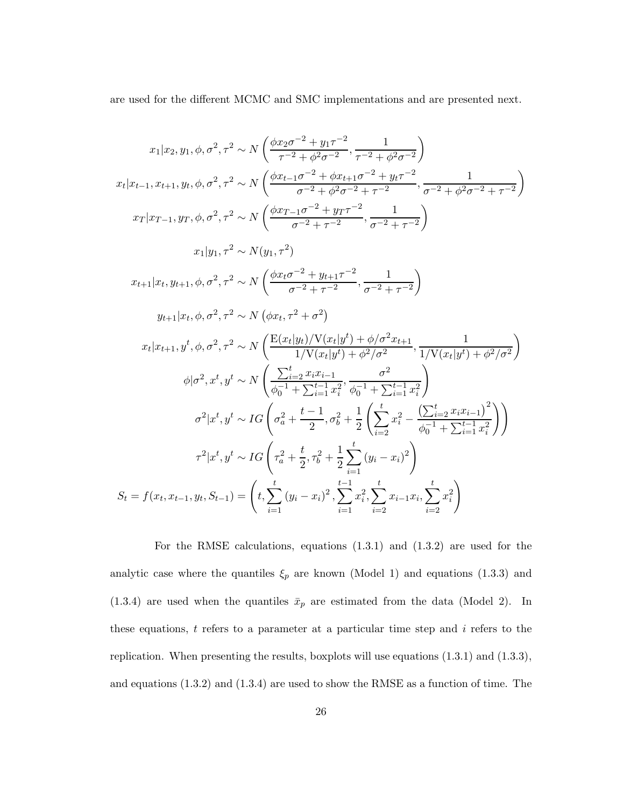are used for the different MCMC and SMC implementations and are presented next.

$$
x_{1}|x_{2}, y_{1}, \phi, \sigma^{2}, \tau^{2} \sim N\left(\frac{\phi x_{2} \sigma^{-2} + y_{1} \tau^{-2}}{\tau^{-2} + \phi^{2} \sigma^{-2}}, \frac{1}{\tau^{-2} + \phi^{2} \sigma^{-2}}\right)
$$
\n
$$
x_{t}|x_{t-1}, x_{t+1}, y_{t}, \phi, \sigma^{2}, \tau^{2} \sim N\left(\frac{\phi x_{t-1} \sigma^{-2} + \phi x_{t+1} \sigma^{-2} + y_{t} \tau^{-2}}{\sigma^{-2} + \phi^{2} \sigma^{-2} + \tau^{-2}}, \frac{1}{\sigma^{-2} + \phi^{2} \sigma^{-2} + \tau^{-2}}\right)
$$
\n
$$
x_{T}|x_{T-1}, y_{T}, \phi, \sigma^{2}, \tau^{2} \sim N\left(\frac{\phi x_{T-1} \sigma^{-2} + y_{T} \tau^{-2}}{\sigma^{-2} + \tau^{-2}}, \frac{1}{\sigma^{-2} + \phi^{2} \sigma^{-2} + \tau^{-2}}\right)
$$
\n
$$
x_{1}|y_{1}, \tau^{2} \sim N(y_{1}, \tau^{2})
$$
\n
$$
x_{t+1}|x_{t}, y_{t+1}, \phi, \sigma^{2}, \tau^{2} \sim N\left(\frac{\phi x_{t} \sigma^{-2} + y_{t+1} \tau^{-2}}{\sigma^{-2} + \tau^{-2}}, \frac{1}{\sigma^{-2} + \tau^{-2}}\right)
$$
\n
$$
y_{t+1}|x_{t}, \phi, \sigma^{2}, \tau^{2} \sim N\left(\phi x_{t}, \tau^{2} + \sigma^{2}\right)
$$
\n
$$
x_{t}|x_{t+1}, y^{t}, \phi, \sigma^{2}, \tau^{2} \sim N\left(\frac{\text{E}(x_{t}|y_{t})}{V(x_{t}|y^{t}) + \phi/\sigma^{2} x_{t+1}}{\tau^{-2}}, \frac{1}{\sqrt{V(x_{t}|y^{t}) + \phi^{2} / \sigma^{2}}}\right)
$$
\n
$$
\phi|\sigma^{2}, x^{t}, y^{t} \sim N\left(\frac{\sum_{i=2}^{t} x_{i} x_{i-1}}{\phi_{0}^{-1} + \sum_{i=1}^{t-1} x_{i}^{2}} \phi_{0}^{-1} + \sum_{i=1}^{t-1} x_{i}^{2}\right)
$$
\n<math display="</math>

For the RMSE calculations, equations (1.3.1) and (1.3.2) are used for the analytic case where the quantiles  $\xi_p$  are known (Model 1) and equations (1.3.3) and (1.3.4) are used when the quantiles  $\bar{x}_p$  are estimated from the data (Model 2). In these equations,  $t$  refers to a parameter at a particular time step and  $i$  refers to the replication. When presenting the results, boxplots will use equations (1.3.1) and (1.3.3), and equations (1.3.2) and (1.3.4) are used to show the RMSE as a function of time. The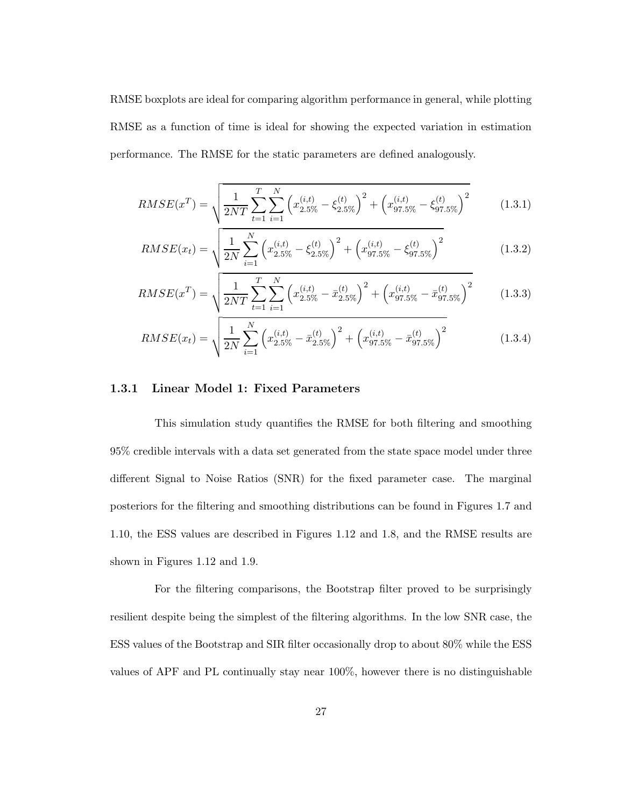RMSE boxplots are ideal for comparing algorithm performance in general, while plotting RMSE as a function of time is ideal for showing the expected variation in estimation performance. The RMSE for the static parameters are defined analogously.

$$
RMSE(x^T) = \sqrt{\frac{1}{2NT} \sum_{t=1}^{T} \sum_{i=1}^{N} \left( x_{2.5\%}^{(i,t)} - \xi_{2.5\%}^{(t)} \right)^2 + \left( x_{97.5\%}^{(i,t)} - \xi_{97.5\%}^{(t)} \right)^2}
$$
(1.3.1)

$$
RMSE(x_t) = \sqrt{\frac{1}{2N} \sum_{i=1}^{N} \left( x_{2.5\%}^{(i,t)} - \xi_{2.5\%}^{(t)} \right)^2 + \left( x_{97.5\%}^{(i,t)} - \xi_{97.5\%}^{(t)} \right)^2}
$$
(1.3.2)

$$
RMSE(x^T) = \sqrt{\frac{1}{2NT} \sum_{t=1}^{T} \sum_{i=1}^{N} \left( x_{2.5\%}^{(i,t)} - \bar{x}_{2.5\%}^{(t)} \right)^2 + \left( x_{97.5\%}^{(i,t)} - \bar{x}_{97.5\%}^{(t)} \right)^2}
$$
(1.3.3)

$$
RMSE(x_t) = \sqrt{\frac{1}{2N} \sum_{i=1}^{N} \left( x_{2.5\%}^{(i,t)} - \bar{x}_{2.5\%}^{(t)} \right)^2 + \left( x_{97.5\%}^{(i,t)} - \bar{x}_{97.5\%}^{(t)} \right)^2}
$$
(1.3.4)

#### 1.3.1 Linear Model 1: Fixed Parameters

This simulation study quantifies the RMSE for both filtering and smoothing 95% credible intervals with a data set generated from the state space model under three different Signal to Noise Ratios (SNR) for the fixed parameter case. The marginal posteriors for the filtering and smoothing distributions can be found in Figures 1.7 and 1.10, the ESS values are described in Figures 1.12 and 1.8, and the RMSE results are shown in Figures 1.12 and 1.9.

For the filtering comparisons, the Bootstrap filter proved to be surprisingly resilient despite being the simplest of the filtering algorithms. In the low SNR case, the ESS values of the Bootstrap and SIR filter occasionally drop to about 80% while the ESS values of APF and PL continually stay near 100%, however there is no distinguishable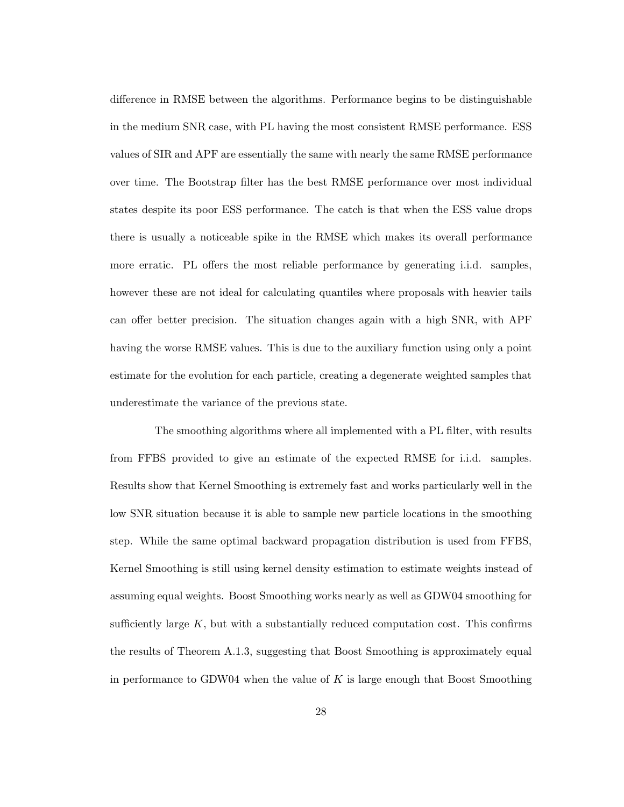difference in RMSE between the algorithms. Performance begins to be distinguishable in the medium SNR case, with PL having the most consistent RMSE performance. ESS values of SIR and APF are essentially the same with nearly the same RMSE performance over time. The Bootstrap filter has the best RMSE performance over most individual states despite its poor ESS performance. The catch is that when the ESS value drops there is usually a noticeable spike in the RMSE which makes its overall performance more erratic. PL offers the most reliable performance by generating i.i.d. samples, however these are not ideal for calculating quantiles where proposals with heavier tails can offer better precision. The situation changes again with a high SNR, with APF having the worse RMSE values. This is due to the auxiliary function using only a point estimate for the evolution for each particle, creating a degenerate weighted samples that underestimate the variance of the previous state.

The smoothing algorithms where all implemented with a PL filter, with results from FFBS provided to give an estimate of the expected RMSE for i.i.d. samples. Results show that Kernel Smoothing is extremely fast and works particularly well in the low SNR situation because it is able to sample new particle locations in the smoothing step. While the same optimal backward propagation distribution is used from FFBS, Kernel Smoothing is still using kernel density estimation to estimate weights instead of assuming equal weights. Boost Smoothing works nearly as well as GDW04 smoothing for sufficiently large  $K$ , but with a substantially reduced computation cost. This confirms the results of Theorem A.1.3, suggesting that Boost Smoothing is approximately equal in performance to GDW04 when the value of  $K$  is large enough that Boost Smoothing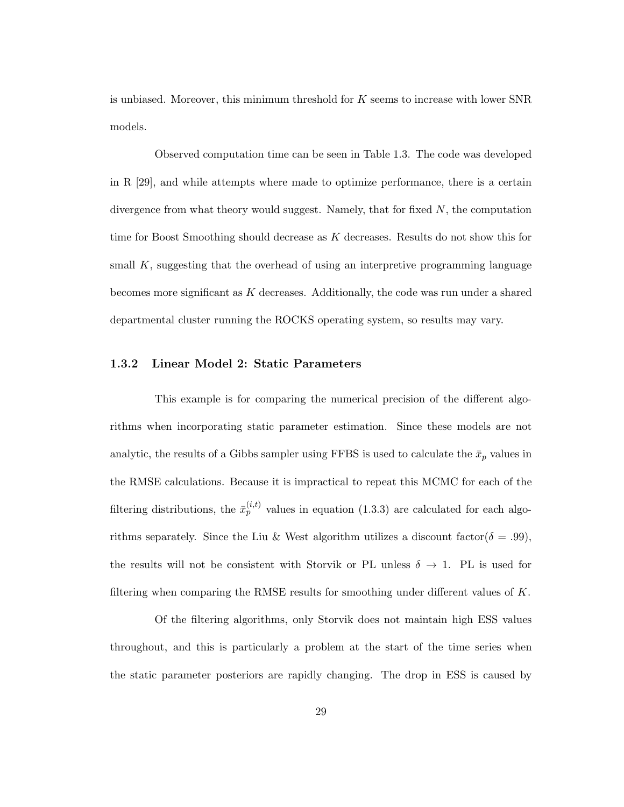is unbiased. Moreover, this minimum threshold for K seems to increase with lower SNR models.

Observed computation time can be seen in Table 1.3. The code was developed in R [29], and while attempts where made to optimize performance, there is a certain divergence from what theory would suggest. Namely, that for fixed  $N$ , the computation time for Boost Smoothing should decrease as K decreases. Results do not show this for small  $K$ , suggesting that the overhead of using an interpretive programming language becomes more significant as  $K$  decreases. Additionally, the code was run under a shared departmental cluster running the ROCKS operating system, so results may vary.

### 1.3.2 Linear Model 2: Static Parameters

This example is for comparing the numerical precision of the different algorithms when incorporating static parameter estimation. Since these models are not analytic, the results of a Gibbs sampler using FFBS is used to calculate the  $\bar{x}_p$  values in the RMSE calculations. Because it is impractical to repeat this MCMC for each of the filtering distributions, the  $\bar{x}_p^{(i,t)}$  values in equation (1.3.3) are calculated for each algorithms separately. Since the Liu & West algorithm utilizes a discount factor( $\delta = .99$ ), the results will not be consistent with Storvik or PL unless  $\delta \to 1$ . PL is used for filtering when comparing the RMSE results for smoothing under different values of  $K$ .

Of the filtering algorithms, only Storvik does not maintain high ESS values throughout, and this is particularly a problem at the start of the time series when the static parameter posteriors are rapidly changing. The drop in ESS is caused by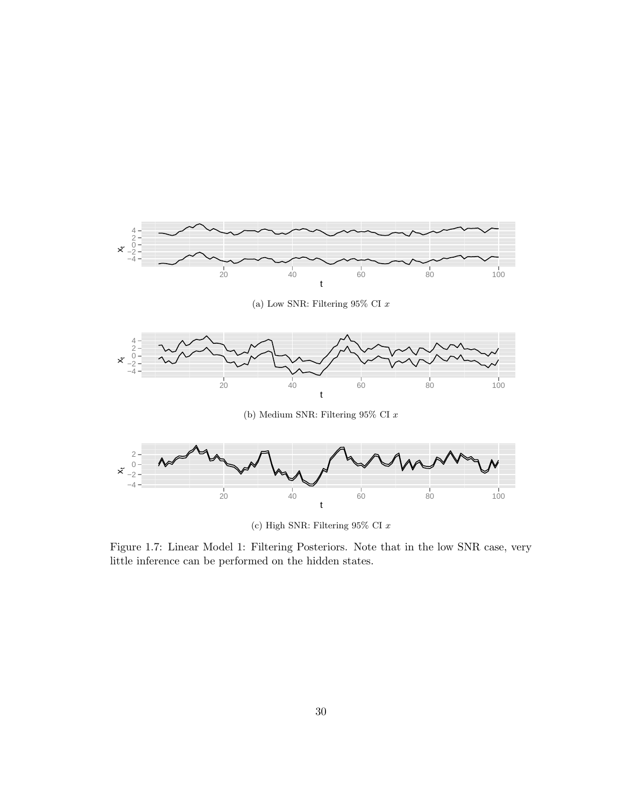

(c) High SNR: Filtering 95% CI x

Figure 1.7: Linear Model 1: Filtering Posteriors. Note that in the low SNR case, very little inference can be performed on the hidden states.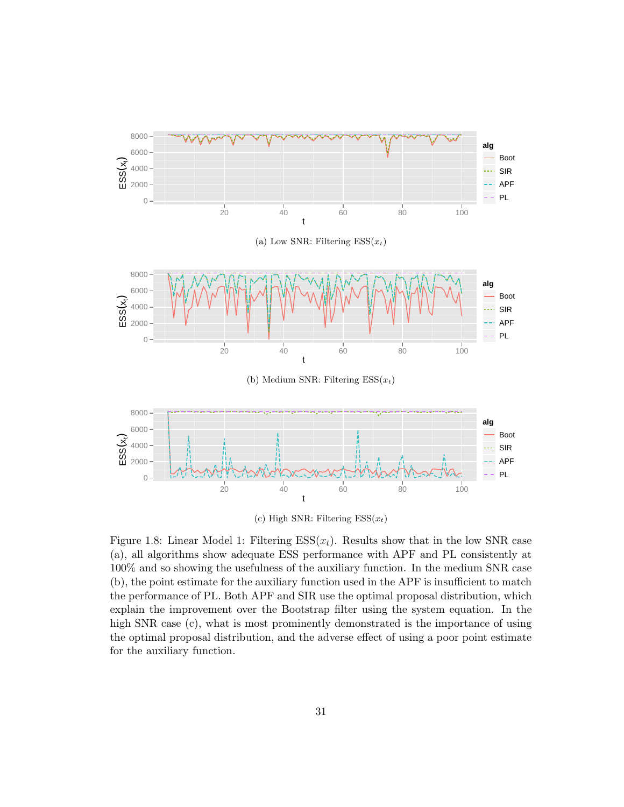

(c) High SNR: Filtering  $ESS(x_t)$ 

Figure 1.8: Linear Model 1: Filtering  $ESS(x_t)$ . Results show that in the low SNR case (a), all algorithms show adequate ESS performance with APF and PL consistently at 100% and so showing the usefulness of the auxiliary function. In the medium SNR case (b), the point estimate for the auxiliary function used in the APF is insufficient to match the performance of PL. Both APF and SIR use the optimal proposal distribution, which explain the improvement over the Bootstrap filter using the system equation. In the high SNR case (c), what is most prominently demonstrated is the importance of using the optimal proposal distribution, and the adverse effect of using a poor point estimate for the auxiliary function.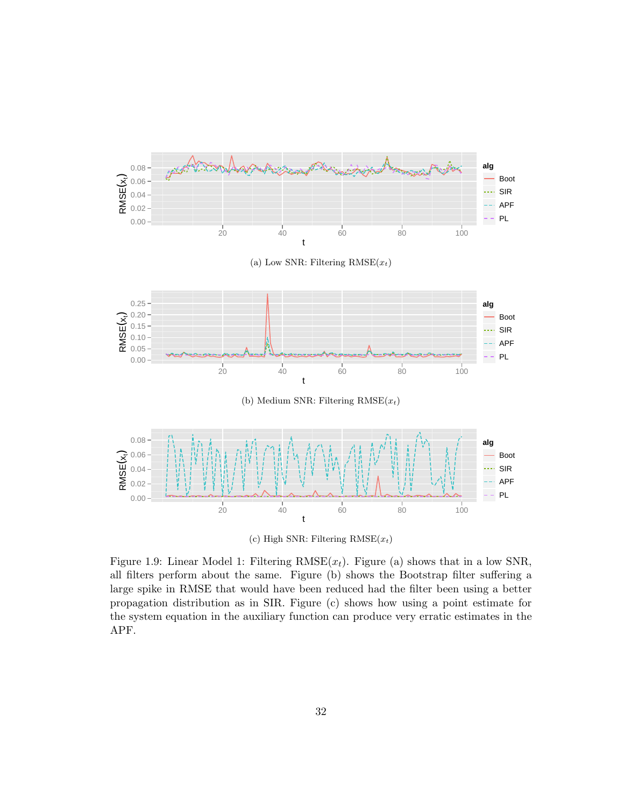

(c) High SNR: Filtering  $RMSE(x_t)$ 

Figure 1.9: Linear Model 1: Filtering  $RMSE(x_t)$ . Figure (a) shows that in a low SNR, all filters perform about the same. Figure (b) shows the Bootstrap filter suffering a large spike in RMSE that would have been reduced had the filter been using a better propagation distribution as in SIR. Figure (c) shows how using a point estimate for the system equation in the auxiliary function can produce very erratic estimates in the APF.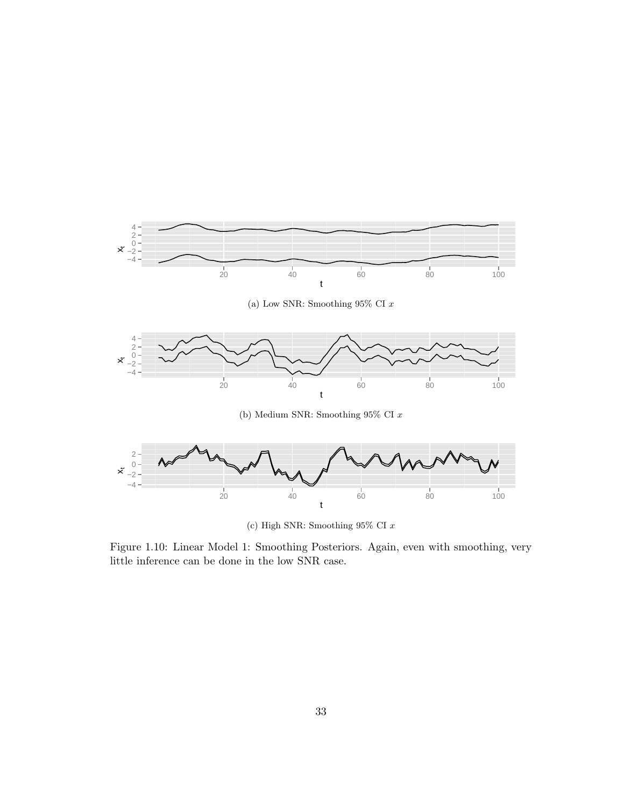

(c) High SNR: Smoothing  $95\%$  CI  $x$ 

Figure 1.10: Linear Model 1: Smoothing Posteriors. Again, even with smoothing, very little inference can be done in the low SNR case.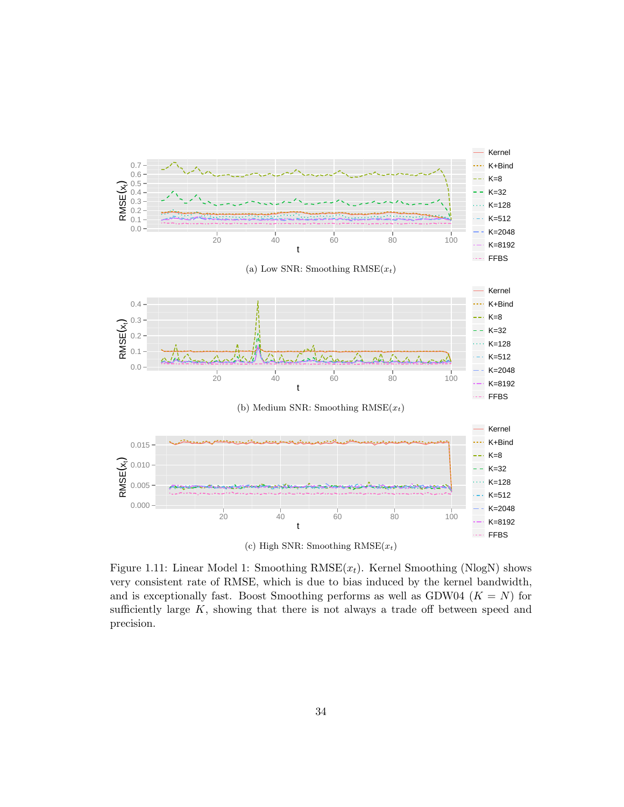

Figure 1.11: Linear Model 1: Smoothing  $RMSE(x_t)$ . Kernel Smoothing (NlogN) shows very consistent rate of RMSE, which is due to bias induced by the kernel bandwidth, and is exceptionally fast. Boost Smoothing performs as well as GDW04 ( $K = N$ ) for sufficiently large  $K$ , showing that there is not always a trade off between speed and precision.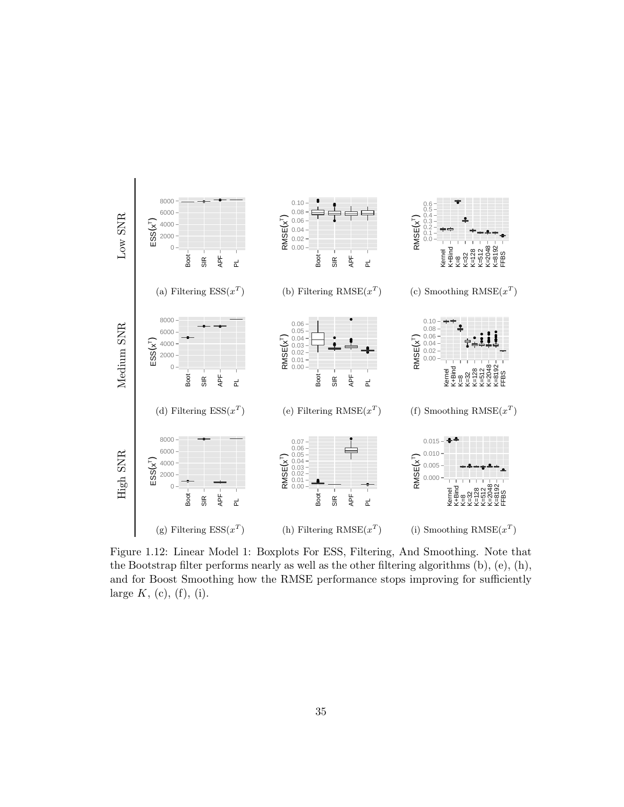

Figure 1.12: Linear Model 1: Boxplots For ESS, Filtering, And Smoothing. Note that the Bootstrap filter performs nearly as well as the other filtering algorithms (b), (e), (h), and for Boost Smoothing how the RMSE performance stops improving for sufficiently large  $K$ , (c), (f), (i).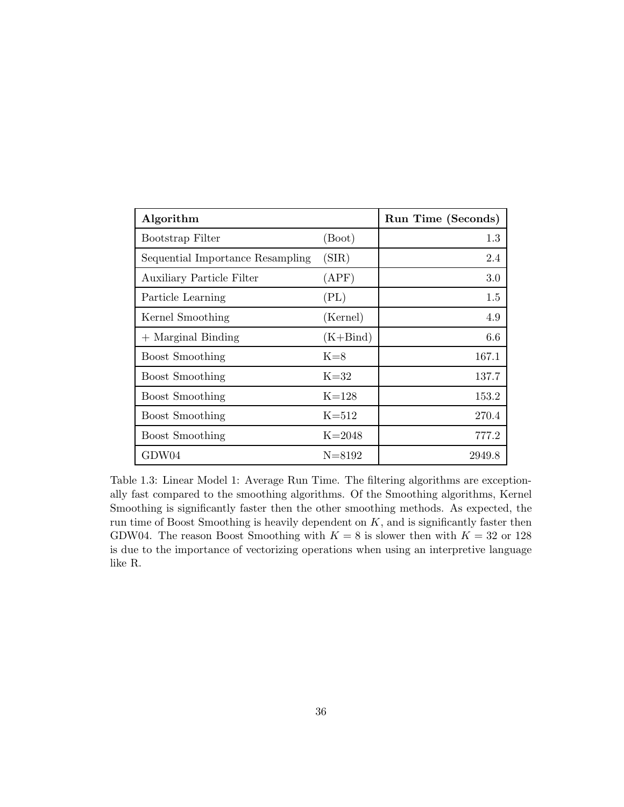| Algorithm                        |            | Run Time (Seconds) |
|----------------------------------|------------|--------------------|
| Bootstrap Filter                 | (Boot)     | 1.3                |
| Sequential Importance Resampling | (SIR)      | 2.4                |
| <b>Auxiliary Particle Filter</b> | (APF)      | 3.0                |
| Particle Learning                | (PL)       | 1.5                |
| Kernel Smoothing                 | (Kernel)   | 4.9                |
| $+$ Marginal Binding             | $(K+Bind)$ | 6.6                |
| <b>Boost Smoothing</b>           | $K=8$      | 167.1              |
| <b>Boost Smoothing</b>           | $K=32$     | 137.7              |
| <b>Boost Smoothing</b>           | $K=128$    | 153.2              |
| <b>Boost Smoothing</b>           | $K = 512$  | 270.4              |
| <b>Boost Smoothing</b>           | $K = 2048$ | 777.2              |
| GDW04                            | $N = 8192$ | 2949.8             |

Table 1.3: Linear Model 1: Average Run Time. The filtering algorithms are exceptionally fast compared to the smoothing algorithms. Of the Smoothing algorithms, Kernel Smoothing is significantly faster then the other smoothing methods. As expected, the run time of Boost Smoothing is heavily dependent on  $K$ , and is significantly faster then GDW04. The reason Boost Smoothing with  $K = 8$  is slower then with  $K = 32$  or 128 is due to the importance of vectorizing operations when using an interpretive language like R.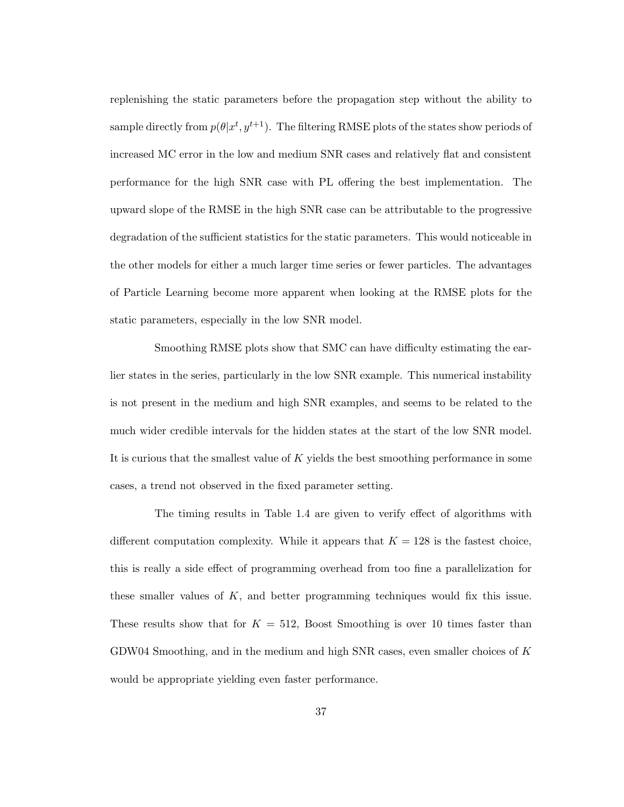replenishing the static parameters before the propagation step without the ability to sample directly from  $p(\theta | x^t, y^{t+1})$ . The filtering RMSE plots of the states show periods of increased MC error in the low and medium SNR cases and relatively flat and consistent performance for the high SNR case with PL offering the best implementation. The upward slope of the RMSE in the high SNR case can be attributable to the progressive degradation of the sufficient statistics for the static parameters. This would noticeable in the other models for either a much larger time series or fewer particles. The advantages of Particle Learning become more apparent when looking at the RMSE plots for the static parameters, especially in the low SNR model.

Smoothing RMSE plots show that SMC can have difficulty estimating the earlier states in the series, particularly in the low SNR example. This numerical instability is not present in the medium and high SNR examples, and seems to be related to the much wider credible intervals for the hidden states at the start of the low SNR model. It is curious that the smallest value of K yields the best smoothing performance in some cases, a trend not observed in the fixed parameter setting.

The timing results in Table 1.4 are given to verify effect of algorithms with different computation complexity. While it appears that  $K = 128$  is the fastest choice, this is really a side effect of programming overhead from too fine a parallelization for these smaller values of  $K$ , and better programming techniques would fix this issue. These results show that for  $K = 512$ , Boost Smoothing is over 10 times faster than GDW04 Smoothing, and in the medium and high SNR cases, even smaller choices of  $K$ would be appropriate yielding even faster performance.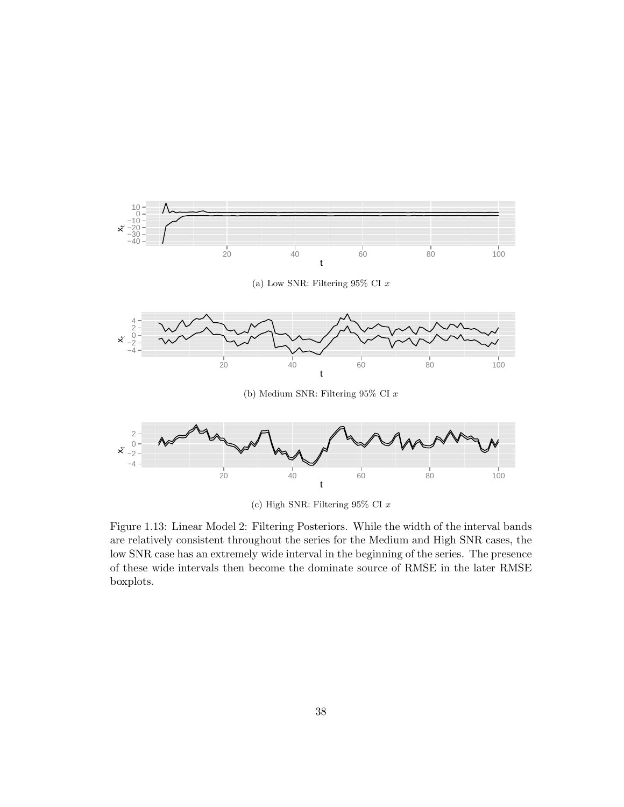

Figure 1.13: Linear Model 2: Filtering Posteriors. While the width of the interval bands are relatively consistent throughout the series for the Medium and High SNR cases, the low SNR case has an extremely wide interval in the beginning of the series. The presence of these wide intervals then become the dominate source of RMSE in the later RMSE boxplots.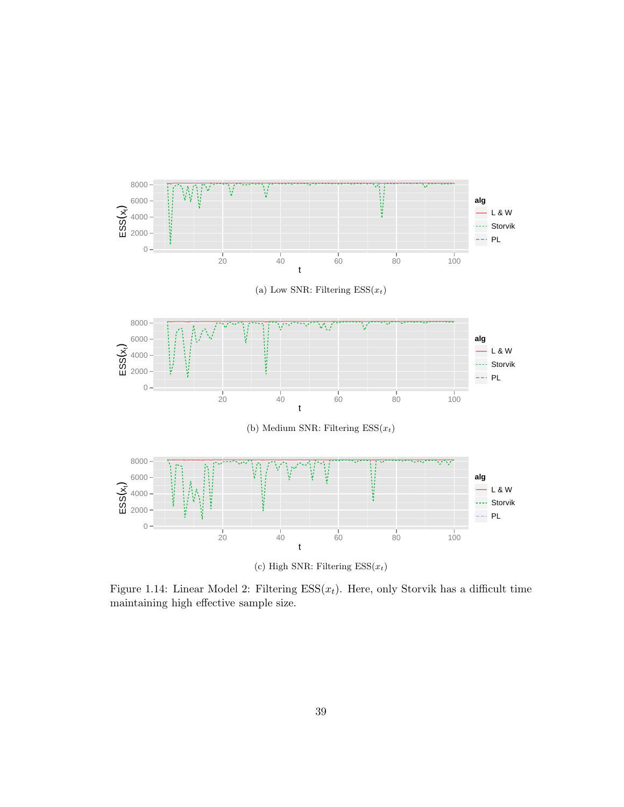

Figure 1.14: Linear Model 2: Filtering  $ESS(x_t)$ . Here, only Storvik has a difficult time maintaining high effective sample size.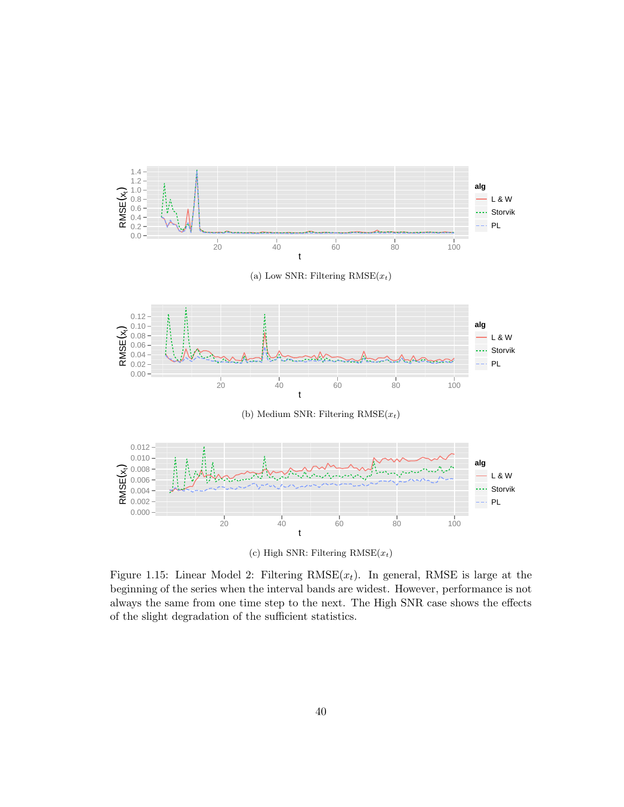

(c) High SNR: Filtering  $RMSE(x_t)$ 

Figure 1.15: Linear Model 2: Filtering  $RMSE(x_t)$ . In general, RMSE is large at the beginning of the series when the interval bands are widest. However, performance is not always the same from one time step to the next. The High SNR case shows the effects of the slight degradation of the sufficient statistics.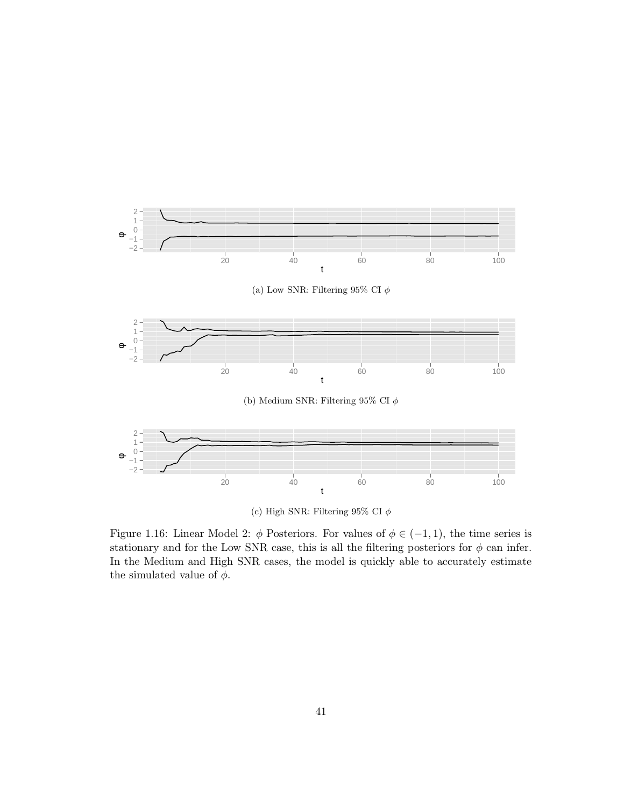

(c) High SNR: Filtering 95% CI  $\phi$ 

Figure 1.16: Linear Model 2:  $\phi$  Posteriors. For values of  $\phi \in (-1,1)$ , the time series is stationary and for the Low SNR case, this is all the filtering posteriors for  $\phi$  can infer. In the Medium and High SNR cases, the model is quickly able to accurately estimate the simulated value of  $\phi$ .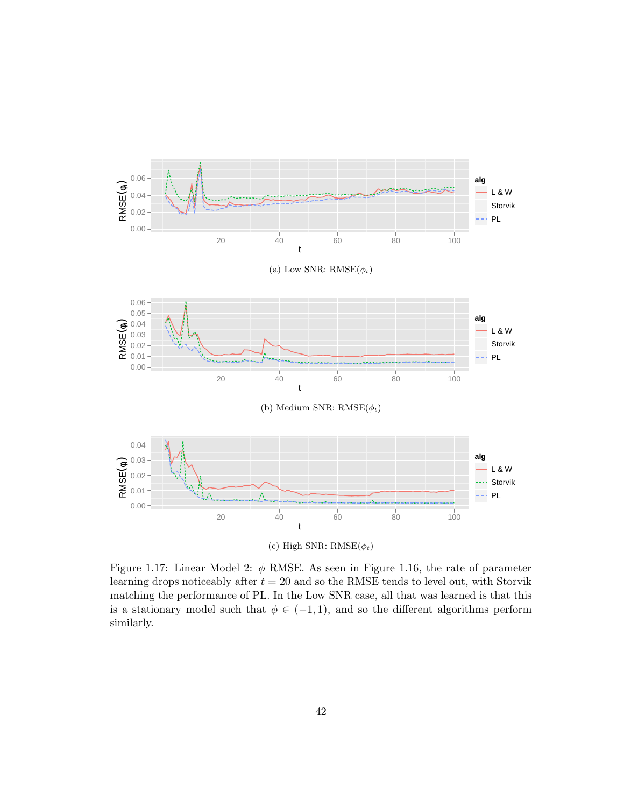

Figure 1.17: Linear Model 2:  $\phi$  RMSE. As seen in Figure 1.16, the rate of parameter learning drops noticeably after  $t = 20$  and so the RMSE tends to level out, with Storvik matching the performance of PL. In the Low SNR case, all that was learned is that this is a stationary model such that  $\phi \in (-1,1)$ , and so the different algorithms perform similarly.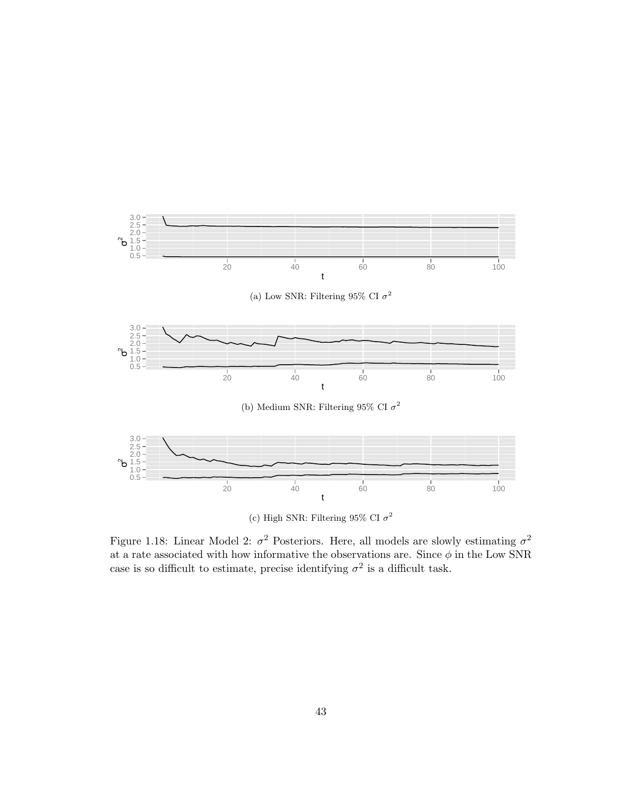

Figure 1.18: Linear Model 2:  $\sigma^2$  Posteriors. Here, all models are slowly estimating  $\sigma^2$ at a rate associated with how informative the observations are. Since  $\phi$  in the Low SNR case is so difficult to estimate, precise identifying  $\sigma^2$  is a difficult task.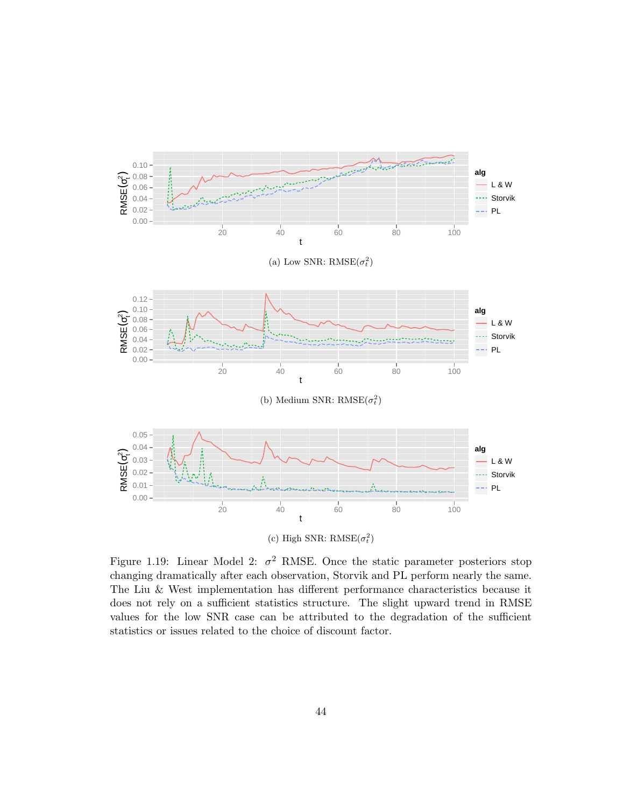

Figure 1.19: Linear Model 2:  $\sigma^2$  RMSE. Once the static parameter posteriors stop changing dramatically after each observation, Storvik and PL perform nearly the same. The Liu & West implementation has different performance characteristics because it does not rely on a sufficient statistics structure. The slight upward trend in RMSE values for the low SNR case can be attributed to the degradation of the sufficient statistics or issues related to the choice of discount factor.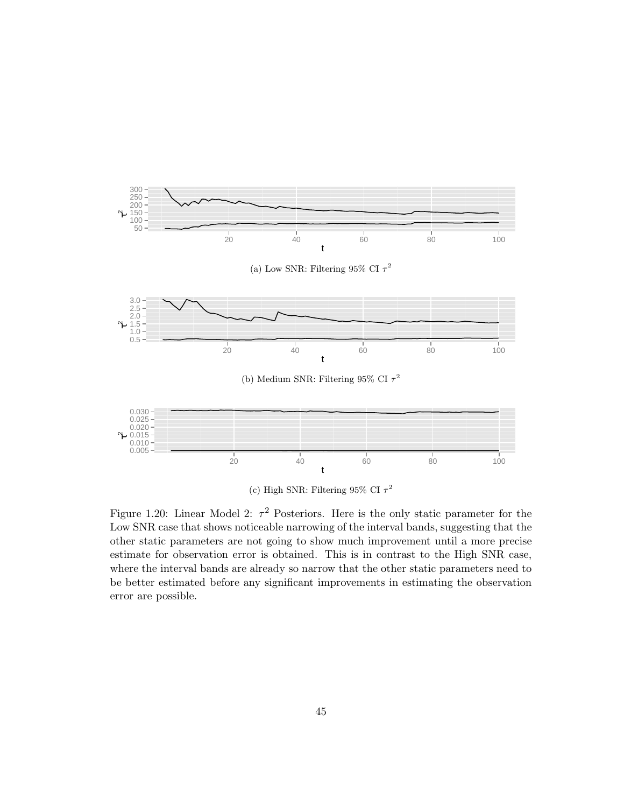

(c) High SNR: Filtering 95% CI  $\tau^2$ 

Figure 1.20: Linear Model 2:  $\tau^2$  Posteriors. Here is the only static parameter for the Low SNR case that shows noticeable narrowing of the interval bands, suggesting that the other static parameters are not going to show much improvement until a more precise estimate for observation error is obtained. This is in contrast to the High SNR case, where the interval bands are already so narrow that the other static parameters need to be better estimated before any significant improvements in estimating the observation error are possible.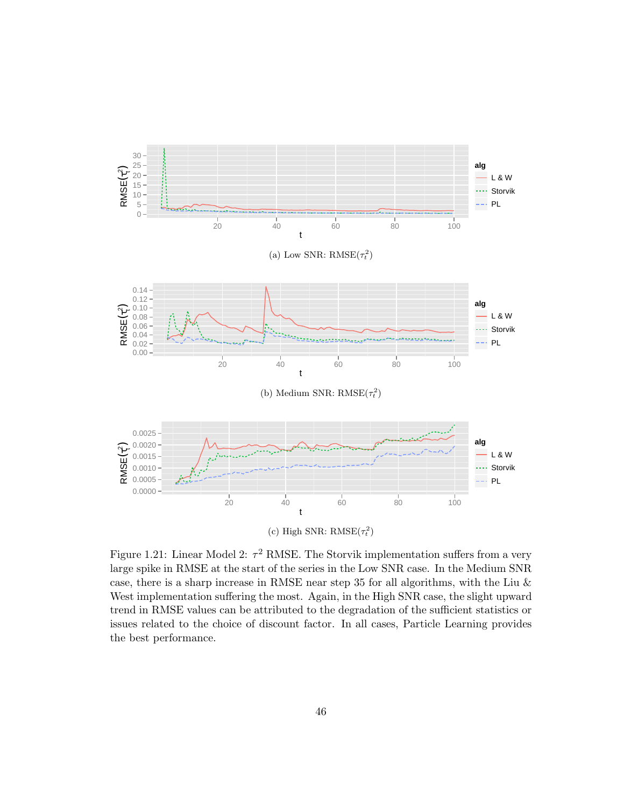

Figure 1.21: Linear Model 2:  $\tau^2$  RMSE. The Storvik implementation suffers from a very large spike in RMSE at the start of the series in the Low SNR case. In the Medium SNR case, there is a sharp increase in RMSE near step 35 for all algorithms, with the Liu & West implementation suffering the most. Again, in the High SNR case, the slight upward trend in RMSE values can be attributed to the degradation of the sufficient statistics or issues related to the choice of discount factor. In all cases, Particle Learning provides the best performance.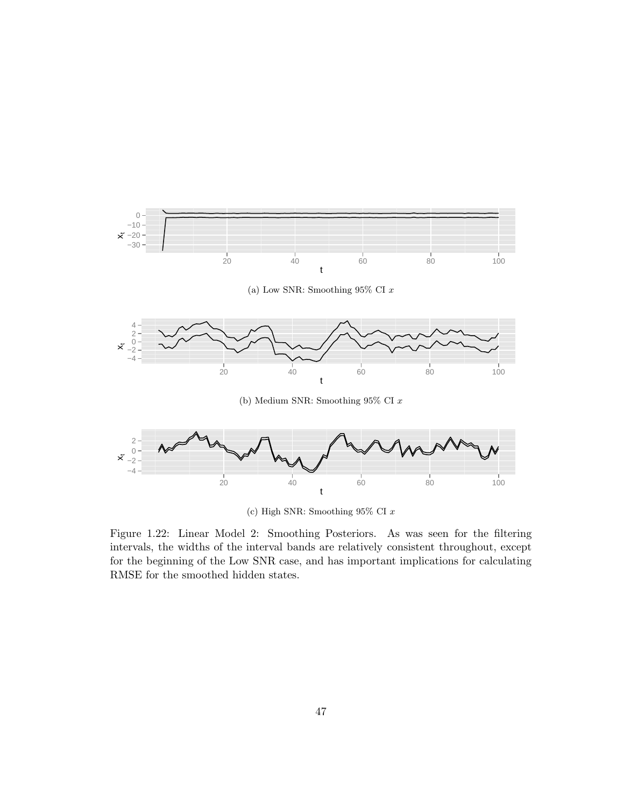

(c) High SNR: Smoothing  $95\%$  CI  $x$ 

Figure 1.22: Linear Model 2: Smoothing Posteriors. As was seen for the filtering intervals, the widths of the interval bands are relatively consistent throughout, except for the beginning of the Low SNR case, and has important implications for calculating RMSE for the smoothed hidden states.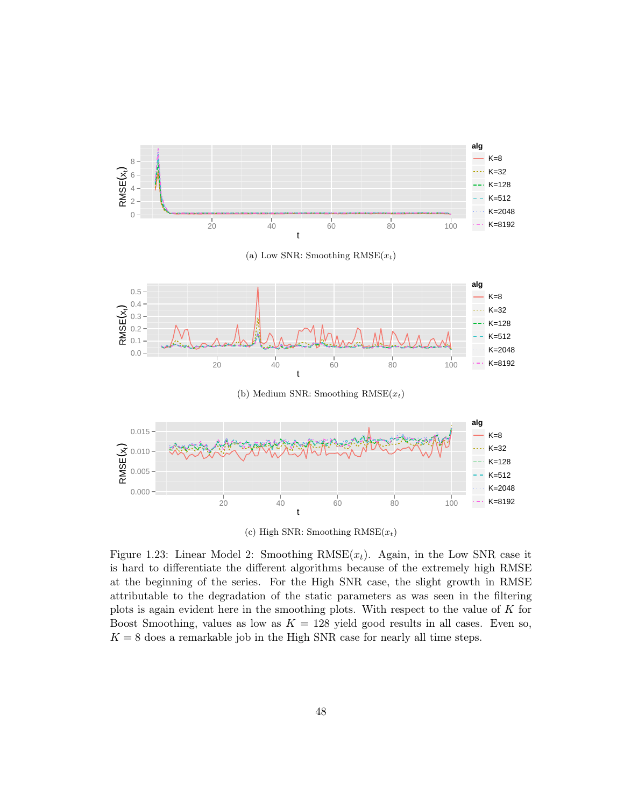

(c) High SNR: Smoothing  $RMSE(x_t)$ 

Figure 1.23: Linear Model 2: Smoothing  $RMSE(x_t)$ . Again, in the Low SNR case it is hard to differentiate the different algorithms because of the extremely high RMSE at the beginning of the series. For the High SNR case, the slight growth in RMSE attributable to the degradation of the static parameters as was seen in the filtering plots is again evident here in the smoothing plots. With respect to the value of K for Boost Smoothing, values as low as  $K = 128$  yield good results in all cases. Even so,  $K = 8$  does a remarkable job in the High SNR case for nearly all time steps.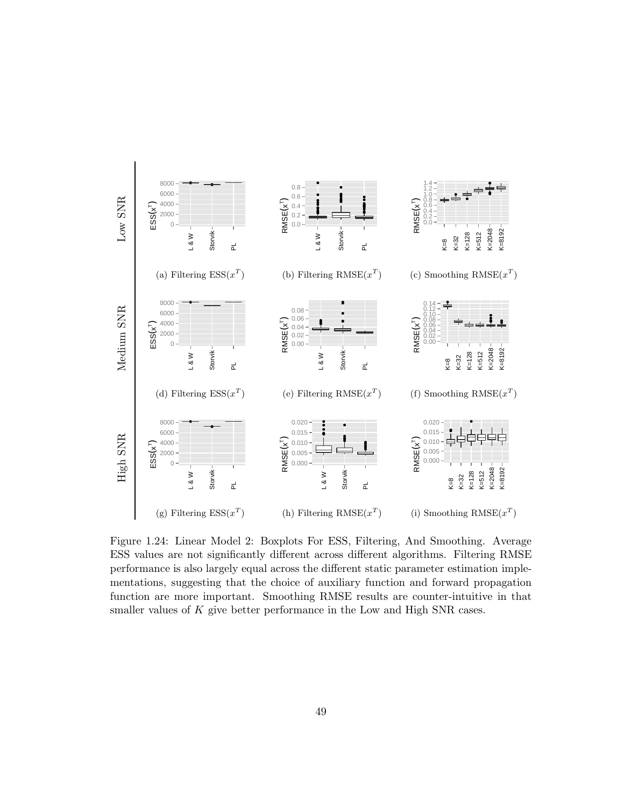

Figure 1.24: Linear Model 2: Boxplots For ESS, Filtering, And Smoothing. Average ESS values are not significantly different across different algorithms. Filtering RMSE performance is also largely equal across the different static parameter estimation implementations, suggesting that the choice of auxiliary function and forward propagation function are more important. Smoothing RMSE results are counter-intuitive in that smaller values of  $K$  give better performance in the Low and High SNR cases.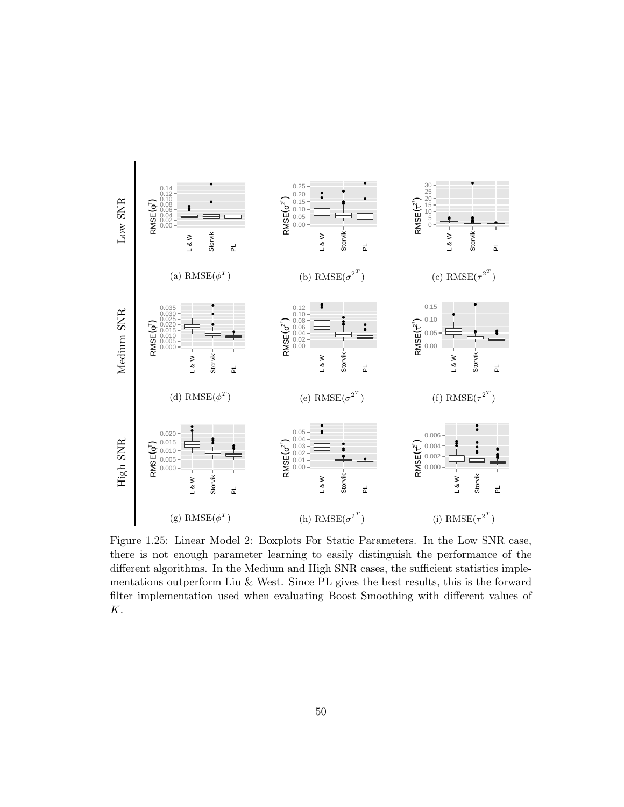

Figure 1.25: Linear Model 2: Boxplots For Static Parameters. In the Low SNR case, there is not enough parameter learning to easily distinguish the performance of the different algorithms. In the Medium and High SNR cases, the sufficient statistics implementations outperform Liu & West. Since PL gives the best results, this is the forward filter implementation used when evaluating Boost Smoothing with different values of K.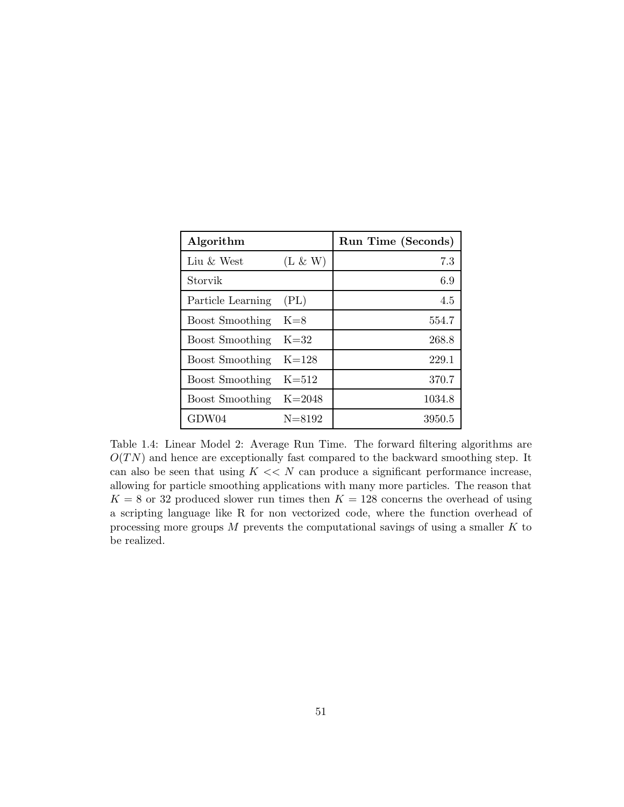| Algorithm              |            | Run Time (Seconds) |
|------------------------|------------|--------------------|
| Liu & West             | $(L \& W)$ | 7.3                |
| Storvik                |            | 6.9                |
| Particle Learning      | (PL)       | 4.5                |
| <b>Boost Smoothing</b> | $K=8$      | 554.7              |
| <b>Boost Smoothing</b> | $K = 32$   | 268.8              |
| <b>Boost Smoothing</b> | $K = 128$  | 229.1              |
| <b>Boost Smoothing</b> | $K = 512$  | 370.7              |
| <b>Boost Smoothing</b> | $K = 2048$ | 1034.8             |
| GDW04                  | $N = 8192$ | 3950.5             |

Table 1.4: Linear Model 2: Average Run Time. The forward filtering algorithms are  $O(TN)$  and hence are exceptionally fast compared to the backward smoothing step. It can also be seen that using  $K \ll N$  can produce a significant performance increase, allowing for particle smoothing applications with many more particles. The reason that  $K = 8$  or 32 produced slower run times then  $K = 128$  concerns the overhead of using a scripting language like R for non vectorized code, where the function overhead of processing more groups  $M$  prevents the computational savings of using a smaller  $K$  to be realized.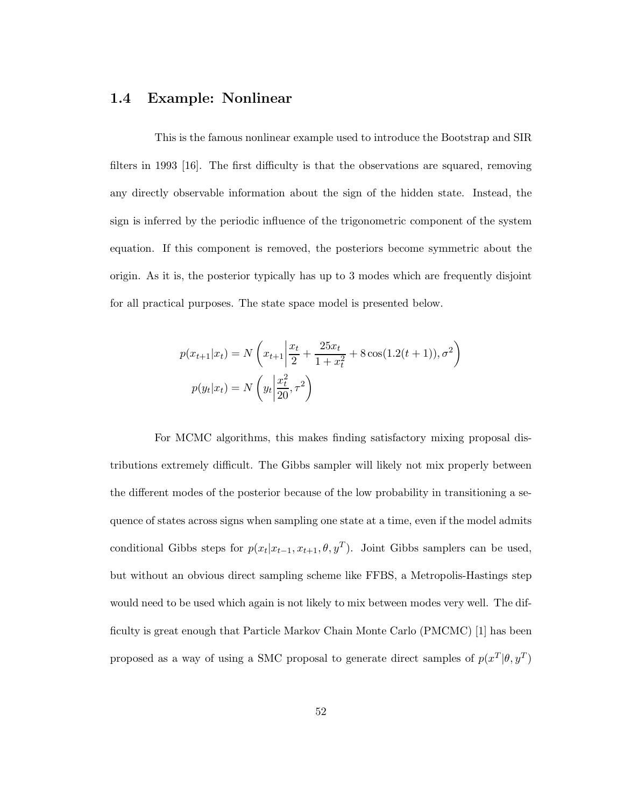### 1.4 Example: Nonlinear

This is the famous nonlinear example used to introduce the Bootstrap and SIR filters in 1993 [16]. The first difficulty is that the observations are squared, removing any directly observable information about the sign of the hidden state. Instead, the sign is inferred by the periodic influence of the trigonometric component of the system equation. If this component is removed, the posteriors become symmetric about the origin. As it is, the posterior typically has up to 3 modes which are frequently disjoint for all practical purposes. The state space model is presented below.

$$
p(x_{t+1}|x_t) = N\left(x_{t+1}\left|\frac{x_t}{2} + \frac{25x_t}{1+x_t^2} + 8\cos(1.2(t+1)), \sigma^2\right)\right)
$$

$$
p(y_t|x_t) = N\left(y_t\left|\frac{x_t^2}{20}, \tau^2\right)\right)
$$

For MCMC algorithms, this makes finding satisfactory mixing proposal distributions extremely difficult. The Gibbs sampler will likely not mix properly between the different modes of the posterior because of the low probability in transitioning a sequence of states across signs when sampling one state at a time, even if the model admits conditional Gibbs steps for  $p(x_t|x_{t-1}, x_{t+1}, \theta, y^T)$ . Joint Gibbs samplers can be used, but without an obvious direct sampling scheme like FFBS, a Metropolis-Hastings step would need to be used which again is not likely to mix between modes very well. The difficulty is great enough that Particle Markov Chain Monte Carlo (PMCMC) [1] has been proposed as a way of using a SMC proposal to generate direct samples of  $p(x^T | \theta, y^T)$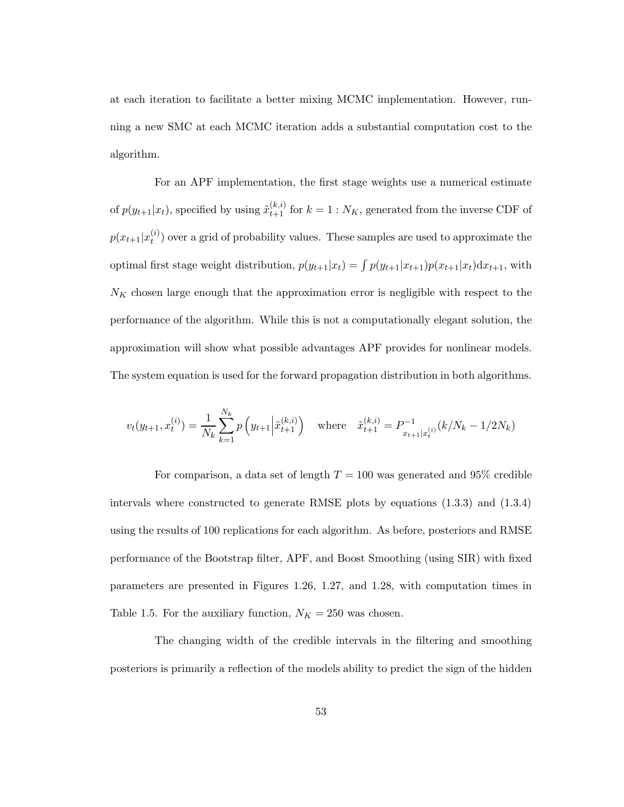at each iteration to facilitate a better mixing MCMC implementation. However, running a new SMC at each MCMC iteration adds a substantial computation cost to the algorithm.

For an APF implementation, the first stage weights use a numerical estimate of  $p(y_{t+1}|x_t)$ , specified by using  $\tilde{x}_{t+1}^{(k,i)}$  for  $k=1:N_K$ , generated from the inverse CDF of  $p(x_{t+1}|x_t^{(i)})$  $t(t)$  over a grid of probability values. These samples are used to approximate the optimal first stage weight distribution,  $p(y_{t+1}|x_t) = \int p(y_{t+1}|x_{t+1})p(x_{t+1}|x_t)dx_{t+1}$ , with  $N_K$  chosen large enough that the approximation error is negligible with respect to the performance of the algorithm. While this is not a computationally elegant solution, the approximation will show what possible advantages APF provides for nonlinear models. The system equation is used for the forward propagation distribution in both algorithms.

$$
v_t(y_{t+1}, x_t^{(i)}) = \frac{1}{N_k} \sum_{k=1}^{N_k} p\left(y_{t+1} \middle| \tilde{x}_{t+1}^{(k,i)}\right) \quad \text{where} \quad \tilde{x}_{t+1}^{(k,i)} = P_{x_{t+1} | x_t^{(i)}}^{-1}(k/N_k - 1/2N_k)
$$

For comparison, a data set of length  $T = 100$  was generated and 95% credible intervals where constructed to generate RMSE plots by equations (1.3.3) and (1.3.4) using the results of 100 replications for each algorithm. As before, posteriors and RMSE performance of the Bootstrap filter, APF, and Boost Smoothing (using SIR) with fixed parameters are presented in Figures 1.26, 1.27, and 1.28, with computation times in Table 1.5. For the auxiliary function,  $N_K = 250$  was chosen.

The changing width of the credible intervals in the filtering and smoothing posteriors is primarily a reflection of the models ability to predict the sign of the hidden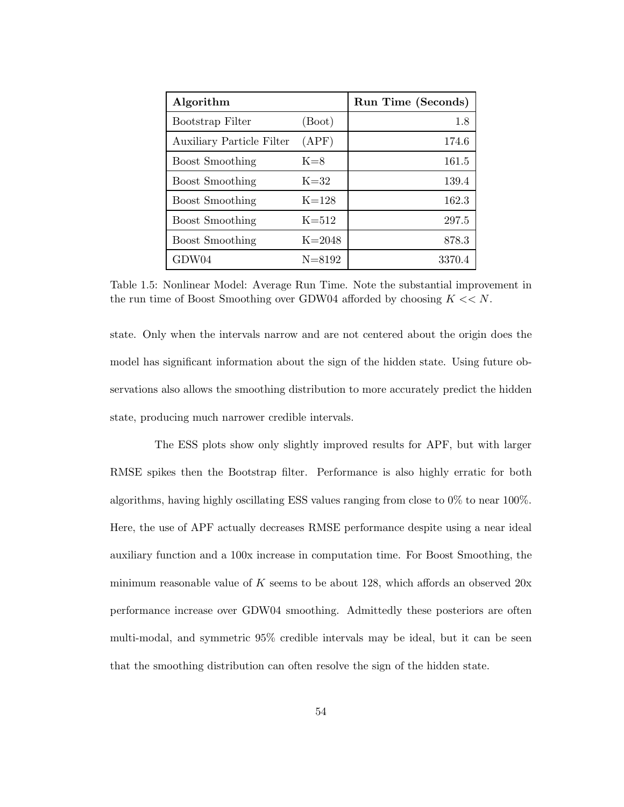| Algorithm                        |            | Run Time (Seconds) |
|----------------------------------|------------|--------------------|
| Bootstrap Filter                 | (Boot)     | 1.8                |
| <b>Auxiliary Particle Filter</b> | (APF)      | 174.6              |
| <b>Boost Smoothing</b>           | $K=8$      | 161.5              |
| <b>Boost Smoothing</b>           | $K = 32$   | 139.4              |
| <b>Boost Smoothing</b>           | $K=128$    | 162.3              |
| <b>Boost Smoothing</b>           | $K=512$    | 297.5              |
| <b>Boost Smoothing</b>           | $K = 2048$ | 878.3              |
| GDW04                            | $N = 8192$ | 3370.4             |

Table 1.5: Nonlinear Model: Average Run Time. Note the substantial improvement in the run time of Boost Smoothing over GDW04 afforded by choosing  $K \ll N$ .

state. Only when the intervals narrow and are not centered about the origin does the model has significant information about the sign of the hidden state. Using future observations also allows the smoothing distribution to more accurately predict the hidden state, producing much narrower credible intervals.

The ESS plots show only slightly improved results for APF, but with larger RMSE spikes then the Bootstrap filter. Performance is also highly erratic for both algorithms, having highly oscillating ESS values ranging from close to 0% to near 100%. Here, the use of APF actually decreases RMSE performance despite using a near ideal auxiliary function and a 100x increase in computation time. For Boost Smoothing, the minimum reasonable value of  $K$  seems to be about 128, which affords an observed  $20x$ performance increase over GDW04 smoothing. Admittedly these posteriors are often multi-modal, and symmetric 95% credible intervals may be ideal, but it can be seen that the smoothing distribution can often resolve the sign of the hidden state.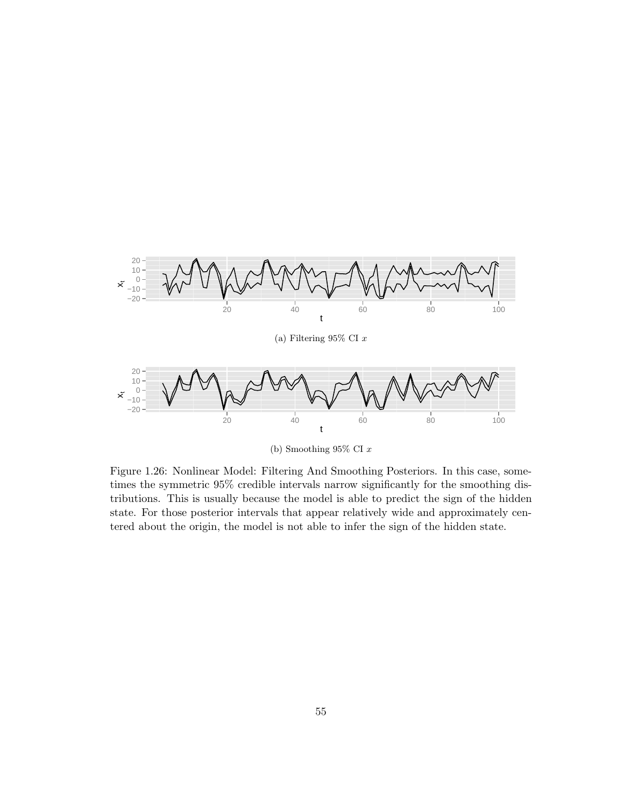

(b) Smoothing 95% CI x

Figure 1.26: Nonlinear Model: Filtering And Smoothing Posteriors. In this case, sometimes the symmetric 95% credible intervals narrow significantly for the smoothing distributions. This is usually because the model is able to predict the sign of the hidden state. For those posterior intervals that appear relatively wide and approximately centered about the origin, the model is not able to infer the sign of the hidden state.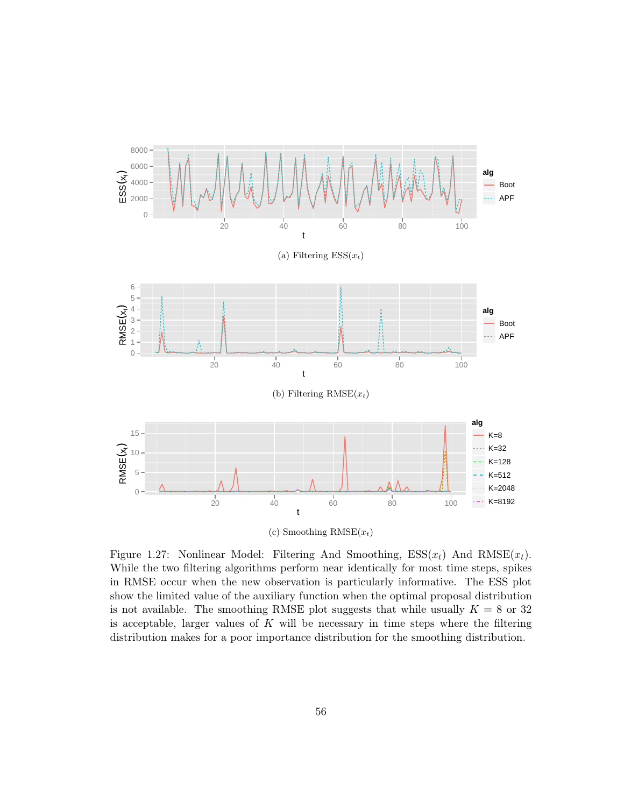

Figure 1.27: Nonlinear Model: Filtering And Smoothing,  $ESS(x_t)$  And  $RMSE(x_t)$ . While the two filtering algorithms perform near identically for most time steps, spikes in RMSE occur when the new observation is particularly informative. The ESS plot show the limited value of the auxiliary function when the optimal proposal distribution is not available. The smoothing RMSE plot suggests that while usually  $K = 8$  or 32 is acceptable, larger values of  $K$  will be necessary in time steps where the filtering distribution makes for a poor importance distribution for the smoothing distribution.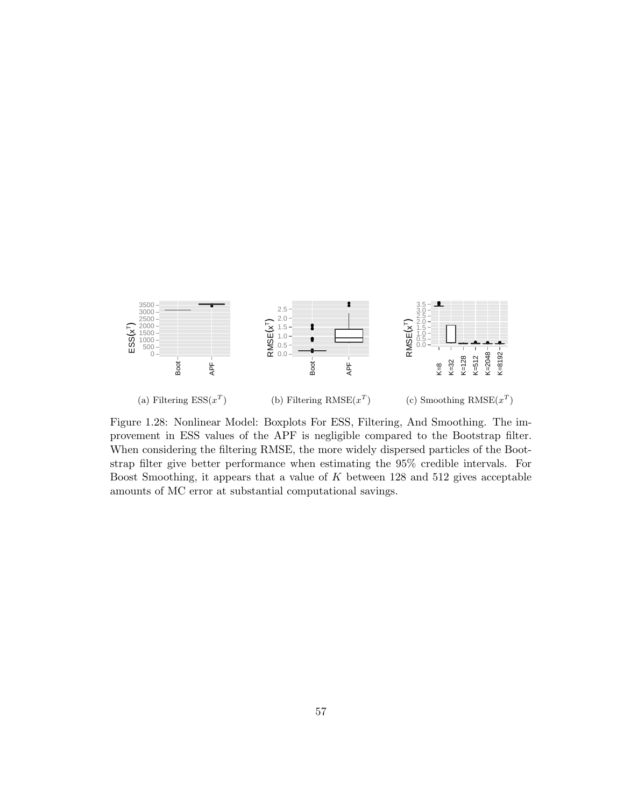

Figure 1.28: Nonlinear Model: Boxplots For ESS, Filtering, And Smoothing. The improvement in ESS values of the APF is negligible compared to the Bootstrap filter. When considering the filtering RMSE, the more widely dispersed particles of the Bootstrap filter give better performance when estimating the 95% credible intervals. For Boost Smoothing, it appears that a value of  $K$  between 128 and 512 gives acceptable amounts of MC error at substantial computational savings.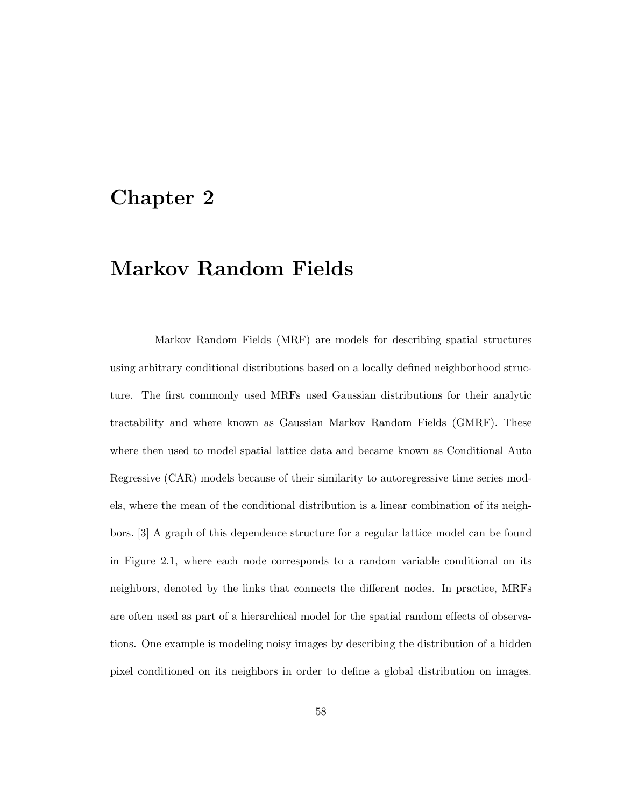# Chapter 2

# Markov Random Fields

Markov Random Fields (MRF) are models for describing spatial structures using arbitrary conditional distributions based on a locally defined neighborhood structure. The first commonly used MRFs used Gaussian distributions for their analytic tractability and where known as Gaussian Markov Random Fields (GMRF). These where then used to model spatial lattice data and became known as Conditional Auto Regressive (CAR) models because of their similarity to autoregressive time series models, where the mean of the conditional distribution is a linear combination of its neighbors. [3] A graph of this dependence structure for a regular lattice model can be found in Figure 2.1, where each node corresponds to a random variable conditional on its neighbors, denoted by the links that connects the different nodes. In practice, MRFs are often used as part of a hierarchical model for the spatial random effects of observations. One example is modeling noisy images by describing the distribution of a hidden pixel conditioned on its neighbors in order to define a global distribution on images.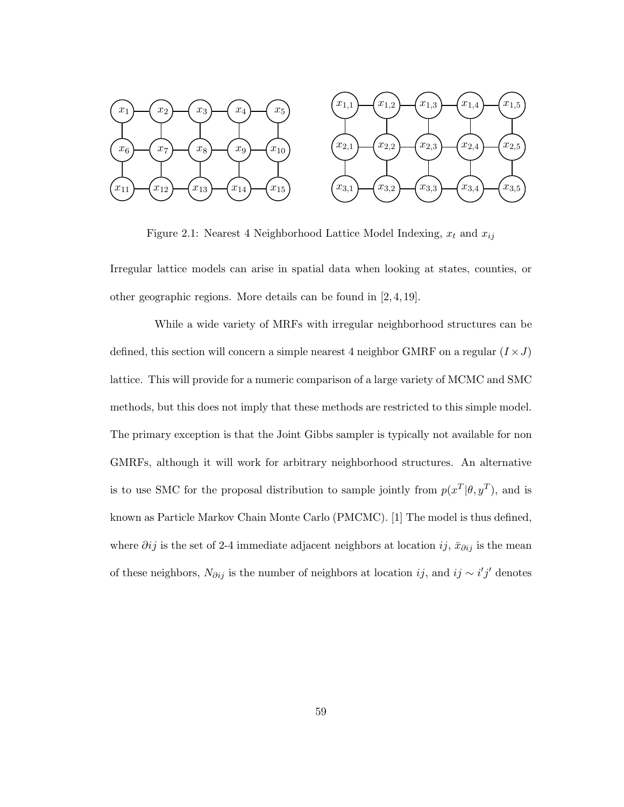

Figure 2.1: Nearest 4 Neighborhood Lattice Model Indexing,  $x_t$  and  $x_{ij}$ 

Irregular lattice models can arise in spatial data when looking at states, counties, or other geographic regions. More details can be found in [2, 4, 19].

While a wide variety of MRFs with irregular neighborhood structures can be defined, this section will concern a simple nearest 4 neighbor GMRF on a regular  $(I \times J)$ lattice. This will provide for a numeric comparison of a large variety of MCMC and SMC methods, but this does not imply that these methods are restricted to this simple model. The primary exception is that the Joint Gibbs sampler is typically not available for non GMRFs, although it will work for arbitrary neighborhood structures. An alternative is to use SMC for the proposal distribution to sample jointly from  $p(x^T | \theta, y^T)$ , and is known as Particle Markov Chain Monte Carlo (PMCMC). [1] The model is thus defined, where  $\partial ij$  is the set of 2-4 immediate adjacent neighbors at location  $ij$ ,  $\bar{x}_{\partial ij}$  is the mean of these neighbors,  $N_{\partial ij}$  is the number of neighbors at location  $ij$ , and  $ij \sim i'j'$  denotes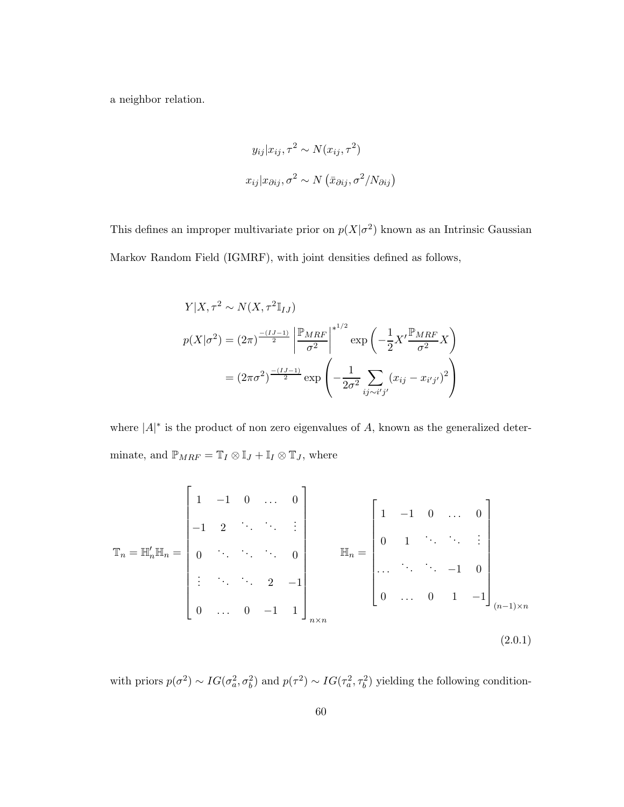a neighbor relation.

$$
y_{ij}|x_{ij}, \tau^2 \sim N(x_{ij}, \tau^2)
$$

$$
x_{ij}|x_{\partial ij}, \sigma^2 \sim N(\bar{x}_{\partial ij}, \sigma^2/N_{\partial ij})
$$

This defines an improper multivariate prior on  $p(X|\sigma^2)$  known as an Intrinsic Gaussian Markov Random Field (IGMRF), with joint densities defined as follows,

$$
Y|X, \tau^2 \sim N(X, \tau^2 \mathbb{I}_{IJ})
$$
  

$$
p(X|\sigma^2) = (2\pi)^{\frac{-(IJ-1)}{2}} \left| \frac{\mathbb{P}_{MRF}}{\sigma^2} \right|^{1/2} \exp\left(-\frac{1}{2}X' \frac{\mathbb{P}_{MRF}}{\sigma^2} X\right)
$$
  

$$
= (2\pi\sigma^2)^{\frac{-(IJ-1)}{2}} \exp\left(-\frac{1}{2\sigma^2} \sum_{ij \sim i'j'} (x_{ij} - x_{i'j'})^2\right)
$$

where  $|A|^*$  is the product of non zero eigenvalues of A, known as the generalized determinate, and  $\mathbb{P}_{MRF} = \mathbb{T}_I \otimes \mathbb{I}_J + \mathbb{I}_I \otimes \mathbb{T}_J,$  where

$$
\mathbb{T}_n = \mathbb{H}'_n \mathbb{H}_n = \begin{bmatrix} 1 & -1 & 0 & \dots & 0 \\ -1 & 2 & \ddots & \ddots & \vdots \\ 0 & \ddots & \ddots & \ddots & 0 \\ \vdots & \ddots & \ddots & 2 & -1 \\ 0 & \dots & 0 & -1 & 1 \end{bmatrix}_{n \times n} \mathbb{H}_n = \begin{bmatrix} 1 & -1 & 0 & \dots & 0 \\ 0 & 1 & \ddots & \ddots & \vdots \\ \vdots & \ddots & \ddots & -1 & 0 \\ 0 & \dots & 0 & 1 & -1 \end{bmatrix}_{(n-1)\times n}
$$
\n(2.0.1)

with priors  $p(\sigma^2) \sim IG(\sigma_a^2, \sigma_b^2)$  and  $p(\tau^2) \sim IG(\tau_a^2, \tau_b^2)$  yielding the following condition-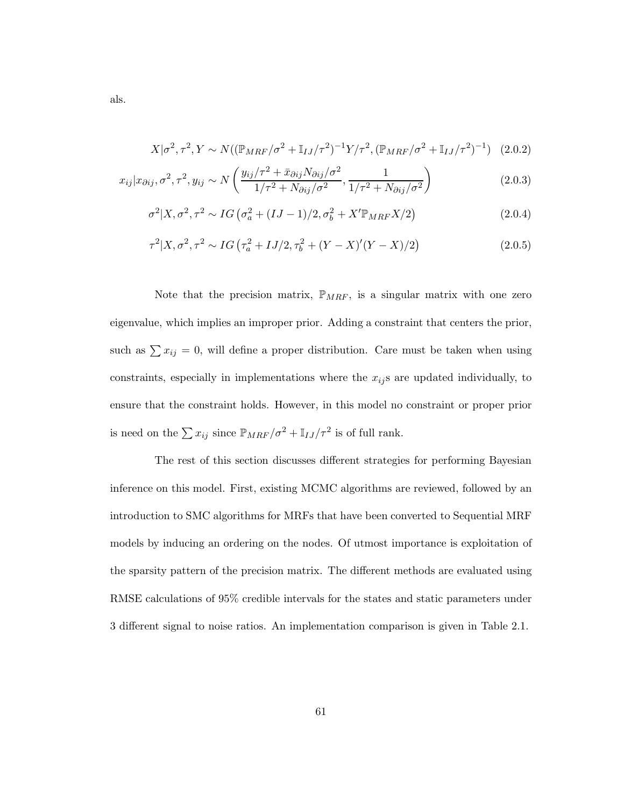$$
X|\sigma^2, \tau^2, Y \sim N((\mathbb{P}_{MRF}/\sigma^2 + \mathbb{I}_{IJ}/\tau^2)^{-1}Y/\tau^2, (\mathbb{P}_{MRF}/\sigma^2 + \mathbb{I}_{IJ}/\tau^2)^{-1}) \quad (2.0.2)
$$

$$
x_{ij}|x_{\partial ij},\sigma^2,\tau^2,y_{ij} \sim N\left(\frac{y_{ij}/\tau^2 + \bar{x}_{\partial ij}N_{\partial ij}/\sigma^2}{1/\tau^2 + N_{\partial ij}/\sigma^2},\frac{1}{1/\tau^2 + N_{\partial ij}/\sigma^2}\right)
$$
(2.0.3)

$$
\sigma^2 | X, \sigma^2, \tau^2 \sim IG \left( \sigma_a^2 + (IJ - 1)/2, \sigma_b^2 + X' \mathbb{P}_{MRF} X/2 \right)
$$
\n(2.0.4)

$$
\tau^2 | X, \sigma^2, \tau^2 \sim IG \left( \tau_a^2 + IJ/2, \tau_b^2 + (Y - X)'(Y - X)/2 \right)
$$
 (2.0.5)

Note that the precision matrix,  $\mathbb{P}_{MRF}$ , is a singular matrix with one zero eigenvalue, which implies an improper prior. Adding a constraint that centers the prior, such as  $\sum x_{ij} = 0$ , will define a proper distribution. Care must be taken when using constraints, especially in implementations where the  $x_{ij}$ s are updated individually, to ensure that the constraint holds. However, in this model no constraint or proper prior is need on the  $\sum x_{ij}$  since  $\mathbb{P}_{MRF}/\sigma^2 + \mathbb{I}_{IJ}/\tau^2$  is of full rank.

The rest of this section discusses different strategies for performing Bayesian inference on this model. First, existing MCMC algorithms are reviewed, followed by an introduction to SMC algorithms for MRFs that have been converted to Sequential MRF models by inducing an ordering on the nodes. Of utmost importance is exploitation of the sparsity pattern of the precision matrix. The different methods are evaluated using RMSE calculations of 95% credible intervals for the states and static parameters under 3 different signal to noise ratios. An implementation comparison is given in Table 2.1.

als.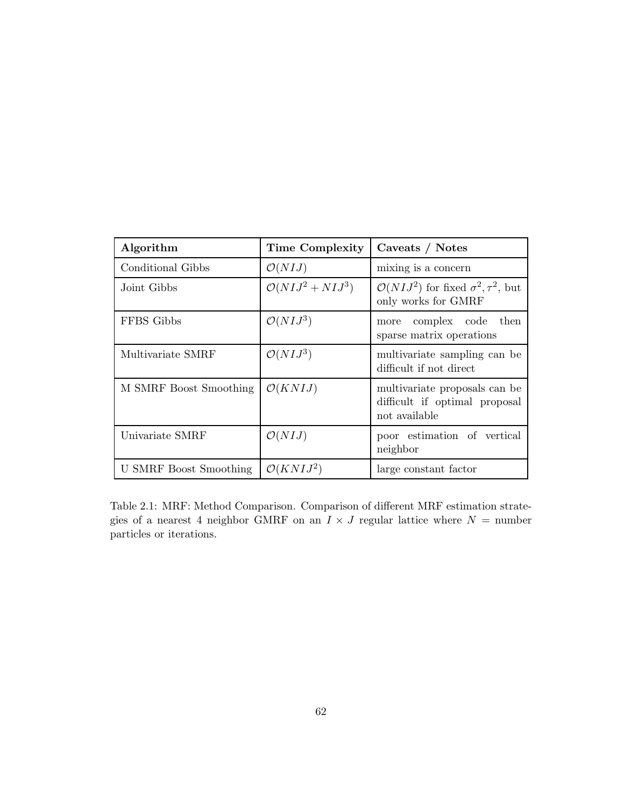| Algorithm              | <b>Time Complexity</b>           | Caveats / Notes                                                                  |
|------------------------|----------------------------------|----------------------------------------------------------------------------------|
| Conditional Gibbs      | $\mathcal{O}(N I J)$             | mixing is a concern                                                              |
| Joint Gibbs            | $\mathcal{O}(N I J^2 + N I J^3)$ | $\mathcal{O}(N I J^2)$ for fixed $\sigma^2, \tau^2$ , but<br>only works for GMRF |
| FFBS Gibbs             | $\mathcal{O}(N I J^3)$           | complex code then<br>more<br>sparse matrix operations                            |
| Multivariate SMRF      | $\mathcal{O}(N I J^3)$           | multivariate sampling can be<br>difficult if not direct                          |
| M SMRF Boost Smoothing | $\mathcal{O}(KNIJ)$              | multivariate proposals can be<br>difficult if optimal proposal<br>not available  |
| Univariate SMRF        | $\mathcal{O}(N I J)$             | poor estimation of vertical<br>neighbor                                          |
| U SMRF Boost Smoothing | $\mathcal{O}(KNIJ^2)$            | large constant factor                                                            |

Table 2.1: MRF: Method Comparison. Comparison of different MRF estimation strategies of a nearest 4 neighbor GMRF on an  $I \times J$  regular lattice where  $N =$  number particles or iterations.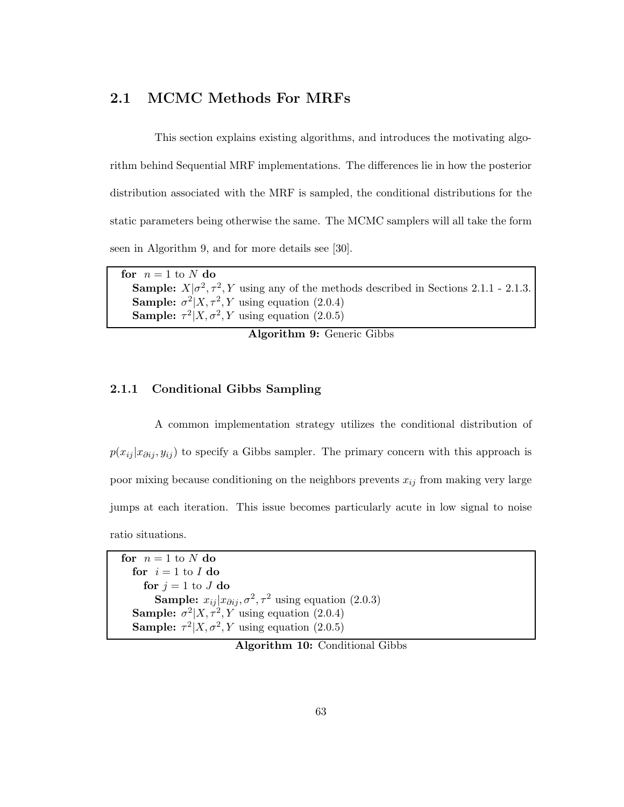### 2.1 MCMC Methods For MRFs

This section explains existing algorithms, and introduces the motivating algorithm behind Sequential MRF implementations. The differences lie in how the posterior distribution associated with the MRF is sampled, the conditional distributions for the static parameters being otherwise the same. The MCMC samplers will all take the form seen in Algorithm 9, and for more details see [30].

for  $n = 1$  to N do **Sample:**  $X|\sigma^2, \tau^2, Y$  using any of the methods described in Sections 2.1.1 - 2.1.3. **Sample:**  $\sigma^2 | X, \tau^2, Y$  using equation (2.0.4) **Sample:**  $\tau^2 | X, \sigma^2, Y$  using equation (2.0.5)

Algorithm 9: Generic Gibbs

#### 2.1.1 Conditional Gibbs Sampling

A common implementation strategy utilizes the conditional distribution of  $p(x_{ij} | x_{\partial ij}, y_{ij})$  to specify a Gibbs sampler. The primary concern with this approach is poor mixing because conditioning on the neighbors prevents  $x_{ij}$  from making very large jumps at each iteration. This issue becomes particularly acute in low signal to noise ratio situations.

for  $n = 1$  to N do for  $i = 1$  to  $I$  do for  $j = 1$  to J do **Sample:**  $x_{ij} | x_{\partial ij}, \sigma^2, \tau^2$  using equation (2.0.3) **Sample:**  $\sigma^2 | X, \tau^2, Y$  using equation (2.0.4) **Sample:**  $\tau^2 | X, \sigma^2, Y$  using equation (2.0.5)

Algorithm 10: Conditional Gibbs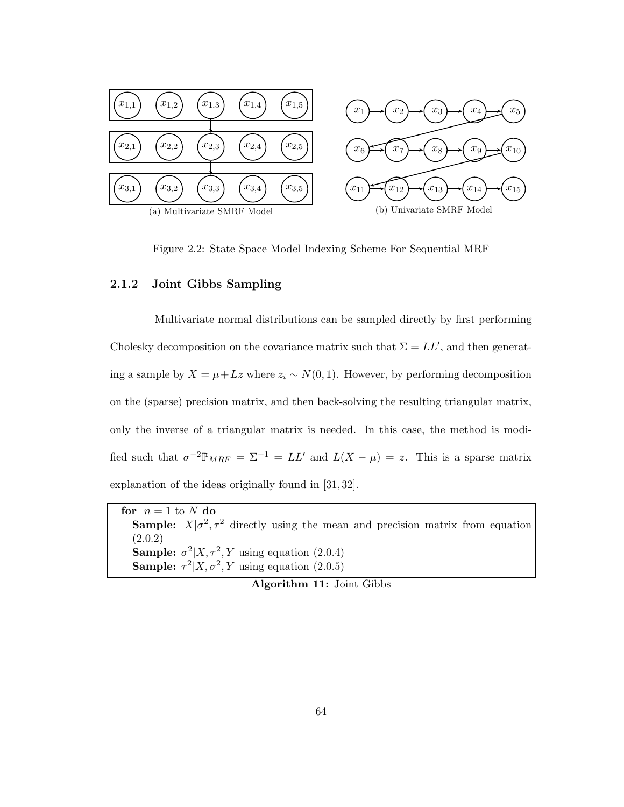

Figure 2.2: State Space Model Indexing Scheme For Sequential MRF

#### 2.1.2 Joint Gibbs Sampling

Multivariate normal distributions can be sampled directly by first performing Cholesky decomposition on the covariance matrix such that  $\Sigma = LL'$ , and then generating a sample by  $X = \mu + Lz$  where  $z_i \sim N(0, 1)$ . However, by performing decomposition on the (sparse) precision matrix, and then back-solving the resulting triangular matrix, only the inverse of a triangular matrix is needed. In this case, the method is modified such that  $\sigma^{-2} \mathbb{P}_{MRF} = \Sigma^{-1} = LL'$  and  $L(X - \mu) = z$ . This is a sparse matrix explanation of the ideas originally found in [31, 32].

for  $n = 1$  to N do **Sample:**  $X|\sigma^2, \tau^2$  directly using the mean and precision matrix from equation (2.0.2) **Sample:**  $\sigma^2 | X, \tau^2, Y$  using equation (2.0.4) **Sample:**  $\tau^2 | X, \sigma^2, Y$  using equation (2.0.5)

Algorithm 11: Joint Gibbs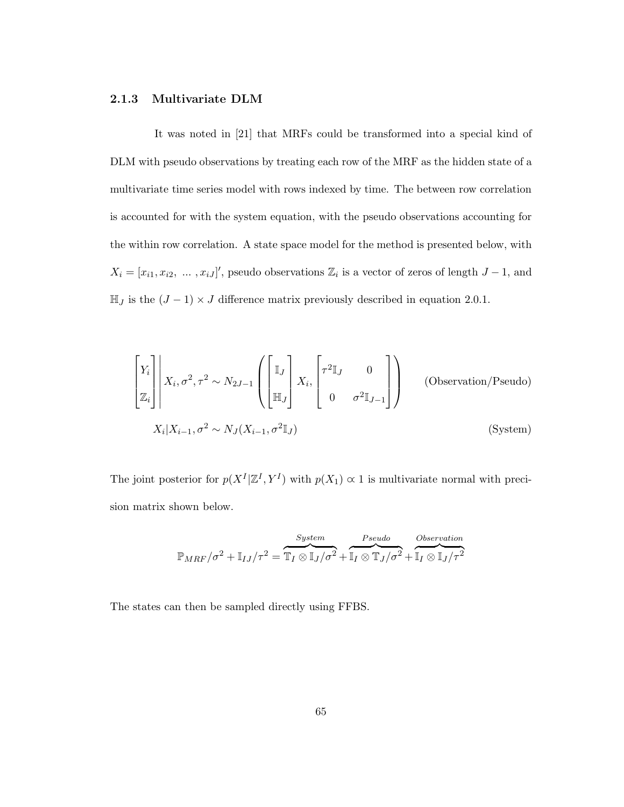#### 2.1.3 Multivariate DLM

It was noted in [21] that MRFs could be transformed into a special kind of DLM with pseudo observations by treating each row of the MRF as the hidden state of a multivariate time series model with rows indexed by time. The between row correlation is accounted for with the system equation, with the pseudo observations accounting for the within row correlation. A state space model for the method is presented below, with  $X_i = [x_{i1}, x_{i2}, \dots, x_{iJ}]'$ , pseudo observations  $\mathbb{Z}_i$  is a vector of zeros of length  $J-1$ , and  $\mathbb{H}_J$  is the  $(J-1) \times J$  difference matrix previously described in equation 2.0.1.

$$
\begin{bmatrix} Y_i \\ \mathbb{Z}_i \end{bmatrix} \begin{bmatrix} X_i, \sigma^2, \tau^2 \sim N_{2J-1} \\ X_i, \sigma^2, \tau^2 \sim N_{2J-1} \end{bmatrix} \begin{bmatrix} \mathbb{I}_J \\ \mathbb{H}_J \end{bmatrix} X_i, \begin{bmatrix} \tau^2 \mathbb{I}_J & 0 \\ 0 & \sigma^2 \mathbb{I}_{J-1} \end{bmatrix}
$$
 (Observation/Pseudo)  

$$
X_i | X_{i-1}, \sigma^2 \sim N_J (X_{i-1}, \sigma^2 \mathbb{I}_J)
$$
 (System)

The joint posterior for  $p(X^I | \mathbb{Z}^I, Y^I)$  with  $p(X_1) \propto 1$  is multivariate normal with precision matrix shown below.

$$
\mathbb{P}_{MRF}/\sigma^2 + \mathbb{I}_{IJ}/\tau^2 = \overbrace{\mathbb{T}_I \otimes \mathbb{I}_J/\sigma^2}^{System} + \overbrace{\mathbb{I}_I \otimes \mathbb{T}_J/\sigma^2}^{Pseudo} + \overbrace{\mathbb{I}_I \otimes \mathbb{I}_J/\tau^2}^{Observation}
$$

The states can then be sampled directly using FFBS.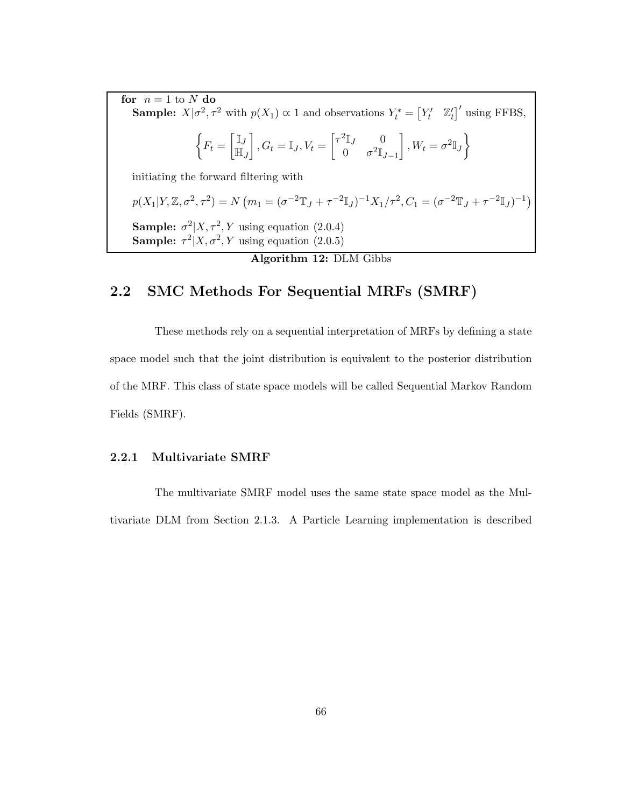for  $n = 1$  to N do **Sample:**  $X|\sigma^2, \tau^2$  with  $p(X_1) \propto 1$  and observations  $Y_t^* = \begin{bmatrix} Y_t' & \mathbb{Z}_t' \end{bmatrix}'$  using FFBS,  $\sqrt{ }$  $F_t =$  $\lceil \mathbb{I}_J$  $\mathbb{H}_J$  $\Bigg\}, G_t = \mathbb{I}_J, V_t = \begin{bmatrix} \tau^2 \mathbb{I}_J & 0 \\ 0 & \tau^2 \mathbb{I} \end{bmatrix}$ 0  $\sigma^2 \mathbb{I}_{J-1}$ 1  $, W_t = \sigma^2 \mathbb{I}_J$ initiating the forward filtering with  $p(X_1|Y, \mathbb{Z}, \sigma^2, \tau^2) = N (m_1 = (\sigma^{-2} \mathbb{T}_J + \tau^{-2} \mathbb{I}_J)^{-1} X_1/\tau^2, C_1 = (\sigma^{-2} \mathbb{T}_J + \tau^{-2} \mathbb{I}_J)^{-1})$ **Sample:**  $\sigma^2 | X, \tau^2, Y$  using equation (2.0.4) **Sample:**  $\tau^2 | X, \sigma^2, Y$  using equation (2.0.5)

## Algorithm 12: DLM Gibbs

## 2.2 SMC Methods For Sequential MRFs (SMRF)

These methods rely on a sequential interpretation of MRFs by defining a state space model such that the joint distribution is equivalent to the posterior distribution of the MRF. This class of state space models will be called Sequential Markov Random Fields (SMRF).

#### 2.2.1 Multivariate SMRF

The multivariate SMRF model uses the same state space model as the Multivariate DLM from Section 2.1.3. A Particle Learning implementation is described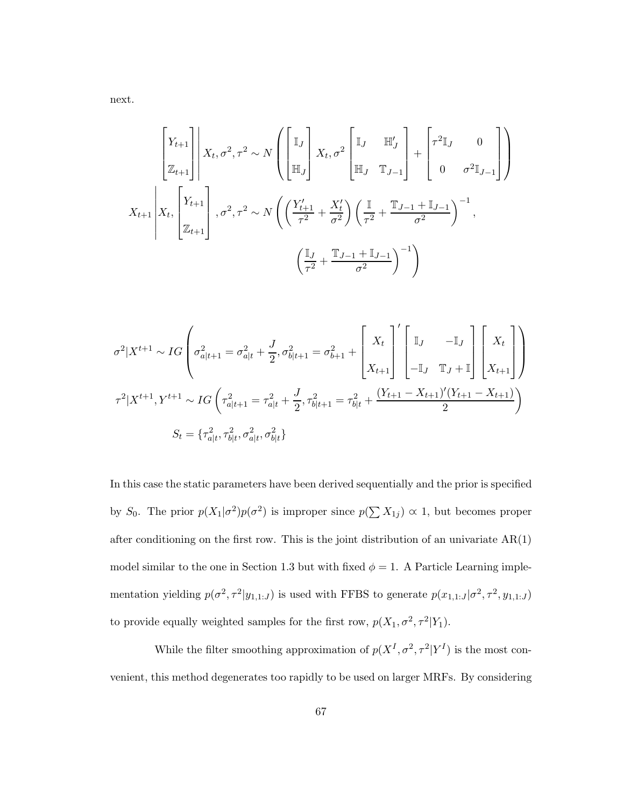next.

$$
X_{t+1}\begin{bmatrix} Y_{t+1} \\ Z_{t+1} \end{bmatrix} \begin{bmatrix} X_t, \sigma^2, \tau^2 \sim N \begin{bmatrix} \mathbb{I}_J \\ \mathbb{H}_J \end{bmatrix} X_t, \sigma^2 \begin{bmatrix} \mathbb{I}_J & \mathbb{H}'_J \\ \mathbb{H}_J & \mathbb{T}_{J-1} \end{bmatrix} + \begin{bmatrix} \tau^2 \mathbb{I}_J & 0 \\ 0 & \sigma^2 \mathbb{I}_{J-1} \end{bmatrix} \end{bmatrix}
$$

$$
X_{t+1} \begin{bmatrix} Y_{t+1} \\ Z_{t+1} \end{bmatrix}, \sigma^2, \tau^2 \sim N \left( \left( \frac{Y'_{t+1}}{\tau^2} + \frac{X'_t}{\sigma^2} \right) \left( \frac{\mathbb{I}}{\tau^2} + \frac{\mathbb{T}_{J-1} + \mathbb{I}_{J-1}}{\sigma^2} \right)^{-1},
$$

$$
\left( \frac{\mathbb{I}_J}{\tau^2} + \frac{\mathbb{T}_{J-1} + \mathbb{I}_{J-1}}{\sigma^2} \right)^{-1} \right)
$$

$$
\sigma^{2}|X^{t+1} \sim IG\left(\sigma_{a|t+1}^{2} = \sigma_{a|t}^{2} + \frac{J}{2}, \sigma_{b|t+1}^{2} = \sigma_{b+1}^{2} + \begin{bmatrix} X_{t} \\ X_{t} \end{bmatrix}' \begin{bmatrix} \mathbb{I}_{J} & -\mathbb{I}_{J} \\ -\mathbb{I}_{J} & \mathbb{T}_{J} + \mathbb{I} \end{bmatrix} \begin{bmatrix} X_{t} \\ X_{t+1} \end{bmatrix} \right)
$$

$$
\tau^{2}|X^{t+1}, Y^{t+1} \sim IG\left(\tau_{a|t+1}^{2} = \tau_{a|t}^{2} + \frac{J}{2}, \tau_{b|t+1}^{2} = \tau_{b|t}^{2} + \frac{(Y_{t+1} - X_{t+1})'(Y_{t+1} - X_{t+1})}{2}\right)
$$

$$
S_{t} = \{\tau_{a|t}^{2}, \tau_{b|t}^{2}, \sigma_{a|t}^{2}, \sigma_{b|t}^{2}\}
$$

In this case the static parameters have been derived sequentially and the prior is specified by  $S_0$ . The prior  $p(X_1|\sigma^2)p(\sigma^2)$  is improper since  $p(\sum X_{1j}) \propto 1$ , but becomes proper after conditioning on the first row. This is the joint distribution of an univariate  $AR(1)$ model similar to the one in Section 1.3 but with fixed  $\phi = 1$ . A Particle Learning implementation yielding  $p(\sigma^2, \tau^2 | y_{1,1:J})$  is used with FFBS to generate  $p(x_{1,1:J} | \sigma^2, \tau^2, y_{1,1:J})$ to provide equally weighted samples for the first row,  $p(X_1, \sigma^2, \tau^2|Y_1)$ .

While the filter smoothing approximation of  $p(X^I, \sigma^2, \tau^2 | Y^I)$  is the most convenient, this method degenerates too rapidly to be used on larger MRFs. By considering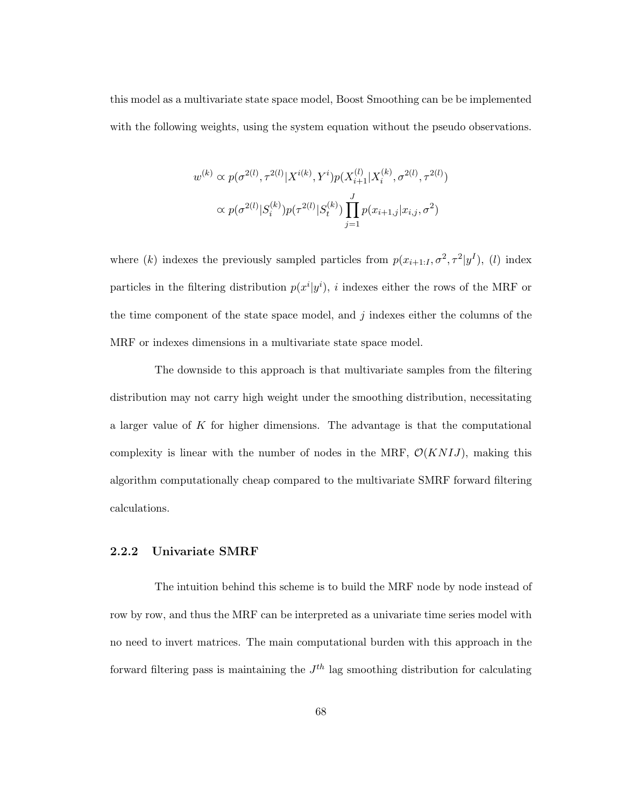this model as a multivariate state space model, Boost Smoothing can be be implemented with the following weights, using the system equation without the pseudo observations.

$$
w^{(k)} \propto p(\sigma^{2(l)}, \tau^{2(l)} | X^{i(k)}, Y^{i}) p(X_{i+1}^{(l)} | X_{i}^{(k)}, \sigma^{2(l)}, \tau^{2(l)})
$$

$$
\propto p(\sigma^{2(l)} | S_{i}^{(k)}) p(\tau^{2(l)} | S_{t}^{(k)}) \prod_{j=1}^{J} p(x_{i+1,j} | x_{i,j}, \sigma^{2})
$$

where (k) indexes the previously sampled particles from  $p(x_{i+1}:J, \sigma^2, \tau^2 | y^I)$ , (l) index particles in the filtering distribution  $p(x^i|y^i)$ , *i* indexes either the rows of the MRF or the time component of the state space model, and  $j$  indexes either the columns of the MRF or indexes dimensions in a multivariate state space model.

The downside to this approach is that multivariate samples from the filtering distribution may not carry high weight under the smoothing distribution, necessitating a larger value of  $K$  for higher dimensions. The advantage is that the computational complexity is linear with the number of nodes in the MRF,  $\mathcal{O}(KNIJ)$ , making this algorithm computationally cheap compared to the multivariate SMRF forward filtering calculations.

#### 2.2.2 Univariate SMRF

The intuition behind this scheme is to build the MRF node by node instead of row by row, and thus the MRF can be interpreted as a univariate time series model with no need to invert matrices. The main computational burden with this approach in the forward filtering pass is maintaining the  $J<sup>th</sup>$  lag smoothing distribution for calculating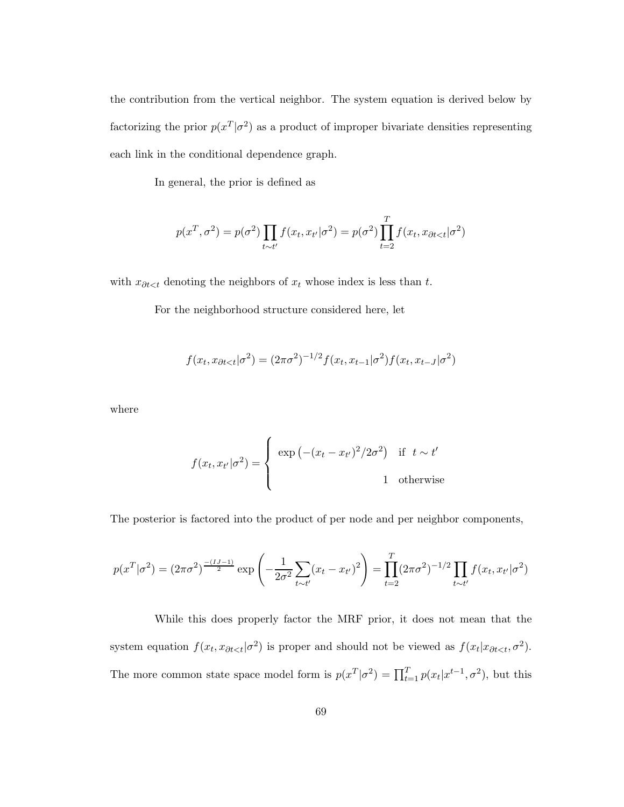the contribution from the vertical neighbor. The system equation is derived below by factorizing the prior  $p(x^T | \sigma^2)$  as a product of improper bivariate densities representing each link in the conditional dependence graph.

In general, the prior is defined as

$$
p(x^T, \sigma^2) = p(\sigma^2) \prod_{t \sim t'} f(x_t, x_{t'} | \sigma^2) = p(\sigma^2) \prod_{t=2}^T f(x_t, x_{\partial t < t} | \sigma^2)
$$

with  $x_{\partial t < t}$  denoting the neighbors of  $x_t$  whose index is less than  $t$ .

For the neighborhood structure considered here, let

$$
f(x_t, x_{\partial t < t} | \sigma^2) = (2\pi\sigma^2)^{-1/2} f(x_t, x_{t-1} | \sigma^2) f(x_t, x_{t-J} | \sigma^2)
$$

where

$$
f(x_t, x_{t'} | \sigma^2) = \begin{cases} \exp\left(-(x_t - x_{t'})^2 / 2\sigma^2\right) & \text{if } t \sim t' \\ 1 & \text{otherwise} \end{cases}
$$

The posterior is factored into the product of per node and per neighbor components,

$$
p(x^T|\sigma^2) = (2\pi\sigma^2)^{\frac{-(IJ-1)}{2}} \exp\left(-\frac{1}{2\sigma^2} \sum_{t \sim t'} (x_t - x_{t'})^2\right) = \prod_{t=2}^T (2\pi\sigma^2)^{-1/2} \prod_{t \sim t'} f(x_t, x_{t'}|\sigma^2)
$$

While this does properly factor the MRF prior, it does not mean that the system equation  $f(x_t, x_{\partial t \leq t} | \sigma^2)$  is proper and should not be viewed as  $f(x_t | x_{\partial t \leq t}, \sigma^2)$ . The more common state space model form is  $p(x^T | \sigma^2) = \prod_{t=1}^T p(x_t | x^{t-1}, \sigma^2)$ , but this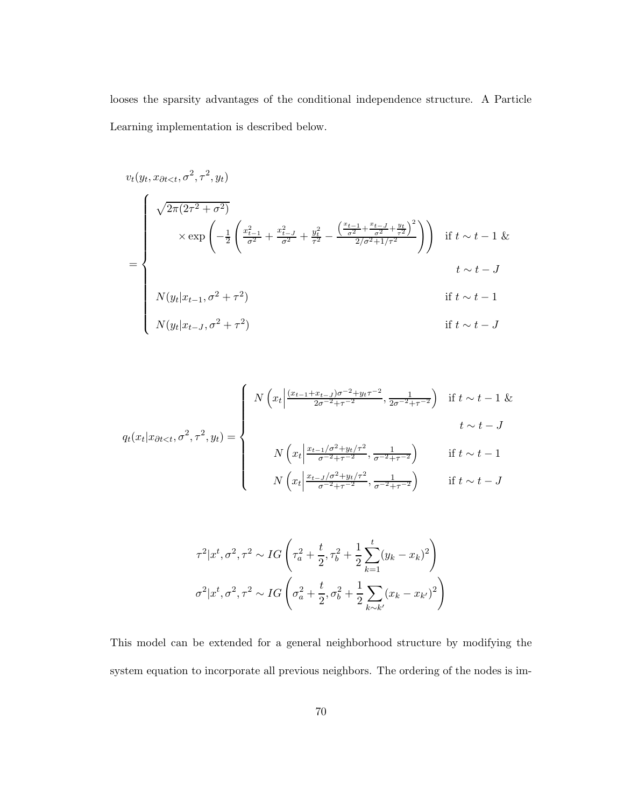looses the sparsity advantages of the conditional independence structure. A Particle Learning implementation is described below.

$$
v_t(y_t, x_{\partial t < t}, \sigma^2, \tau^2, y_t)
$$
\n
$$
\times \exp\left(-\frac{1}{2}\left(\frac{x_{t-1}^2}{\sigma^2} + \frac{x_{t-J}^2}{\sigma^2} + \frac{y_t^2}{\tau^2} - \frac{\left(\frac{x_{t-1}}{\sigma^2} + \frac{x_{t-J}^2}{\sigma^2} + \frac{y_t}{\tau^2}\right)^2}{2/\sigma^2 + 1/\tau^2}\right)\right) \quad \text{if } t \sim t - 1 \&
$$
\n
$$
t \sim t - J
$$
\n
$$
N(y_t|x_{t-1}, \sigma^2 + \tau^2)
$$
\n
$$
N(y_t|x_{t-J}, \sigma^2 + \tau^2)
$$
\n
$$
\text{if } t \sim t - 1
$$
\n
$$
t \sim t - J
$$
\n
$$
\text{if } t \sim t - J
$$
\n
$$
t \sim t - J
$$

$$
q_t(x_t|x_{\partial t
$$

$$
\tau^{2}|x^{t}, \sigma^{2}, \tau^{2} \sim IG\left(\tau_{a}^{2} + \frac{t}{2}, \tau_{b}^{2} + \frac{1}{2} \sum_{k=1}^{t} (y_{k} - x_{k})^{2}\right)
$$

$$
\sigma^{2}|x^{t}, \sigma^{2}, \tau^{2} \sim IG\left(\sigma_{a}^{2} + \frac{t}{2}, \sigma_{b}^{2} + \frac{1}{2} \sum_{k \sim k'} (x_{k} - x_{k'})^{2}\right)
$$

This model can be extended for a general neighborhood structure by modifying the system equation to incorporate all previous neighbors. The ordering of the nodes is im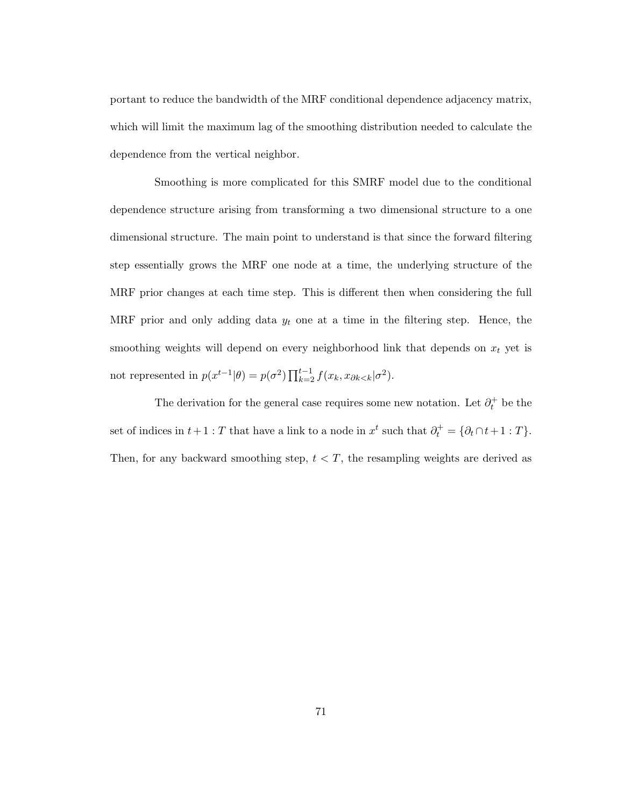portant to reduce the bandwidth of the MRF conditional dependence adjacency matrix, which will limit the maximum lag of the smoothing distribution needed to calculate the dependence from the vertical neighbor.

Smoothing is more complicated for this SMRF model due to the conditional dependence structure arising from transforming a two dimensional structure to a one dimensional structure. The main point to understand is that since the forward filtering step essentially grows the MRF one node at a time, the underlying structure of the MRF prior changes at each time step. This is different then when considering the full MRF prior and only adding data  $y_t$  one at a time in the filtering step. Hence, the smoothing weights will depend on every neighborhood link that depends on  $x_t$  yet is not represented in  $p(x^{t-1}|\theta) = p(\sigma^2) \prod_{k=2}^{t-1} f(x_k, x_{\partial k \langle k}|\sigma^2)$ .

The derivation for the general case requires some new notation. Let  $\partial_t^+$  be the set of indices in  $t + 1 : T$  that have a link to a node in  $x^t$  such that  $\partial_t^+ = {\partial_t \cap t + 1 : T}$ . Then, for any backward smoothing step,  $t < T$ , the resampling weights are derived as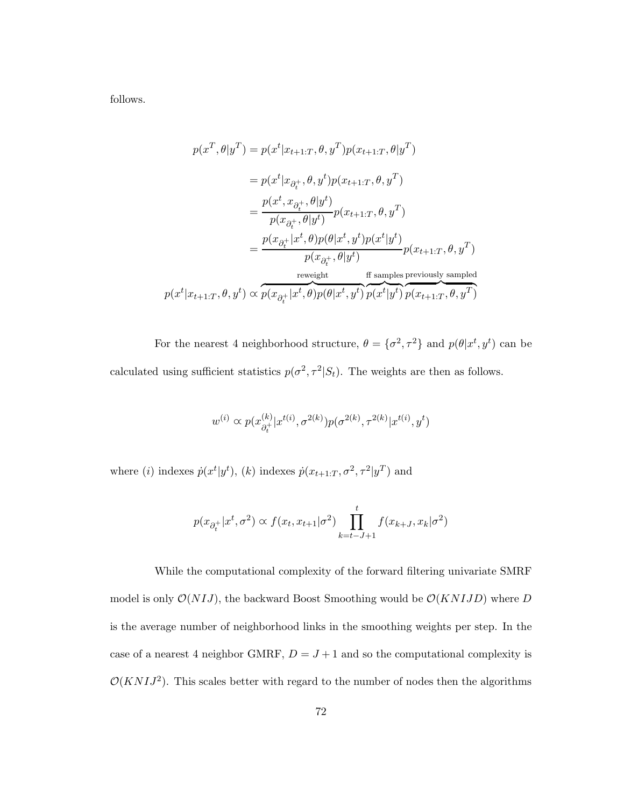follows.

$$
p(x^T, \theta | y^T) = p(x^t | x_{t+1:T}, \theta, y^T) p(x_{t+1:T}, \theta | y^T)
$$
  
\n
$$
= p(x^t | x_{\partial_t^+}, \theta, y^t) p(x_{t+1:T}, \theta, y^T)
$$
  
\n
$$
= \frac{p(x^t, x_{\partial_t^+}, \theta | y^t)}{p(x_{\partial_t^+}, \theta | y^t)} p(x_{t+1:T}, \theta, y^T)
$$
  
\n
$$
= \frac{p(x_{\partial_t^+} | x^t, \theta) p(\theta | x^t, y^t) p(x^t | y^t)}{p(x_{\partial_t^+}, \theta | y^t)} p(x_{t+1:T}, \theta, y^T)
$$
  
\n
$$
= \frac{p(x_{\partial_t^+} | x^t, \theta) p(\theta | x^t, y^t) p(x^t | y^t)}{p(x^t | y^t)} p(x_{t+1:T}, \theta, y^T)
$$

For the nearest 4 neighborhood structure,  $\theta = \{\sigma^2, \tau^2\}$  and  $p(\theta | x^t, y^t)$  can be calculated using sufficient statistics  $p(\sigma^2, \tau^2 | S_t)$ . The weights are then as follows.

$$
w^{(i)} \propto p(x_{\partial_t^+}^{(k)} | x^{t(i)}, \sigma^{2(k)}) p(\sigma^{2(k)}, \tau^{2(k)} | x^{t(i)}, y^t)
$$

where (*i*) indexes  $\dot{p}(x^t | y^t)$ , (*k*) indexes  $\dot{p}(x_{t+1:T}, \sigma^2, \tau^2 | y^T)$  and

$$
p(x_{\partial_t^+}|x^t, \sigma^2) \propto f(x_t, x_{t+1}|\sigma^2) \prod_{k=t-J+1}^t f(x_{k+J}, x_k|\sigma^2)
$$

While the computational complexity of the forward filtering univariate SMRF model is only  $\mathcal{O}(N I J)$ , the backward Boost Smoothing would be  $\mathcal{O}(KN I JD)$  where D is the average number of neighborhood links in the smoothing weights per step. In the case of a nearest 4 neighbor GMRF,  $D = J + 1$  and so the computational complexity is  $\mathcal{O}(KNIJ^2)$ . This scales better with regard to the number of nodes then the algorithms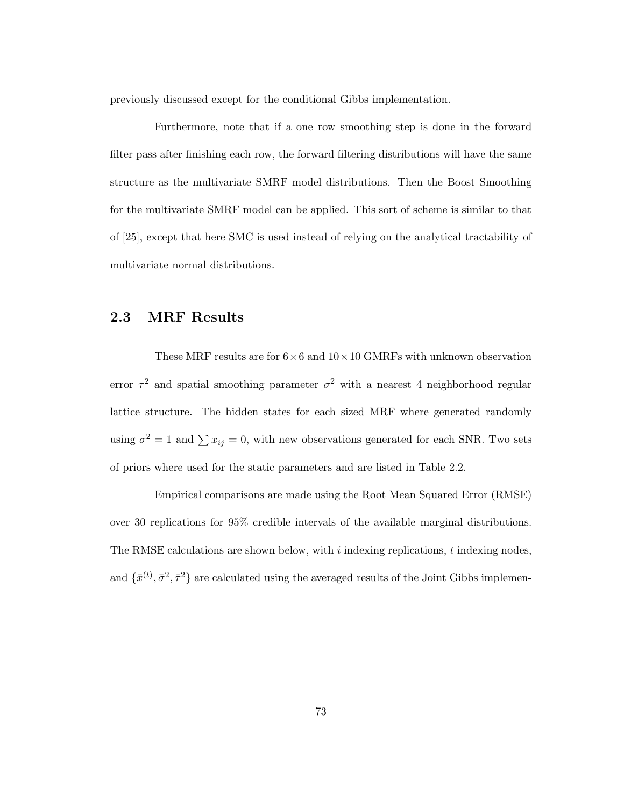previously discussed except for the conditional Gibbs implementation.

Furthermore, note that if a one row smoothing step is done in the forward filter pass after finishing each row, the forward filtering distributions will have the same structure as the multivariate SMRF model distributions. Then the Boost Smoothing for the multivariate SMRF model can be applied. This sort of scheme is similar to that of [25], except that here SMC is used instead of relying on the analytical tractability of multivariate normal distributions.

## 2.3 MRF Results

These MRF results are for  $6\times6$  and  $10\times10$  GMRFs with unknown observation error  $\tau^2$  and spatial smoothing parameter  $\sigma^2$  with a nearest 4 neighborhood regular lattice structure. The hidden states for each sized MRF where generated randomly using  $\sigma^2 = 1$  and  $\sum x_{ij} = 0$ , with new observations generated for each SNR. Two sets of priors where used for the static parameters and are listed in Table 2.2.

Empirical comparisons are made using the Root Mean Squared Error (RMSE) over 30 replications for 95% credible intervals of the available marginal distributions. The RMSE calculations are shown below, with  $i$  indexing replications,  $t$  indexing nodes, and  $\{\bar{x}^{(t)}, \bar{\sigma}^2, \bar{\tau}^2\}$  are calculated using the averaged results of the Joint Gibbs implemen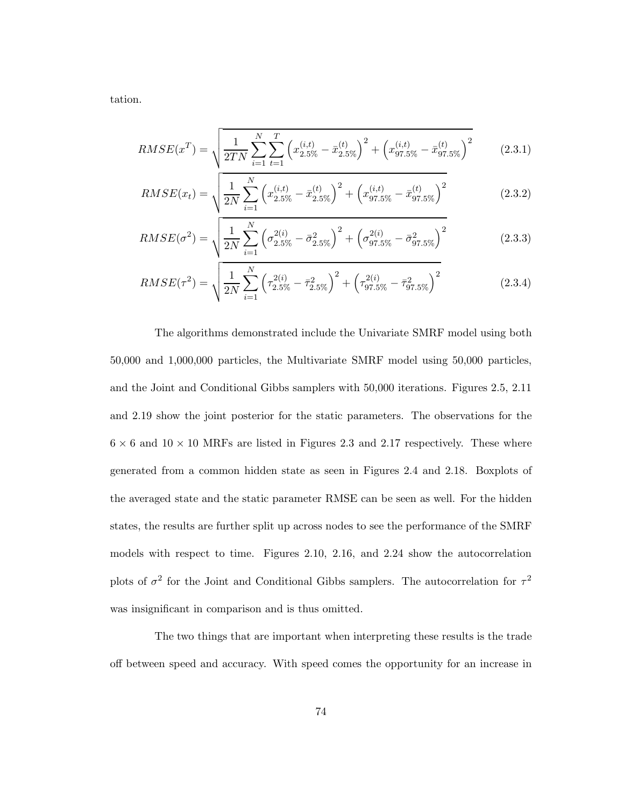tation.

$$
RMSE(x^T) = \sqrt{\frac{1}{2TN} \sum_{i=1}^{N} \sum_{t=1}^{T} \left( x_{2.5\%}^{(i,t)} - \bar{x}_{2.5\%}^{(t)} \right)^2 + \left( x_{97.5\%}^{(i,t)} - \bar{x}_{97.5\%}^{(t)} \right)^2}
$$
(2.3.1)

$$
RMSE(x_t) = \sqrt{\frac{1}{2N} \sum_{i=1}^{N} \left( x_{2.5\%}^{(i,t)} - \bar{x}_{2.5\%}^{(t)} \right)^2 + \left( x_{97.5\%}^{(i,t)} - \bar{x}_{97.5\%}^{(t)} \right)^2}
$$
(2.3.2)

$$
RMSE(\sigma^2) = \sqrt{\frac{1}{2N} \sum_{i=1}^{N} \left(\sigma_{2.5\%}^{2(i)} - \bar{\sigma}_{2.5\%}^2\right)^2 + \left(\sigma_{97.5\%}^{2(i)} - \bar{\sigma}_{97.5\%}^2\right)^2}
$$
(2.3.3)

$$
RMSE(\tau^2) = \sqrt{\frac{1}{2N} \sum_{i=1}^{N} \left(\tau_{2.5\%}^{2(i)} - \bar{\tau}_{2.5\%}^{2}\right)^2 + \left(\tau_{97.5\%}^{2(i)} - \bar{\tau}_{97.5\%}^{2}\right)^2}
$$
(2.3.4)

The algorithms demonstrated include the Univariate SMRF model using both 50,000 and 1,000,000 particles, the Multivariate SMRF model using 50,000 particles, and the Joint and Conditional Gibbs samplers with 50,000 iterations. Figures 2.5, 2.11 and 2.19 show the joint posterior for the static parameters. The observations for the  $6 \times 6$  and  $10 \times 10$  MRFs are listed in Figures 2.3 and 2.17 respectively. These where generated from a common hidden state as seen in Figures 2.4 and 2.18. Boxplots of the averaged state and the static parameter RMSE can be seen as well. For the hidden states, the results are further split up across nodes to see the performance of the SMRF models with respect to time. Figures 2.10, 2.16, and 2.24 show the autocorrelation plots of  $\sigma^2$  for the Joint and Conditional Gibbs samplers. The autocorrelation for  $\tau^2$ was insignificant in comparison and is thus omitted.

The two things that are important when interpreting these results is the trade off between speed and accuracy. With speed comes the opportunity for an increase in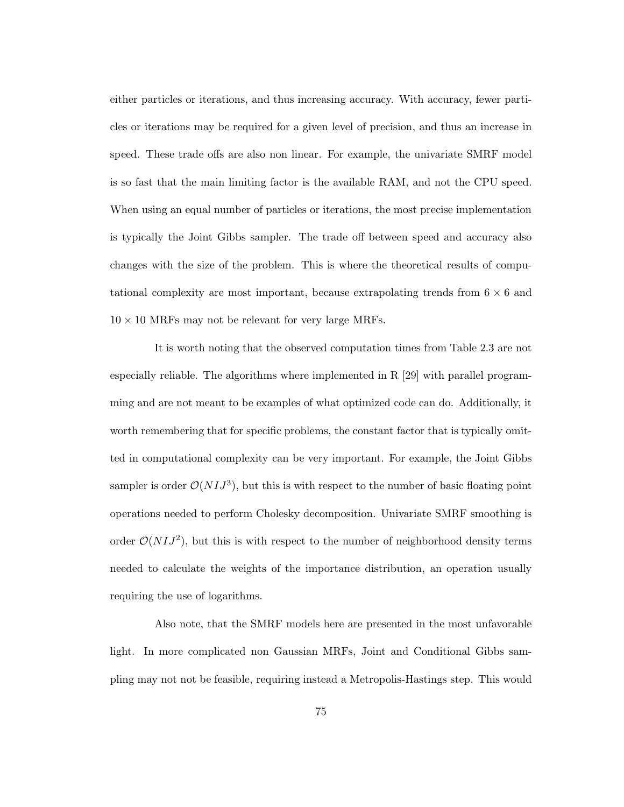either particles or iterations, and thus increasing accuracy. With accuracy, fewer particles or iterations may be required for a given level of precision, and thus an increase in speed. These trade offs are also non linear. For example, the univariate SMRF model is so fast that the main limiting factor is the available RAM, and not the CPU speed. When using an equal number of particles or iterations, the most precise implementation is typically the Joint Gibbs sampler. The trade off between speed and accuracy also changes with the size of the problem. This is where the theoretical results of computational complexity are most important, because extrapolating trends from  $6 \times 6$  and  $10 \times 10$  MRFs may not be relevant for very large MRFs.

It is worth noting that the observed computation times from Table 2.3 are not especially reliable. The algorithms where implemented in R [29] with parallel programming and are not meant to be examples of what optimized code can do. Additionally, it worth remembering that for specific problems, the constant factor that is typically omitted in computational complexity can be very important. For example, the Joint Gibbs sampler is order  $\mathcal{O}(N I J^3)$ , but this is with respect to the number of basic floating point operations needed to perform Cholesky decomposition. Univariate SMRF smoothing is order  $\mathcal{O}(N I J^2)$ , but this is with respect to the number of neighborhood density terms needed to calculate the weights of the importance distribution, an operation usually requiring the use of logarithms.

Also note, that the SMRF models here are presented in the most unfavorable light. In more complicated non Gaussian MRFs, Joint and Conditional Gibbs sampling may not not be feasible, requiring instead a Metropolis-Hastings step. This would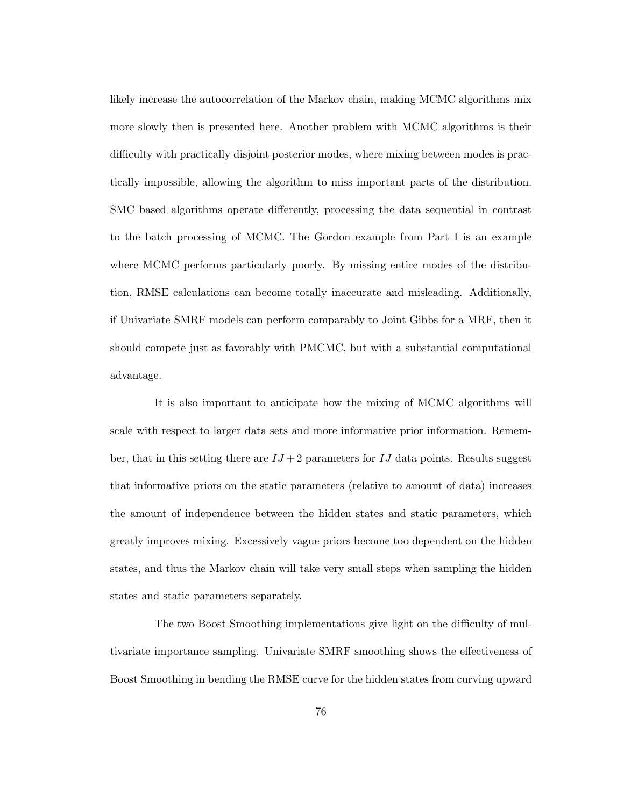likely increase the autocorrelation of the Markov chain, making MCMC algorithms mix more slowly then is presented here. Another problem with MCMC algorithms is their difficulty with practically disjoint posterior modes, where mixing between modes is practically impossible, allowing the algorithm to miss important parts of the distribution. SMC based algorithms operate differently, processing the data sequential in contrast to the batch processing of MCMC. The Gordon example from Part I is an example where MCMC performs particularly poorly. By missing entire modes of the distribution, RMSE calculations can become totally inaccurate and misleading. Additionally, if Univariate SMRF models can perform comparably to Joint Gibbs for a MRF, then it should compete just as favorably with PMCMC, but with a substantial computational advantage.

It is also important to anticipate how the mixing of MCMC algorithms will scale with respect to larger data sets and more informative prior information. Remember, that in this setting there are  $IJ + 2$  parameters for IJ data points. Results suggest that informative priors on the static parameters (relative to amount of data) increases the amount of independence between the hidden states and static parameters, which greatly improves mixing. Excessively vague priors become too dependent on the hidden states, and thus the Markov chain will take very small steps when sampling the hidden states and static parameters separately.

The two Boost Smoothing implementations give light on the difficulty of multivariate importance sampling. Univariate SMRF smoothing shows the effectiveness of Boost Smoothing in bending the RMSE curve for the hidden states from curving upward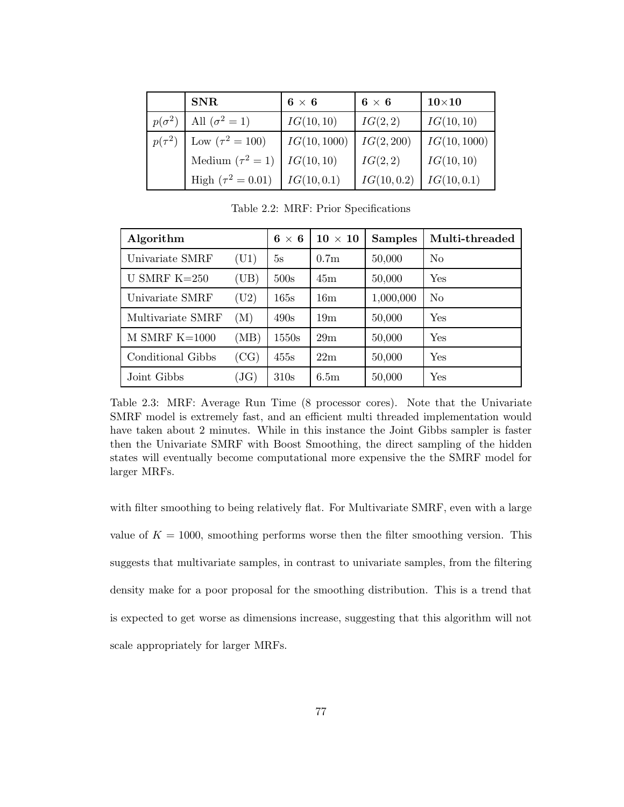|               | <b>SNR</b>             | $6 \times 6$ | $6 \times 6$ | $10\times10$ |
|---------------|------------------------|--------------|--------------|--------------|
| $p(\sigma^2)$ | All $(\sigma^2 = 1)$   | IG(10, 10)   | IG(2,2)      | IG(10, 10)   |
| $p(\tau^2)$   | Low $(\tau^2 = 100)$   | IG(10, 1000) | IG(2, 200)   | IG(10, 1000) |
|               | Medium $(\tau^2 = 1)$  | IG(10, 10)   | IG(2,2)      | IG(10, 10)   |
|               | High $(\tau^2 = 0.01)$ | IG(10, 0.1)  | IG(10, 0.2)  | IG(10, 0.1)  |

Table 2.2: MRF: Prior Specifications

| Algorithm         | $6 \times 6$ | $10 \times 10$ | <b>Samples</b>   | Multi-threaded |          |
|-------------------|--------------|----------------|------------------|----------------|----------|
| Univariate SMRF   | (U1)         | 5s             | 0.7 <sub>m</sub> | 50,000         | No       |
| U SMRF $K=250$    | (UB)         | 500s           | 45m              | 50,000         | Yes      |
| Univariate SMRF   | (U2)         | 165s           | 16m              | 1,000,000      | $\rm No$ |
| Multivariate SMRF | (M)          | 490s           | 19 <sub>m</sub>  | 50,000         | Yes      |
| M SMRF $K=1000$   | (MB)         | 1550s          | 29m              | 50,000         | Yes      |
| Conditional Gibbs | (CG)         | 455s           | 22m              | 50,000         | Yes      |
| Joint Gibbs       | JG)          | 310s           | 6.5 <sub>m</sub> | 50,000         | Yes      |

Table 2.3: MRF: Average Run Time (8 processor cores). Note that the Univariate SMRF model is extremely fast, and an efficient multi threaded implementation would have taken about 2 minutes. While in this instance the Joint Gibbs sampler is faster then the Univariate SMRF with Boost Smoothing, the direct sampling of the hidden states will eventually become computational more expensive the the SMRF model for larger MRFs.

with filter smoothing to being relatively flat. For Multivariate SMRF, even with a large value of  $K = 1000$ , smoothing performs worse then the filter smoothing version. This suggests that multivariate samples, in contrast to univariate samples, from the filtering density make for a poor proposal for the smoothing distribution. This is a trend that is expected to get worse as dimensions increase, suggesting that this algorithm will not scale appropriately for larger MRFs.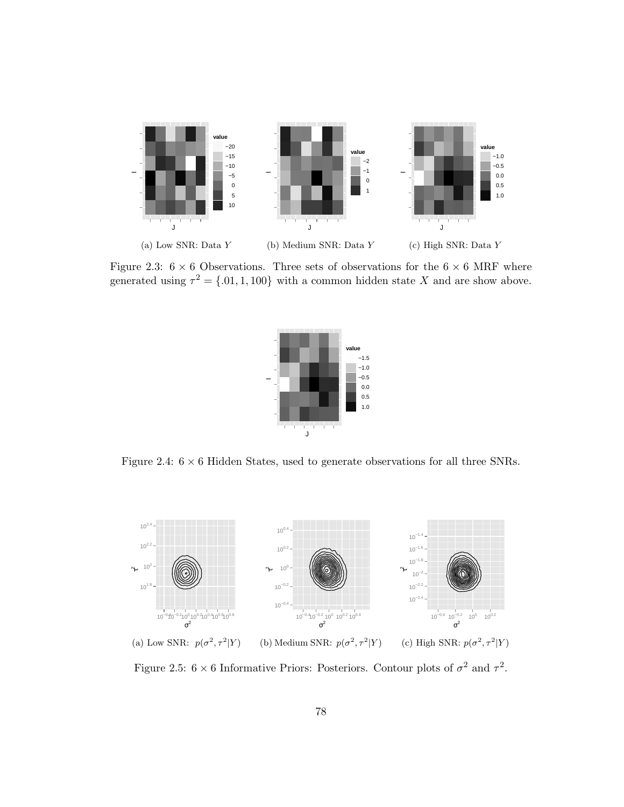

Figure 2.3:  $6 \times 6$  Observations. Three sets of observations for the  $6 \times 6$  MRF where generated using  $\tau^2 = \{0.01, 1, 100\}$  with a common hidden state X and are show above.



Figure 2.4:  $6 \times 6$  Hidden States, used to generate observations for all three SNRs.



Figure 2.5:  $6 \times 6$  Informative Priors: Posteriors. Contour plots of  $\sigma^2$  and  $\tau^2$ .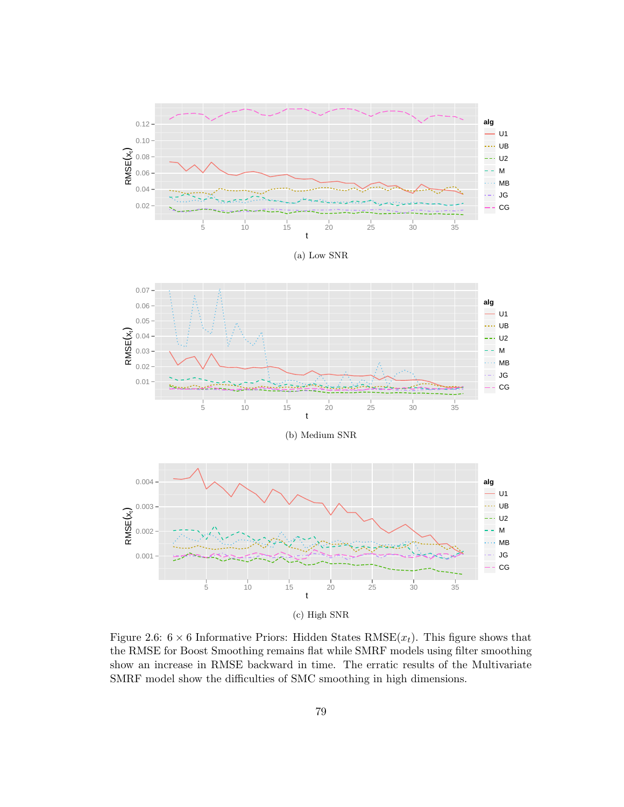





(b) Medium SNR



Figure 2.6:  $6 \times 6$  Informative Priors: Hidden States RMSE $(x_t)$ . This figure shows that the RMSE for Boost Smoothing remains flat while SMRF models using filter smoothing show an increase in RMSE backward in time. The erratic results of the Multivariate SMRF model show the difficulties of SMC smoothing in high dimensions.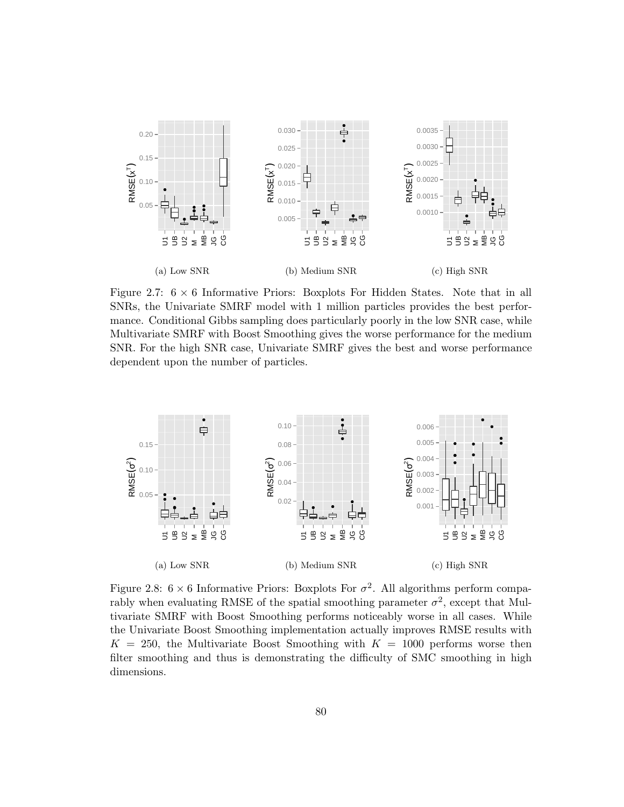

Figure 2.7:  $6 \times 6$  Informative Priors: Boxplots For Hidden States. Note that in all SNRs, the Univariate SMRF model with 1 million particles provides the best performance. Conditional Gibbs sampling does particularly poorly in the low SNR case, while Multivariate SMRF with Boost Smoothing gives the worse performance for the medium SNR. For the high SNR case, Univariate SMRF gives the best and worse performance dependent upon the number of particles.



Figure 2.8:  $6 \times 6$  Informative Priors: Boxplots For  $\sigma^2$ . All algorithms perform comparably when evaluating RMSE of the spatial smoothing parameter  $\sigma^2$ , except that Multivariate SMRF with Boost Smoothing performs noticeably worse in all cases. While the Univariate Boost Smoothing implementation actually improves RMSE results with  $K = 250$ , the Multivariate Boost Smoothing with  $K = 1000$  performs worse then filter smoothing and thus is demonstrating the difficulty of SMC smoothing in high dimensions.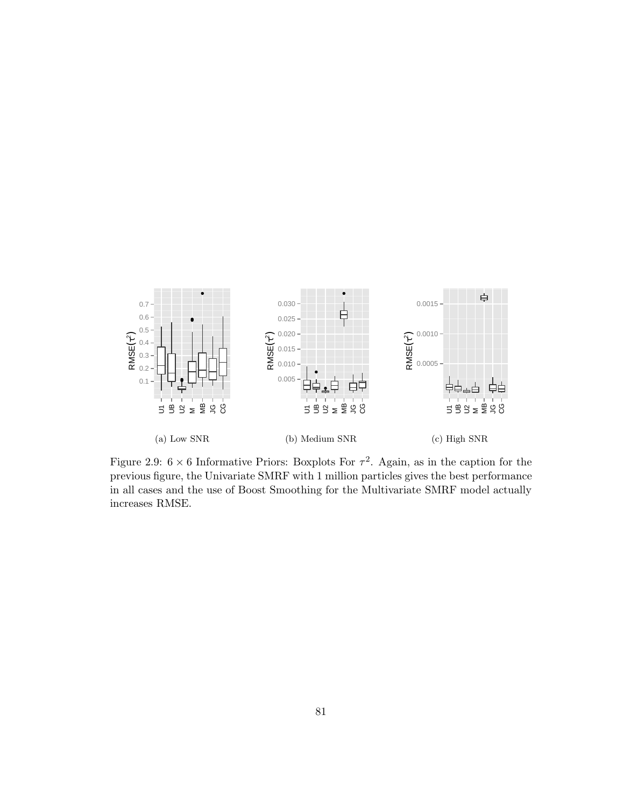

Figure 2.9:  $6 \times 6$  Informative Priors: Boxplots For  $\tau^2$ . Again, as in the caption for the previous figure, the Univariate SMRF with 1 million particles gives the best performance in all cases and the use of Boost Smoothing for the Multivariate SMRF model actually increases RMSE.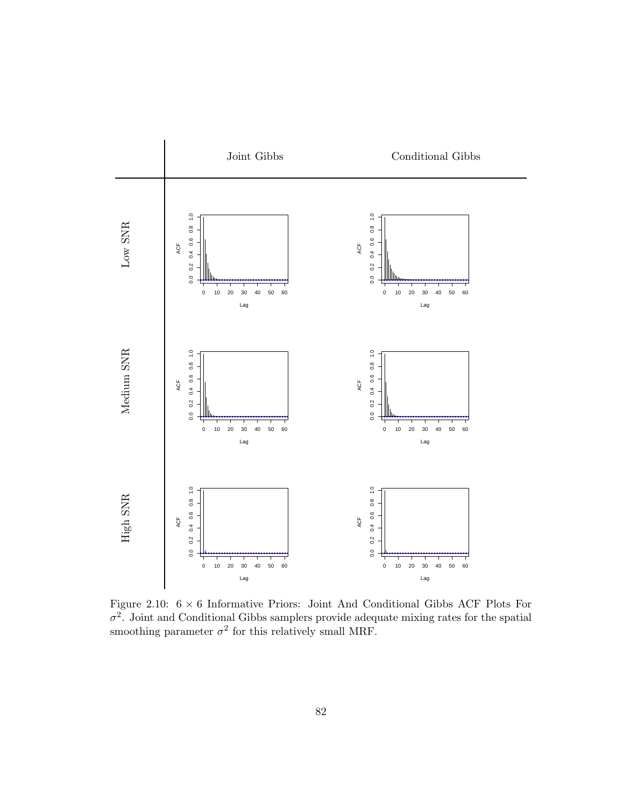

Figure 2.10:  $6 \times 6$  Informative Priors: Joint And Conditional Gibbs ACF Plots For  $\sigma^2$ . Joint and Conditional Gibbs samplers provide adequate mixing rates for the spatial smoothing parameter  $\sigma^2$  for this relatively small MRF.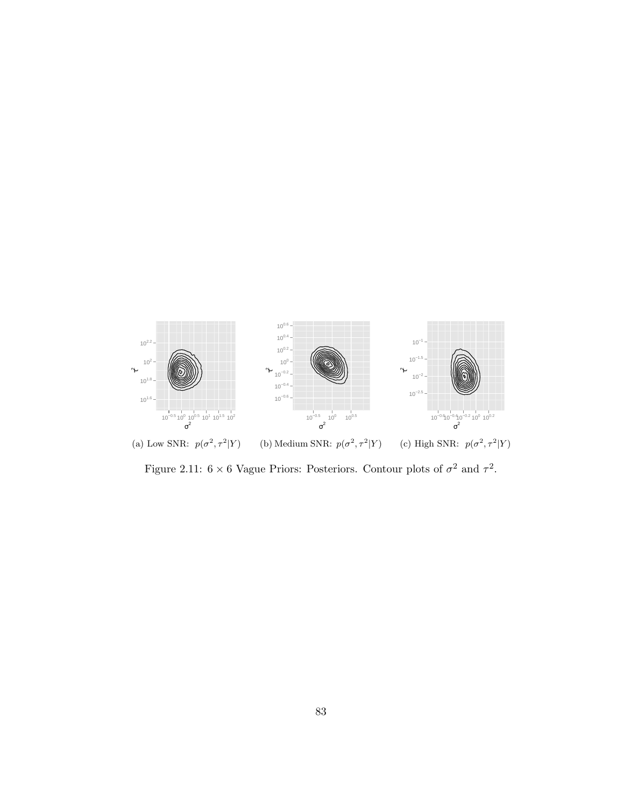

(a) Low SNR:  $p(\sigma^2, \tau^2|Y)$ (b) Medium SNR:  $p(\sigma^2, \tau^2|Y)$ (c) High SNR:  $p(\sigma^2, \tau^2|Y)$ 

Figure 2.11:  $6 \times 6$  Vague Priors: Posteriors. Contour plots of  $\sigma^2$  and  $\tau^2$ .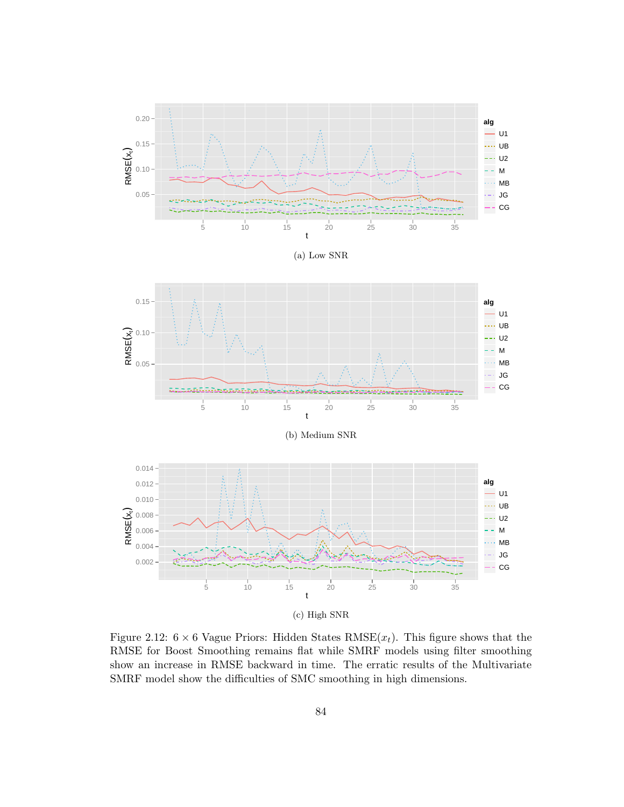

(a) Low SNR



(b) Medium SNR



(c) High SNR

Figure 2.12:  $6 \times 6$  Vague Priors: Hidden States RMSE $(x_t)$ . This figure shows that the RMSE for Boost Smoothing remains flat while SMRF models using filter smoothing show an increase in RMSE backward in time. The erratic results of the Multivariate SMRF model show the difficulties of SMC smoothing in high dimensions.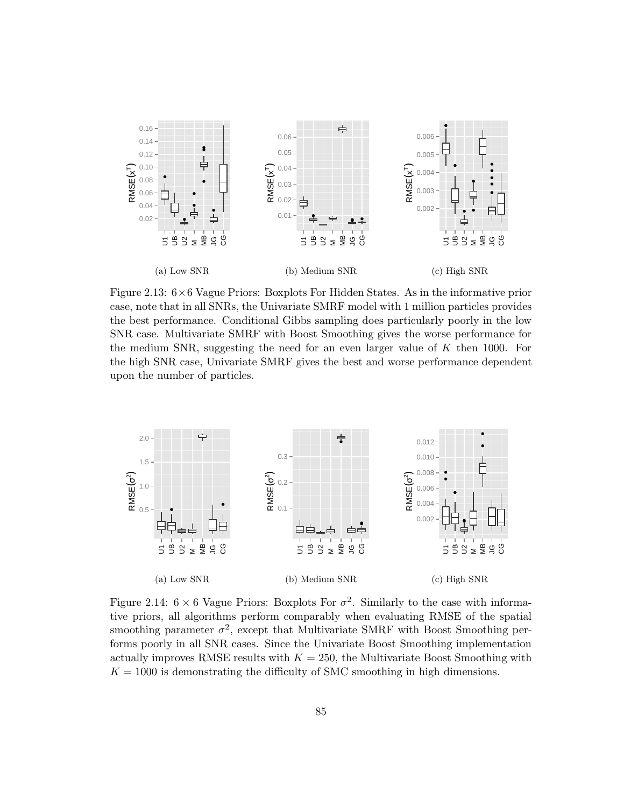

Figure 2.13: 6×6 Vague Priors: Boxplots For Hidden States. As in the informative prior case, note that in all SNRs, the Univariate SMRF model with 1 million particles provides the best performance. Conditional Gibbs sampling does particularly poorly in the low SNR case. Multivariate SMRF with Boost Smoothing gives the worse performance for the medium SNR, suggesting the need for an even larger value of  $K$  then 1000. For the high SNR case, Univariate SMRF gives the best and worse performance dependent upon the number of particles.



Figure 2.14:  $6 \times 6$  Vague Priors: Boxplots For  $\sigma^2$ . Similarly to the case with informative priors, all algorithms perform comparably when evaluating RMSE of the spatial smoothing parameter  $\sigma^2$ , except that Multivariate SMRF with Boost Smoothing performs poorly in all SNR cases. Since the Univariate Boost Smoothing implementation actually improves RMSE results with  $K = 250$ , the Multivariate Boost Smoothing with  $K = 1000$  is demonstrating the difficulty of SMC smoothing in high dimensions.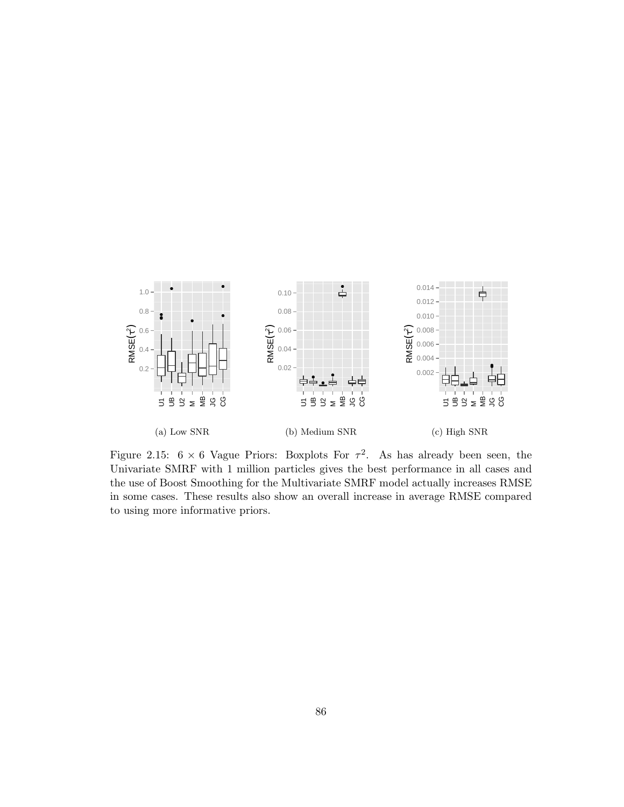

Figure 2.15:  $6 \times 6$  Vague Priors: Boxplots For  $\tau^2$ . As has already been seen, the Univariate SMRF with 1 million particles gives the best performance in all cases and the use of Boost Smoothing for the Multivariate SMRF model actually increases RMSE in some cases. These results also show an overall increase in average RMSE compared to using more informative priors.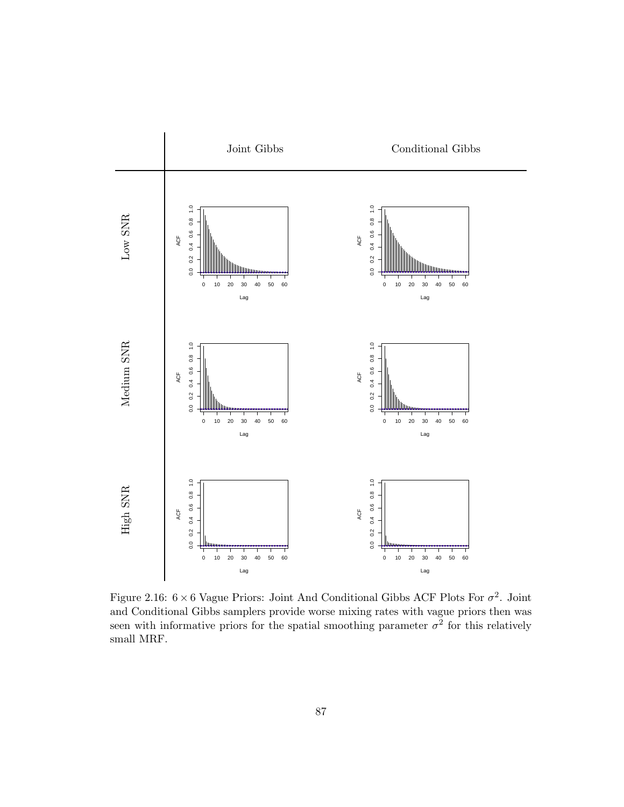

Figure 2.16:  $6 \times 6$  Vague Priors: Joint And Conditional Gibbs ACF Plots For  $\sigma^2$ . Joint and Conditional Gibbs samplers provide worse mixing rates with vague priors then was seen with informative priors for the spatial smoothing parameter  $\sigma^2$  for this relatively small MRF.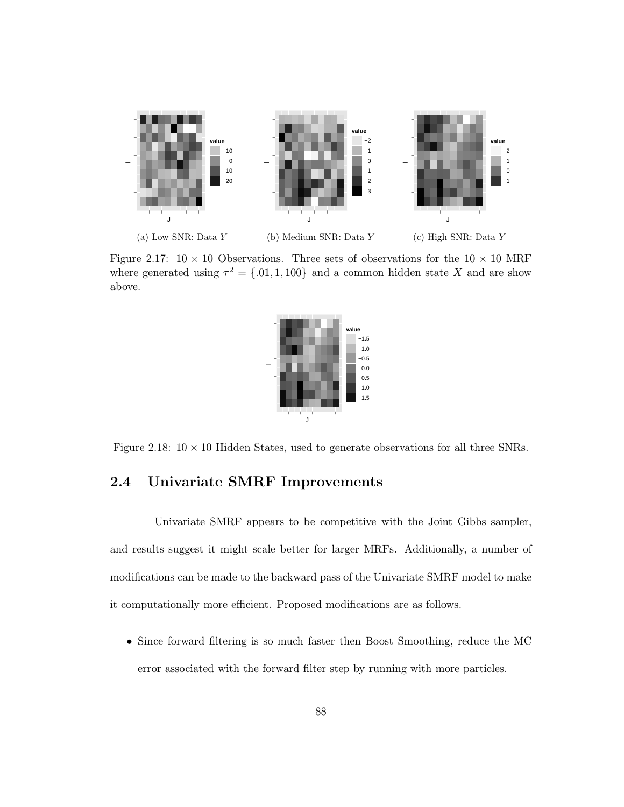

Figure 2.17:  $10 \times 10$  Observations. Three sets of observations for the  $10 \times 10$  MRF where generated using  $\tau^2 = \{0.01, 1, 100\}$  and a common hidden state X and are show above.



Figure 2.18:  $10 \times 10$  Hidden States, used to generate observations for all three SNRs.

#### 2.4 Univariate SMRF Improvements

Univariate SMRF appears to be competitive with the Joint Gibbs sampler, and results suggest it might scale better for larger MRFs. Additionally, a number of modifications can be made to the backward pass of the Univariate SMRF model to make it computationally more efficient. Proposed modifications are as follows.

• Since forward filtering is so much faster then Boost Smoothing, reduce the MC error associated with the forward filter step by running with more particles.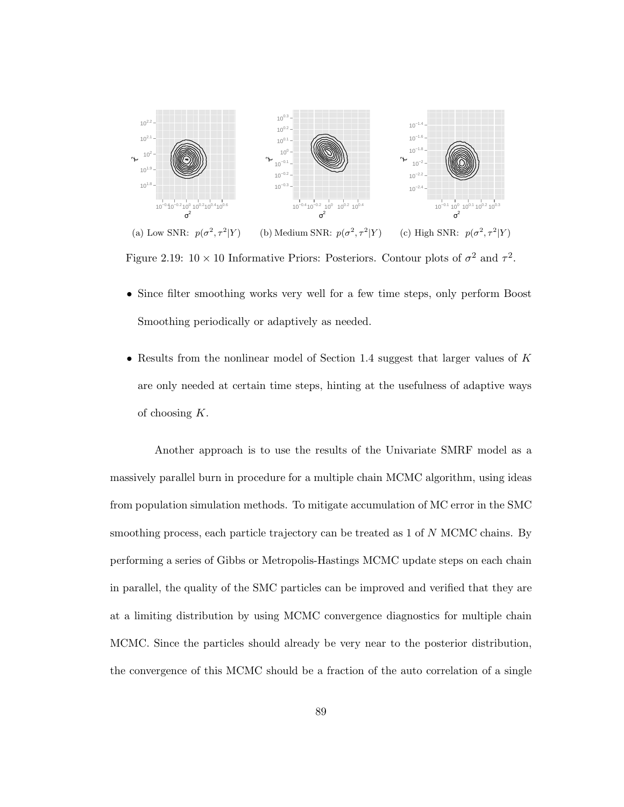

(a) Low SNR:  $p(\sigma^2, \tau^2|Y)$ (b) Medium SNR:  $p(\sigma^2, \tau^2|Y)$ (c) High SNR:  $p(\sigma^2, \tau^2|Y)$ 

Figure 2.19:  $10 \times 10$  Informative Priors: Posteriors. Contour plots of  $\sigma^2$  and  $\tau^2$ .

- Since filter smoothing works very well for a few time steps, only perform Boost Smoothing periodically or adaptively as needed.
- Results from the nonlinear model of Section 1.4 suggest that larger values of  $K$ are only needed at certain time steps, hinting at the usefulness of adaptive ways of choosing K.

Another approach is to use the results of the Univariate SMRF model as a massively parallel burn in procedure for a multiple chain MCMC algorithm, using ideas from population simulation methods. To mitigate accumulation of MC error in the SMC smoothing process, each particle trajectory can be treated as 1 of N MCMC chains. By performing a series of Gibbs or Metropolis-Hastings MCMC update steps on each chain in parallel, the quality of the SMC particles can be improved and verified that they are at a limiting distribution by using MCMC convergence diagnostics for multiple chain MCMC. Since the particles should already be very near to the posterior distribution, the convergence of this MCMC should be a fraction of the auto correlation of a single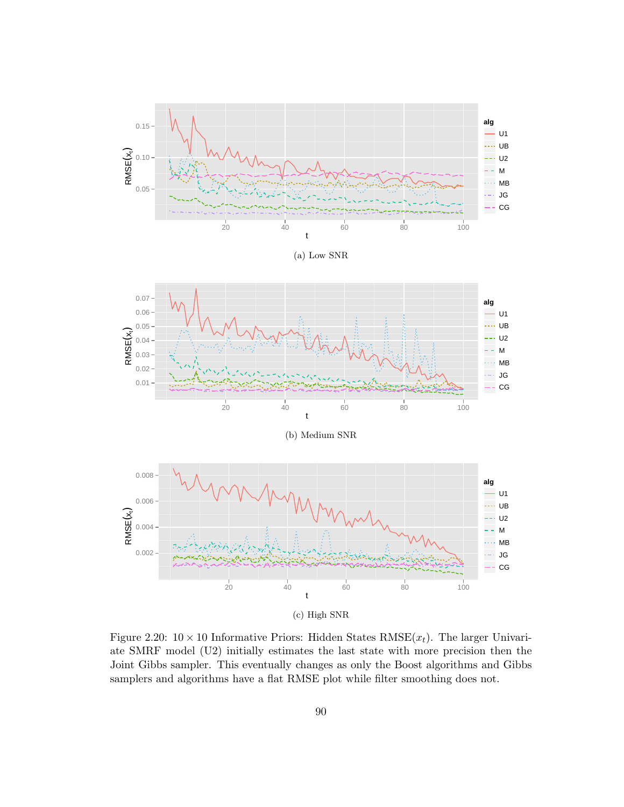

(a) Low SNR



(b) Medium SNR



(c) High SNR

Figure 2.20:  $10 \times 10$  Informative Priors: Hidden States RMSE $(x_t)$ . The larger Univariate SMRF model (U2) initially estimates the last state with more precision then the Joint Gibbs sampler. This eventually changes as only the Boost algorithms and Gibbs samplers and algorithms have a flat RMSE plot while filter smoothing does not.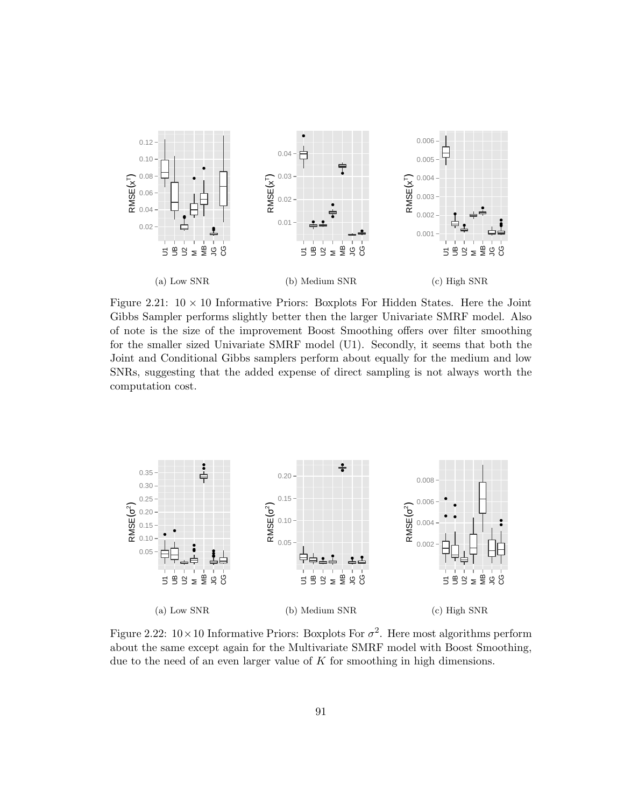

Figure 2.21:  $10 \times 10$  Informative Priors: Boxplots For Hidden States. Here the Joint Gibbs Sampler performs slightly better then the larger Univariate SMRF model. Also of note is the size of the improvement Boost Smoothing offers over filter smoothing for the smaller sized Univariate SMRF model (U1). Secondly, it seems that both the Joint and Conditional Gibbs samplers perform about equally for the medium and low SNRs, suggesting that the added expense of direct sampling is not always worth the computation cost.



Figure 2.22:  $10 \times 10$  Informative Priors: Boxplots For  $\sigma^2$ . Here most algorithms perform about the same except again for the Multivariate SMRF model with Boost Smoothing, due to the need of an even larger value of  $K$  for smoothing in high dimensions.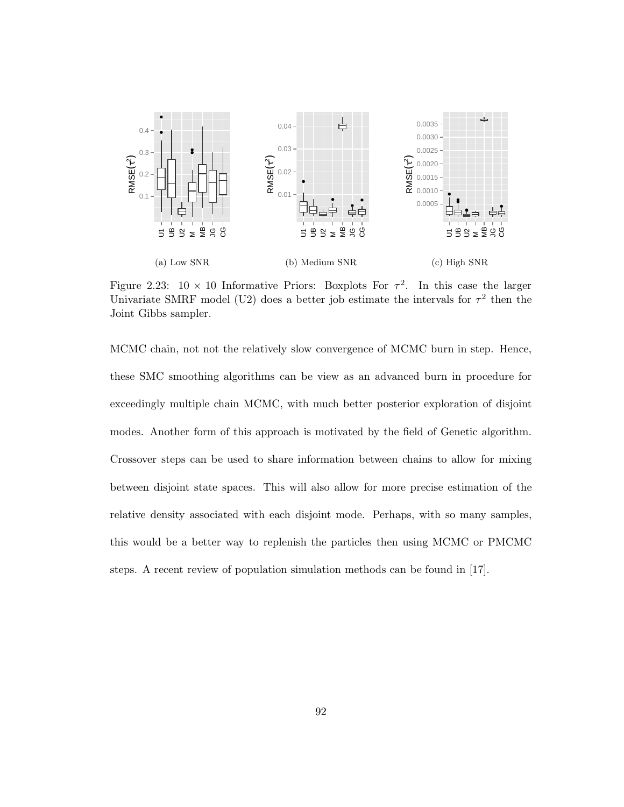

Figure 2.23:  $10 \times 10$  Informative Priors: Boxplots For  $\tau^2$ . In this case the larger Univariate SMRF model (U2) does a better job estimate the intervals for  $\tau^2$  then the Joint Gibbs sampler.

MCMC chain, not not the relatively slow convergence of MCMC burn in step. Hence, these SMC smoothing algorithms can be view as an advanced burn in procedure for exceedingly multiple chain MCMC, with much better posterior exploration of disjoint modes. Another form of this approach is motivated by the field of Genetic algorithm. Crossover steps can be used to share information between chains to allow for mixing between disjoint state spaces. This will also allow for more precise estimation of the relative density associated with each disjoint mode. Perhaps, with so many samples, this would be a better way to replenish the particles then using MCMC or PMCMC steps. A recent review of population simulation methods can be found in [17].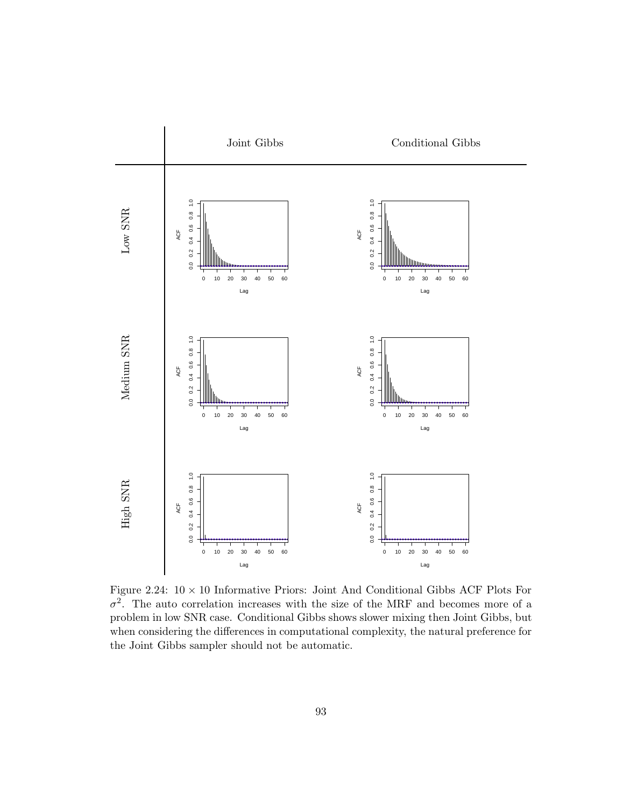

Figure 2.24:  $10 \times 10$  Informative Priors: Joint And Conditional Gibbs ACF Plots For  $\sigma^2$ . The auto correlation increases with the size of the MRF and becomes more of a problem in low SNR case. Conditional Gibbs shows slower mixing then Joint Gibbs, but when considering the differences in computational complexity, the natural preference for the Joint Gibbs sampler should not be automatic.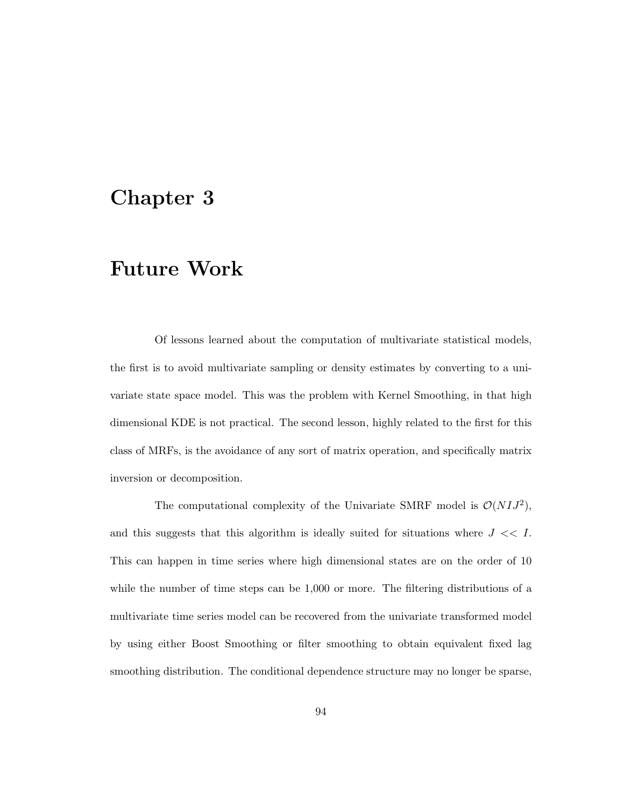# Chapter 3

## Future Work

Of lessons learned about the computation of multivariate statistical models, the first is to avoid multivariate sampling or density estimates by converting to a univariate state space model. This was the problem with Kernel Smoothing, in that high dimensional KDE is not practical. The second lesson, highly related to the first for this class of MRFs, is the avoidance of any sort of matrix operation, and specifically matrix inversion or decomposition.

The computational complexity of the Univariate SMRF model is  $\mathcal{O}(N I J^2)$ , and this suggests that this algorithm is ideally suited for situations where  $J \ll I$ . This can happen in time series where high dimensional states are on the order of 10 while the number of time steps can be 1,000 or more. The filtering distributions of a multivariate time series model can be recovered from the univariate transformed model by using either Boost Smoothing or filter smoothing to obtain equivalent fixed lag smoothing distribution. The conditional dependence structure may no longer be sparse,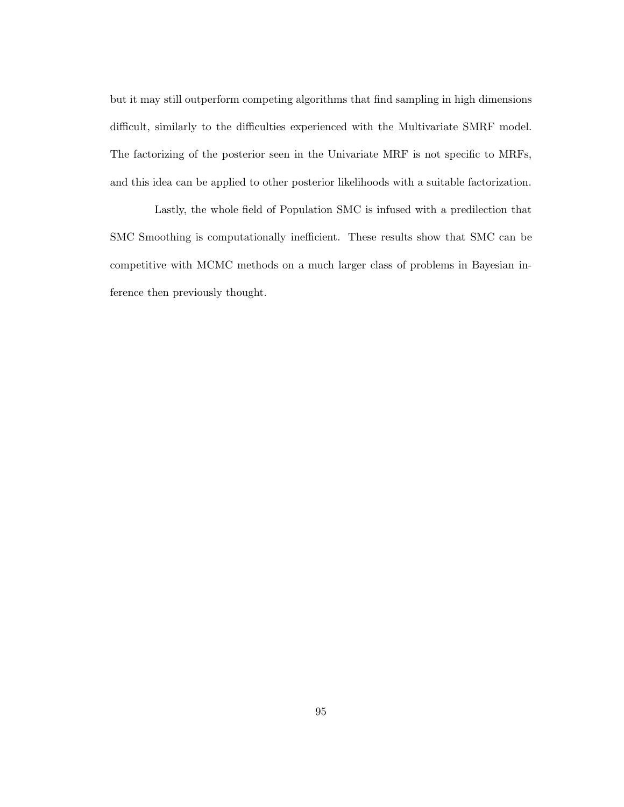but it may still outperform competing algorithms that find sampling in high dimensions difficult, similarly to the difficulties experienced with the Multivariate SMRF model. The factorizing of the posterior seen in the Univariate MRF is not specific to MRFs, and this idea can be applied to other posterior likelihoods with a suitable factorization.

Lastly, the whole field of Population SMC is infused with a predilection that SMC Smoothing is computationally inefficient. These results show that SMC can be competitive with MCMC methods on a much larger class of problems in Bayesian inference then previously thought.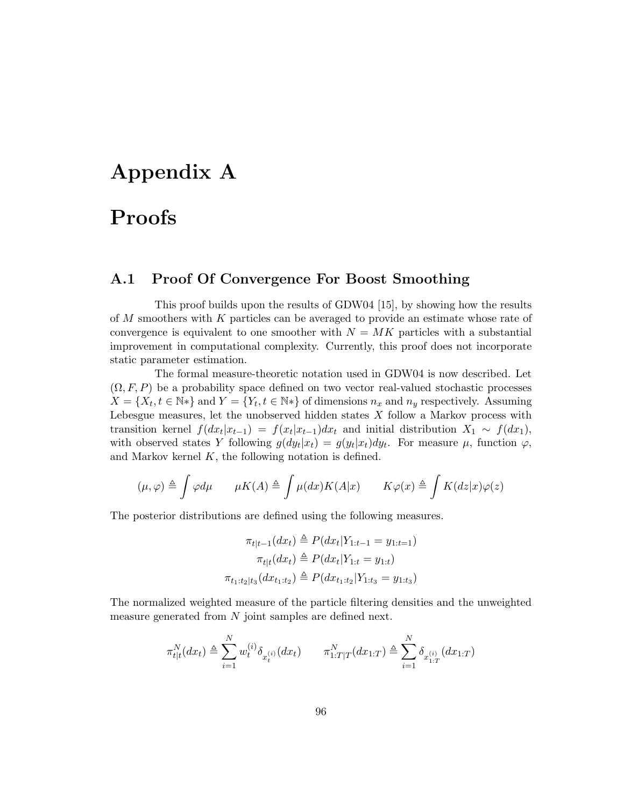# Appendix A

## Proofs

### A.1 Proof Of Convergence For Boost Smoothing

This proof builds upon the results of GDW04 [15], by showing how the results of M smoothers with K particles can be averaged to provide an estimate whose rate of convergence is equivalent to one smoother with  $N = MK$  particles with a substantial improvement in computational complexity. Currently, this proof does not incorporate static parameter estimation.

The formal measure-theoretic notation used in GDW04 is now described. Let  $(\Omega, F, P)$  be a probability space defined on two vector real-valued stochastic processes  $X = \{X_t, t \in \mathbb{N}^*\}\$ and  $Y = \{Y_t, t \in \mathbb{N}^*\}\$  of dimensions  $n_x$  and  $n_y$  respectively. Assuming Lebesgue measures, let the unobserved hidden states  $X$  follow a Markov process with transition kernel  $f(dx_t|x_{t-1}) = f(x_t|x_{t-1})dx_t$  and initial distribution  $X_1 \sim f(dx_1)$ , with observed states Y following  $g(dy_t|x_t) = g(y_t|x_t)dy_t$ . For measure  $\mu$ , function  $\varphi$ , and Markov kernel  $K$ , the following notation is defined.

$$
(\mu, \varphi) \triangleq \int \varphi d\mu \qquad \mu K(A) \triangleq \int \mu(dx) K(A|x) \qquad K\varphi(x) \triangleq \int K(dz|x)\varphi(z)
$$

The posterior distributions are defined using the following measures.

$$
\pi_{t|t-1}(dx_t) \triangleq P(dx_t|Y_{1:t-1} = y_{1:t-1})
$$

$$
\pi_{t|t}(dx_t) \triangleq P(dx_t|Y_{1:t} = y_{1:t})
$$

$$
\pi_{t_1:t_2|t_3}(dx_{t_1:t_2}) \triangleq P(dx_{t_1:t_2}|Y_{1:t_3} = y_{1:t_3})
$$

The normalized weighted measure of the particle filtering densities and the unweighted measure generated from  $N$  joint samples are defined next.

$$
\pi_{t|t}^N(dx_t) \triangleq \sum_{i=1}^N w_t^{(i)} \delta_{x_t^{(i)}}(dx_t) \qquad \pi_{1:T|T}^N(dx_{1:T}) \triangleq \sum_{i=1}^N \delta_{x_{1:T}^{(i)}}(dx_{1:T})
$$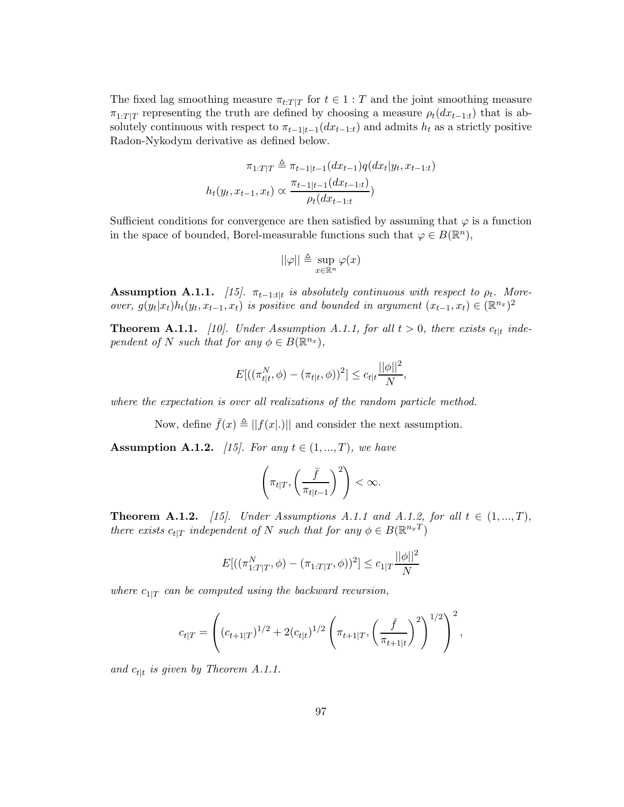The fixed lag smoothing measure  $\pi_{t:T|T}$  for  $t \in 1 : T$  and the joint smoothing measure  $\pi_{1:T|T}$  representing the truth are defined by choosing a measure  $\rho_t(dx_{t-1:t})$  that is absolutely continuous with respect to  $\pi_{t-1|t-1}(dx_{t-1:t})$  and admits  $h_t$  as a strictly positive Radon-Nykodym derivative as defined below.

$$
\pi_{1:T|T} \triangleq \pi_{t-1|t-1}(dx_{t-1})q(dx_t|y_t, x_{t-1:t})
$$

$$
h_t(y_t, x_{t-1}, x_t) \propto \frac{\pi_{t-1|t-1}(dx_{t-1:t})}{\rho_t(dx_{t-1:t})}
$$

Sufficient conditions for convergence are then satisfied by assuming that  $\varphi$  is a function in the space of bounded, Borel-measurable functions such that  $\varphi \in B(\mathbb{R}^n)$ ,

$$
\|\varphi\| \triangleq \sup_{x \in \mathbb{R}^n} \varphi(x)
$$

 $\textbf{Assumption A.1.1.}$  [15].  $\pi_{t-1:t|t}$  is absolutely continuous with respect to  $\rho_t$ . More*over,*  $g(y_t|x_t)h_t(y_t, x_{t-1}, x_t)$  *is positive and bounded in argument*  $(x_{t-1}, x_t) \in (\mathbb{R}^{n_x})^2$ 

**Theorem A.1.1.** [10]. Under Assumption A.1.1, for all  $t > 0$ , there exists  $c_{t|t}$  inde*pendent of* N *such that for any*  $\phi \in B(\mathbb{R}^{n_x}),$ 

$$
E[((\pi_{t|t}^N, \phi) - (\pi_{t|t}, \phi))^2] \le c_{t|t} \frac{||\phi||^2}{N},
$$

*where the expectation is over all realizations of the random particle method.*

Now, define  $\bar{f}(x) \triangleq ||f(x|.)||$  and consider the next assumption.

**Assumption A.1.2.** *[15]. For any*  $t \in (1, ..., T)$ *, we have* 

$$
\left(\pi_{t|T}, \left(\frac{\bar{f}}{\pi_{t|t-1}}\right)^2\right) < \infty.
$$

**Theorem A.1.2.** [15]. Under Assumptions A.1.1 and A.1.2, for all  $t \in (1, ..., T)$ , *there exists*  $c_{t|T}$  *independent of* N *such that for any*  $\phi \in B(\mathbb{R}^{n_x T})$ 

$$
E[((\pi_{1:T|T}^N, \phi) - (\pi_{1:T|T}, \phi))^2] \le c_{1|T} \frac{||\phi||^2}{N}
$$

*where*  $c_{1|T}$  *can be computed using the backward recursion,* 

$$
c_{t|T} = \left( (c_{t+1|T})^{1/2} + 2(c_{t|t})^{1/2} \left( \pi_{t+1|T}, \left( \frac{\bar{f}}{\pi_{t+1|t}} \right)^2 \right)^{1/2} \right)^2,
$$

and  $c_{t|t}$  is given by Theorem A.1.1.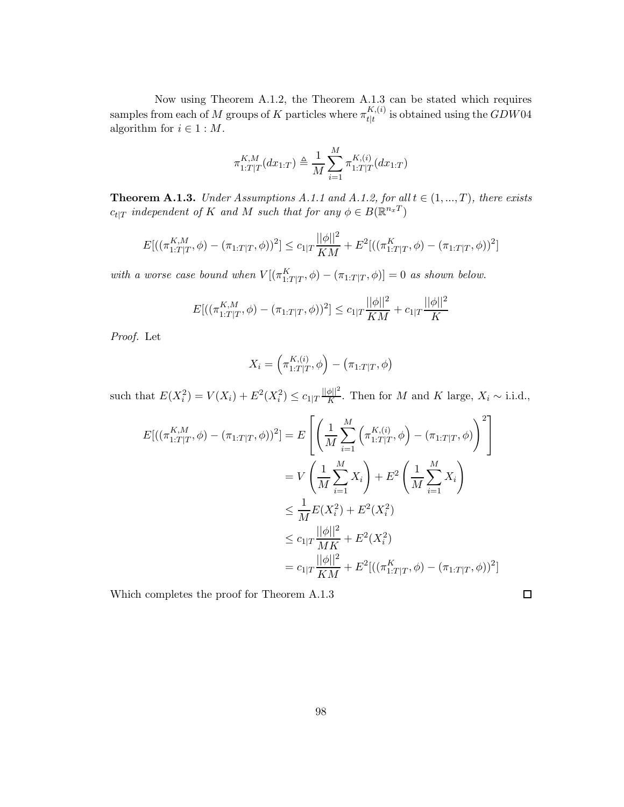Now using Theorem A.1.2, the Theorem A.1.3 can be stated which requires samples from each of M groups of K particles where  $\pi^{K,(i)}_{\text{Hf}}$  $_{t|t}^{R,(v)}$  is obtained using the  $GDW04$ algorithm for  $i \in 1 : M$ .

$$
\pi_{1:T|T}^{K,M}(dx_{1:T}) \triangleq \frac{1}{M} \sum_{i=1}^{M} \pi_{1:T|T}^{K,(i)}(dx_{1:T})
$$

**Theorem A.1.3.** *Under Assumptions A.1.1 and A.1.2, for all*  $t \in (1, ..., T)$ *, there exists*  $c_{t|T}$  *independent of* K *and* M *such that for any*  $\phi \in B(\mathbb{R}^{n_x T})$ 

$$
E[((\pi_{1:T|T}^{K,M}, \phi) - (\pi_{1:T|T}, \phi))^2] \le c_{1|T} \frac{||\phi||^2}{KM} + E^2[((\pi_{1:T|T}^K, \phi) - (\pi_{1:T|T}, \phi))^2]
$$

with a worse case bound when  $V[(\pi_{1:T|T}^K, \phi) - (\pi_{1:T|T}, \phi)] = 0$  as shown below.

$$
E[((\pi_{1:T|T}^{K,M}, \phi) - (\pi_{1:T|T}, \phi))^2] \le c_{1|T} \frac{||\phi||^2}{KM} + c_{1|T} \frac{||\phi||^2}{K}
$$

*Proof.* Let

$$
X_i = \left(\pi_{1:T|T}^{K,(i)}, \phi\right) - \left(\pi_{1:T|T}, \phi\right)
$$

such that  $E(X_i^2) = V(X_i) + E^2(X_i^2) \le c_{1|T} \frac{||\phi||^2}{K}$  $\frac{\varphi_{||}}{K}$ . Then for *M* and *K* large,  $X_i \sim$  i.i.d.,

$$
E[( (\pi_{1:T|T}^{K,M}, \phi) - (\pi_{1:T|T}, \phi))^2 ] = E\left[ \left( \frac{1}{M} \sum_{i=1}^M \left( \pi_{1:T|T}^{K,(i)}, \phi \right) - (\pi_{1:T|T}, \phi) \right)^2 \right]
$$
  

$$
= V\left( \frac{1}{M} \sum_{i=1}^M X_i \right) + E^2 \left( \frac{1}{M} \sum_{i=1}^M X_i \right)
$$
  

$$
\leq \frac{1}{M} E(X_i^2) + E^2(X_i^2)
$$
  

$$
\leq c_{1|T} \frac{||\phi||^2}{MK} + E^2(X_i^2)
$$
  

$$
= c_{1|T} \frac{||\phi||^2}{KM} + E^2[ ((\pi_{1:T|T}^K, \phi) - (\pi_{1:T|T}, \phi))^2 ]
$$

 $\Box$ 

Which completes the proof for Theorem A.1.3

98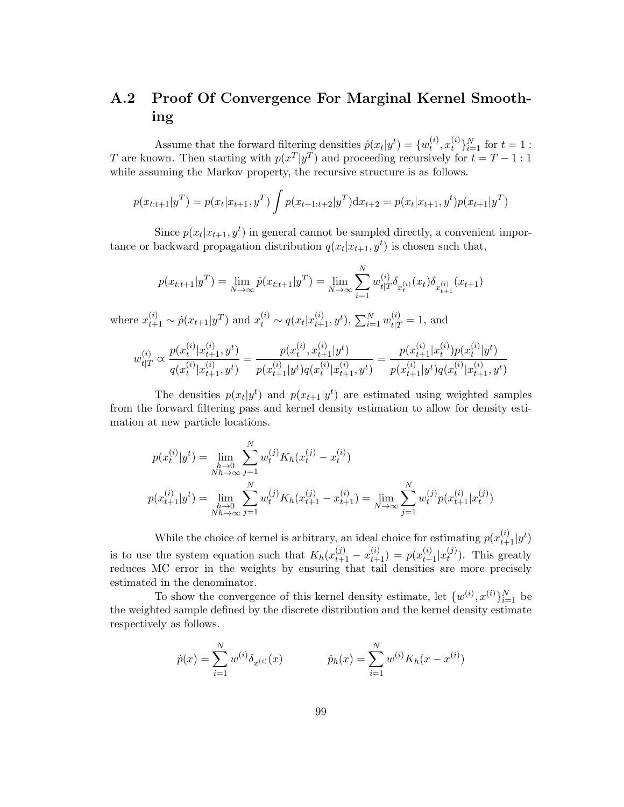## A.2 Proof Of Convergence For Marginal Kernel Smoothing

Assume that the forward filtering densities  $\dot{p}(x_t|y^t) = \{w_t^{(i)}\}$  $_{t}^{\left( i\right) },x_{t}^{\left( i\right) }$  $\{e^{i}\}_{i=1}^{N}$  for  $t=1$  : T are known. Then starting with  $p(x^T|y^T)$  and proceeding recursively for  $t = T - 1$ : 1 while assuming the Markov property, the recursive structure is as follows.

$$
p(x_{t:t+1}|y^T) = p(x_t|x_{t+1}, y^T) \int p(x_{t+1:t+2}|y^T) dx_{t+2} = p(x_t|x_{t+1}, y^t) p(x_{t+1}|y^T)
$$

Since  $p(x_t|x_{t+1}, y^t)$  in general cannot be sampled directly, a convenient importance or backward propagation distribution  $q(x_t|x_{t+1}, y^t)$  is chosen such that,

$$
p(x_{t:t+1}|y^T) = \lim_{N \to \infty} \dot{p}(x_{t:t+1}|y^T) = \lim_{N \to \infty} \sum_{i=1}^N w_{t|T}^{(i)} \delta_{x_{t}^{(i)}}(x_t) \delta_{x_{t+1}^{(i)}}(x_{t+1})
$$

where  $x_{t+1}^{(i)} \sim p(x_{t+1}|y^T)$  and  $x_t^{(i)} \sim q(x_t|x_{t+1}^{(i)}, y^t)$ ,  $\sum_{i=1}^N w_{t|T}^{(i)} = 1$ , and

$$
w_{t|T}^{(i)} \propto \frac{p(x_t^{(i)}|x_{t+1}^{(i)}, y^t)}{q(x_t^{(i)}|x_{t+1}^{(i)}, y^t)} = \frac{p(x_t^{(i)}, x_{t+1}^{(i)}|y^t)}{p(x_{t+1}^{(i)}|y^t)q(x_t^{(i)}|x_{t+1}^{(i)}, y^t)} = \frac{p(x_{t+1}^{(i)}|x_t^{(i)})p(x_t^{(i)}|y^t)}{p(x_{t+1}^{(i)}|y^t)q(x_t^{(i)}|x_{t+1}^{(i)}, y^t)}
$$

The densities  $p(x_t|y^t)$  and  $p(x_{t+1}|y^t)$  are estimated using weighted samples from the forward filtering pass and kernel density estimation to allow for density estimation at new particle locations.

$$
p(x_t^{(i)}|y^t) = \lim_{\substack{h \to 0 \\ Nh \to \infty}} \sum_{j=1}^N w_t^{(j)} K_h(x_t^{(j)} - x_t^{(i)})
$$
  

$$
p(x_{t+1}^{(i)}|y^t) = \lim_{\substack{h \to 0 \\Nh \to \infty}} \sum_{j=1}^N w_t^{(j)} K_h(x_{t+1}^{(j)} - x_{t+1}^{(i)}) = \lim_{N \to \infty} \sum_{j=1}^N w_t^{(j)} p(x_{t+1}^{(i)}|x_t^{(j)})
$$

While the choice of kernel is arbitrary, an ideal choice for estimating  $p(x_{t+1}^{(i)}|y^t)$ is to use the system equation such that  $K_h(x_{t+1}^{(j)} - x_{t+1}^{(i)}) = p(x_{t+1}^{(i)} | x_t^{(j)})$  $t^{(J)}$ ). This greatly reduces MC error in the weights by ensuring that tail densities are more precisely estimated in the denominator.

To show the convergence of this kernel density estimate, let  $\{w^{(i)}, x^{(i)}\}_{i=1}^N$  be the weighted sample defined by the discrete distribution and the kernel density estimate respectively as follows.

$$
\dot{p}(x) = \sum_{i=1}^{N} w^{(i)} \delta_{x^{(i)}}(x) \qquad \hat{p}_h(x) = \sum_{i=1}^{N} w^{(i)} K_h(x - x^{(i)})
$$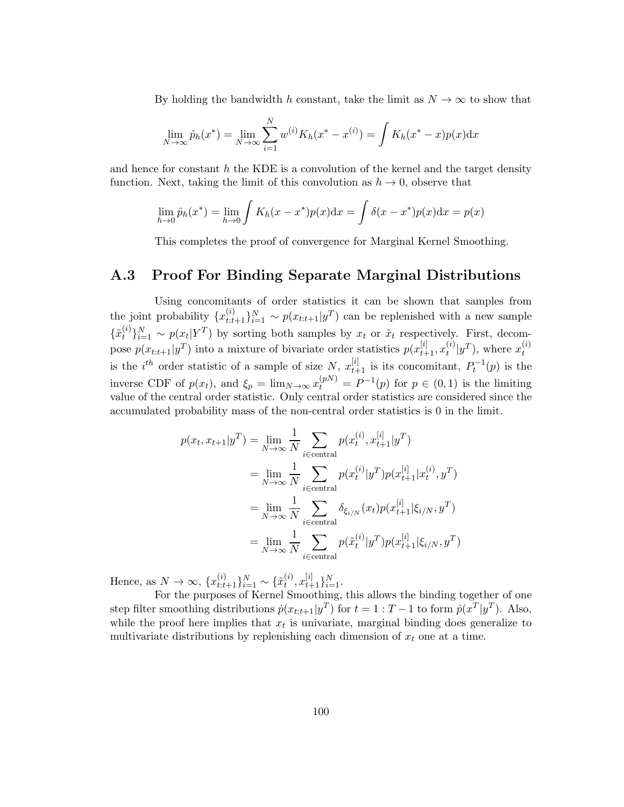By holding the bandwidth h constant, take the limit as  $N \to \infty$  to show that

$$
\lim_{N \to \infty} \hat{p}_h(x^*) = \lim_{N \to \infty} \sum_{i=1}^N w^{(i)} K_h(x^* - x^{(i)}) = \int K_h(x^* - x) p(x) dx
$$

and hence for constant  $h$  the KDE is a convolution of the kernel and the target density function. Next, taking the limit of this convolution as  $h \to 0$ , observe that

$$
\lim_{h \to 0} \hat{p}_h(x^*) = \lim_{h \to 0} \int K_h(x - x^*) p(x) dx = \int \delta(x - x^*) p(x) dx = p(x)
$$

This completes the proof of convergence for Marginal Kernel Smoothing.

## A.3 Proof For Binding Separate Marginal Distributions

Using concomitants of order statistics it can be shown that samples from the joint probability  $\{x_{t:t+1}^{(i)}\}_{i=1}^N \sim p(x_{t:t+1}|y^T)$  can be replenished with a new sample  $\{\tilde{x}_{t}^{(i)}\}$  $\{f_t^{(i)}\}_{i=1}^N \sim p(x_t|Y^T)$  by sorting both samples by  $x_t$  or  $\tilde{x}_t$  respectively. First, decompose  $p(x_{t:t+1}|y^T)$  into a mixture of bivariate order statistics  $p(x_{t+1}^{[i]}, x_t^{(i)})$  $\mathcal{L}_t^{(i)}|y^T$ ), where  $x_t^{(i)}$ t is the *i*<sup>th</sup> order statistic of a sample of size N,  $x_{t+1}^{[i]}$  is its concomitant,  $P_t^{-1}(p)$  is the inverse CDF of  $p(x_t)$ , and  $\xi_p = \lim_{N \to \infty} x_t^{(p)} = P^{-1}(p)$  for  $p \in (0, 1)$  is the limiting value of the central order statistic. Only central order statistics are considered since the accumulated probability mass of the non-central order statistics is 0 in the limit.

$$
p(x_t, x_{t+1}|y^T) = \lim_{N \to \infty} \frac{1}{N} \sum_{i \in \text{central}} p(x_t^{(i)}, x_{t+1}^{[i]} | y^T)
$$
  
\n
$$
= \lim_{N \to \infty} \frac{1}{N} \sum_{i \in \text{central}} p(x_t^{(i)} | y^T) p(x_{t+1}^{[i]} | x_t^{(i)}, y^T)
$$
  
\n
$$
= \lim_{N \to \infty} \frac{1}{N} \sum_{i \in \text{central}} \delta_{\xi_{i/N}}(x_t) p(x_{t+1}^{[i]} | \xi_{i/N}, y^T)
$$
  
\n
$$
= \lim_{N \to \infty} \frac{1}{N} \sum_{i \in \text{central}} p(\tilde{x}_t^{(i)} | y^T) p(x_{t+1}^{[i]} | \xi_{i/N}, y^T)
$$

Hence, as  $N \to \infty$ ,  $\{x_{t:t+1}^{(i)}\}_{i=1}^N \sim \{\tilde{x}_t^{(i)}\}$  $t^{(i)}, x_{t+1}^{[i]}\}_{i=1}^N.$ 

For the purposes of Kernel Smoothing, this allows the binding together of one step filter smoothing distributions  $\dot{p}(x_{t:t+1}|y^T)$  for  $t = 1 : T - 1$  to form  $\dot{p}(x^T|y^T)$ . Also, while the proof here implies that  $x_t$  is univariate, marginal binding does generalize to multivariate distributions by replenishing each dimension of  $x_t$  one at a time.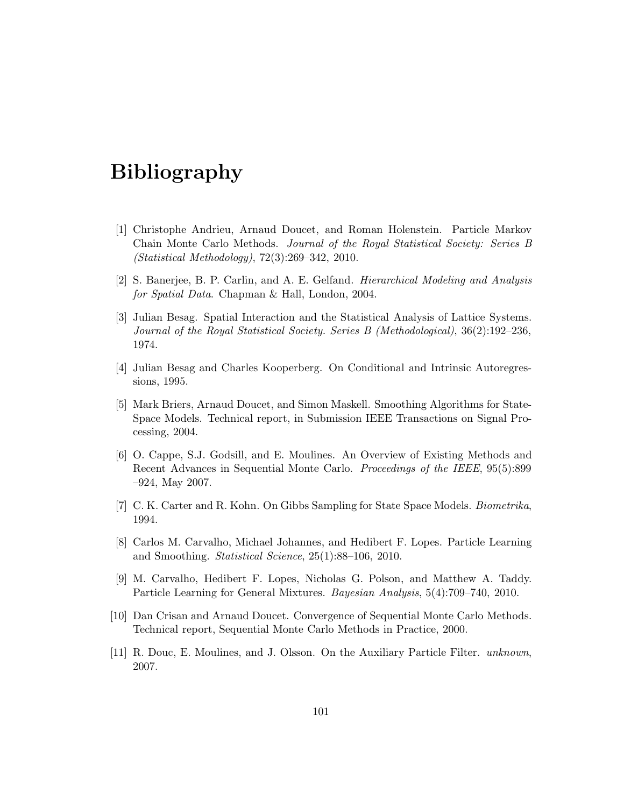## Bibliography

- [1] Christophe Andrieu, Arnaud Doucet, and Roman Holenstein. Particle Markov Chain Monte Carlo Methods. *Journal of the Royal Statistical Society: Series B (Statistical Methodology)*, 72(3):269–342, 2010.
- [2] S. Banerjee, B. P. Carlin, and A. E. Gelfand. *Hierarchical Modeling and Analysis for Spatial Data*. Chapman & Hall, London, 2004.
- [3] Julian Besag. Spatial Interaction and the Statistical Analysis of Lattice Systems. *Journal of the Royal Statistical Society. Series B (Methodological)*, 36(2):192–236, 1974.
- [4] Julian Besag and Charles Kooperberg. On Conditional and Intrinsic Autoregressions, 1995.
- [5] Mark Briers, Arnaud Doucet, and Simon Maskell. Smoothing Algorithms for State-Space Models. Technical report, in Submission IEEE Transactions on Signal Processing, 2004.
- [6] O. Cappe, S.J. Godsill, and E. Moulines. An Overview of Existing Methods and Recent Advances in Sequential Monte Carlo. *Proceedings of the IEEE*, 95(5):899 –924, May 2007.
- [7] C. K. Carter and R. Kohn. On Gibbs Sampling for State Space Models. *Biometrika*, 1994.
- [8] Carlos M. Carvalho, Michael Johannes, and Hedibert F. Lopes. Particle Learning and Smoothing. *Statistical Science*, 25(1):88–106, 2010.
- [9] M. Carvalho, Hedibert F. Lopes, Nicholas G. Polson, and Matthew A. Taddy. Particle Learning for General Mixtures. *Bayesian Analysis*, 5(4):709–740, 2010.
- [10] Dan Crisan and Arnaud Doucet. Convergence of Sequential Monte Carlo Methods. Technical report, Sequential Monte Carlo Methods in Practice, 2000.
- [11] R. Douc, E. Moulines, and J. Olsson. On the Auxiliary Particle Filter. *unknown*, 2007.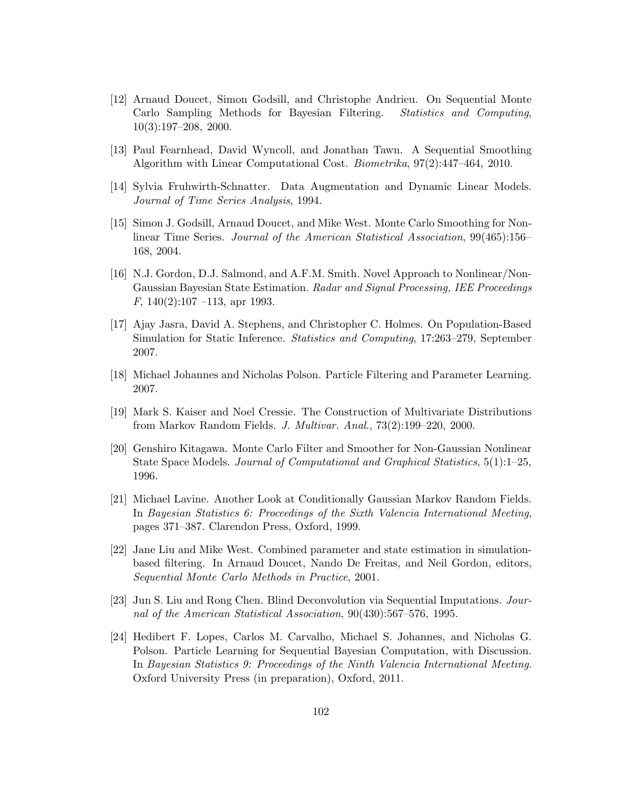- [12] Arnaud Doucet, Simon Godsill, and Christophe Andrieu. On Sequential Monte Carlo Sampling Methods for Bayesian Filtering. *Statistics and Computing*, 10(3):197–208, 2000.
- [13] Paul Fearnhead, David Wyncoll, and Jonathan Tawn. A Sequential Smoothing Algorithm with Linear Computational Cost. *Biometrika*, 97(2):447–464, 2010.
- [14] Sylvia Fruhwirth-Schnatter. Data Augmentation and Dynamic Linear Models. *Journal of Time Series Analysis*, 1994.
- [15] Simon J. Godsill, Arnaud Doucet, and Mike West. Monte Carlo Smoothing for Nonlinear Time Series. *Journal of the American Statistical Association*, 99(465):156– 168, 2004.
- [16] N.J. Gordon, D.J. Salmond, and A.F.M. Smith. Novel Approach to Nonlinear/Non-Gaussian Bayesian State Estimation. *Radar and Signal Processing, IEE Proceedings F*, 140(2):107 –113, apr 1993.
- [17] Ajay Jasra, David A. Stephens, and Christopher C. Holmes. On Population-Based Simulation for Static Inference. *Statistics and Computing*, 17:263–279, September 2007.
- [18] Michael Johannes and Nicholas Polson. Particle Filtering and Parameter Learning. 2007.
- [19] Mark S. Kaiser and Noel Cressie. The Construction of Multivariate Distributions from Markov Random Fields. *J. Multivar. Anal.*, 73(2):199–220, 2000.
- [20] Genshiro Kitagawa. Monte Carlo Filter and Smoother for Non-Gaussian Nonlinear State Space Models. *Journal of Computational and Graphical Statistics*, 5(1):1–25, 1996.
- [21] Michael Lavine. Another Look at Conditionally Gaussian Markov Random Fields. In *Bayesian Statistics 6: Proceedings of the Sixth Valencia International Meeting*, pages 371–387. Clarendon Press, Oxford, 1999.
- [22] Jane Liu and Mike West. Combined parameter and state estimation in simulationbased filtering. In Arnaud Doucet, Nando De Freitas, and Neil Gordon, editors, *Sequential Monte Carlo Methods in Practice*, 2001.
- [23] Jun S. Liu and Rong Chen. Blind Deconvolution via Sequential Imputations. *Journal of the American Statistical Association*, 90(430):567–576, 1995.
- [24] Hedibert F. Lopes, Carlos M. Carvalho, Michael S. Johannes, and Nicholas G. Polson. Particle Learning for Sequential Bayesian Computation, with Discussion. In *Bayesian Statistics 9: Proceedings of the Ninth Valencia International Meeting*. Oxford University Press (in preparation), Oxford, 2011.